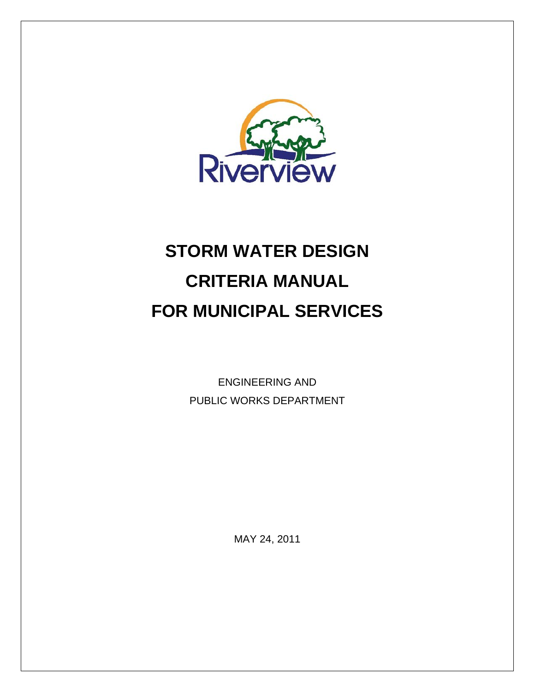

# **STORM WATER DESIGN CRITERIA MANUAL FOR MUNICIPAL SERVICES**

ENGINEERING AND PUBLIC WORKS DEPARTMENT

MAY 24, 2011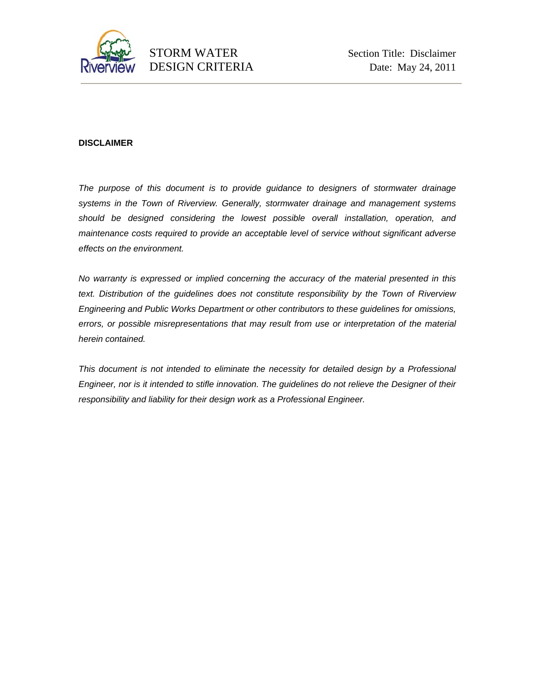

#### **DISCLAIMER**

*The purpose of this document is to provide guidance to designers of stormwater drainage systems in the Town of Riverview. Generally, stormwater drainage and management systems should be designed considering the lowest possible overall installation, operation, and maintenance costs required to provide an acceptable level of service without significant adverse effects on the environment.* 

*No warranty is expressed or implied concerning the accuracy of the material presented in this text. Distribution of the guidelines does not constitute responsibility by the Town of Riverview Engineering and Public Works Department or other contributors to these guidelines for omissions, errors, or possible misrepresentations that may result from use or interpretation of the material herein contained.* 

This document is not intended to eliminate the necessity for detailed design by a Professional *Engineer, nor is it intended to stifle innovation. The guidelines do not relieve the Designer of their responsibility and liability for their design work as a Professional Engineer.*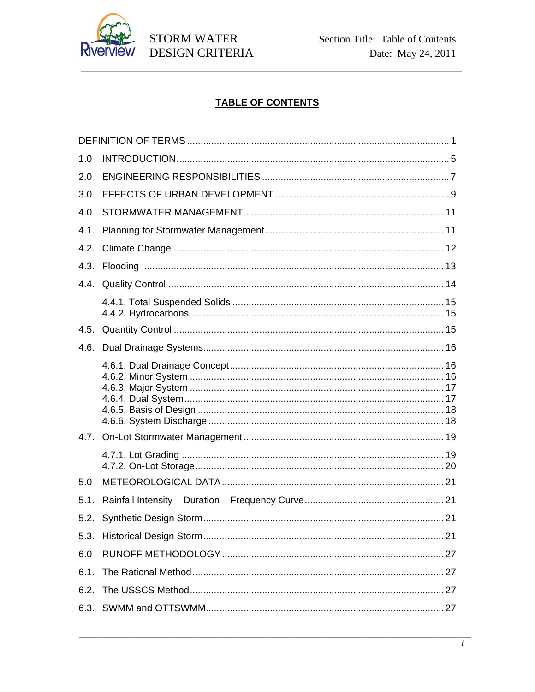

# **TABLE OF CONTENTS**

| 1.0  |  |
|------|--|
| 2.0  |  |
| 3.0  |  |
| 4.0  |  |
| 4.1. |  |
| 4.2. |  |
|      |  |
|      |  |
|      |  |
| 4.5. |  |
| 4.6. |  |
|      |  |
|      |  |
|      |  |
| 5.0  |  |
| 5.1. |  |
|      |  |
|      |  |
| 6.0  |  |
| 6.1. |  |
| 6.2. |  |
|      |  |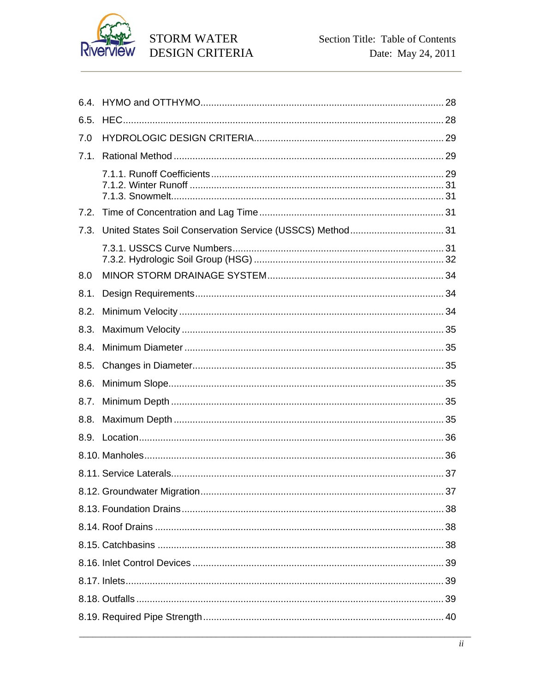

| 6.5. |  |
|------|--|
| 7.0  |  |
| 7.1. |  |
|      |  |
| 7.2. |  |
| 7.3. |  |
|      |  |
| 8.0  |  |
| 8.1. |  |
| 8.2. |  |
| 8.3. |  |
| 8.4. |  |
| 8.5. |  |
| 8.6. |  |
| 8.7. |  |
| 8.8. |  |
|      |  |
|      |  |
|      |  |
|      |  |
|      |  |
|      |  |
|      |  |
|      |  |
|      |  |
|      |  |
|      |  |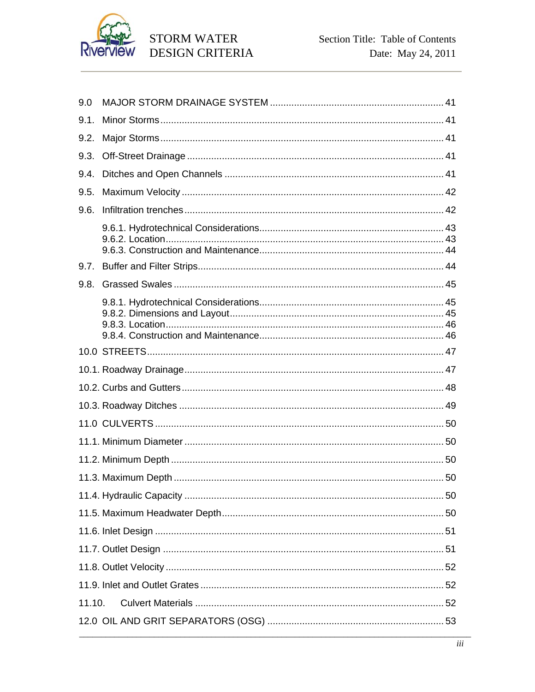

| 9.0    |  |  |  |
|--------|--|--|--|
| 9.1.   |  |  |  |
| 9.2.   |  |  |  |
| 9.3.   |  |  |  |
| 9.4.   |  |  |  |
| 9.5.   |  |  |  |
| 9.6.   |  |  |  |
|        |  |  |  |
| 9.7.   |  |  |  |
| 9.8.   |  |  |  |
|        |  |  |  |
|        |  |  |  |
|        |  |  |  |
|        |  |  |  |
|        |  |  |  |
|        |  |  |  |
|        |  |  |  |
|        |  |  |  |
|        |  |  |  |
|        |  |  |  |
|        |  |  |  |
|        |  |  |  |
|        |  |  |  |
|        |  |  |  |
|        |  |  |  |
| 11.10. |  |  |  |
|        |  |  |  |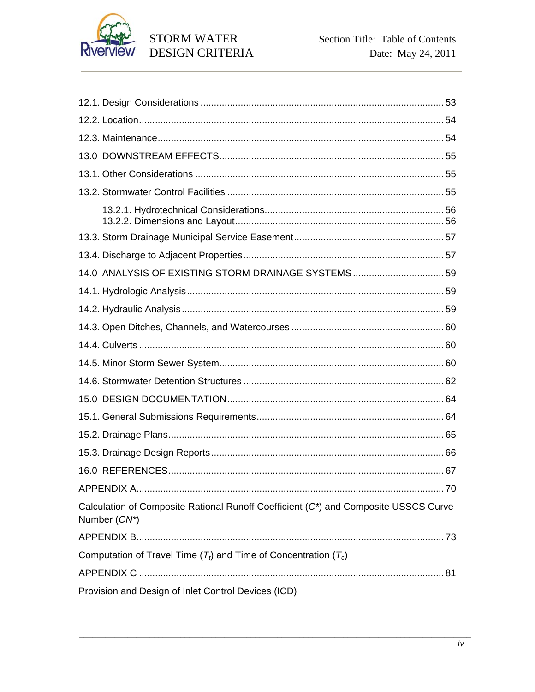

| 14.0 ANALYSIS OF EXISTING STORM DRAINAGE SYSTEMS 59                                                 |     |
|-----------------------------------------------------------------------------------------------------|-----|
|                                                                                                     |     |
|                                                                                                     |     |
|                                                                                                     |     |
|                                                                                                     |     |
|                                                                                                     |     |
|                                                                                                     |     |
|                                                                                                     |     |
|                                                                                                     |     |
|                                                                                                     |     |
|                                                                                                     |     |
|                                                                                                     |     |
|                                                                                                     | .70 |
| Calculation of Composite Rational Runoff Coefficient (C*) and Composite USSCS Curve<br>Number (CN*) |     |
|                                                                                                     |     |
| Computation of Travel Time $(T_t)$ and Time of Concentration $(T_c)$                                |     |
|                                                                                                     |     |
| Provision and Design of Inlet Control Devices (ICD)                                                 |     |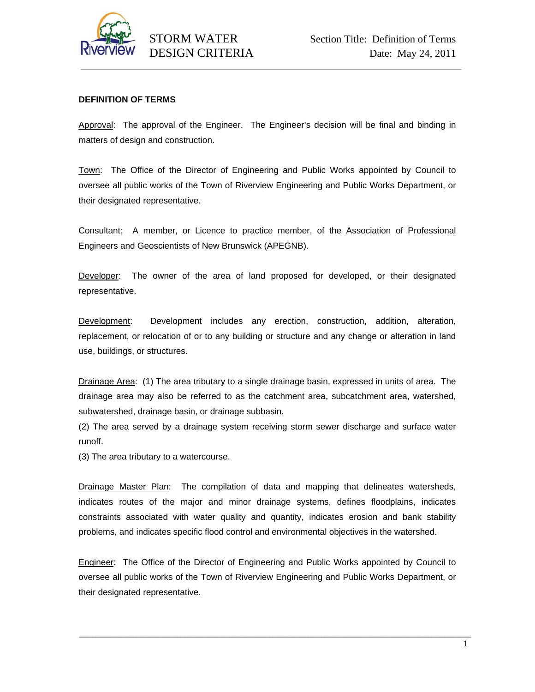

# **DEFINITION OF TERMS**

Approval: The approval of the Engineer. The Engineer's decision will be final and binding in matters of design and construction.

Town: The Office of the Director of Engineering and Public Works appointed by Council to oversee all public works of the Town of Riverview Engineering and Public Works Department, or their designated representative.

Consultant: A member, or Licence to practice member, of the Association of Professional Engineers and Geoscientists of New Brunswick (APEGNB).

Developer: The owner of the area of land proposed for developed, or their designated representative.

Development: Development includes any erection, construction, addition, alteration, replacement, or relocation of or to any building or structure and any change or alteration in land use, buildings, or structures.

Drainage Area: (1) The area tributary to a single drainage basin, expressed in units of area. The drainage area may also be referred to as the catchment area, subcatchment area, watershed, subwatershed, drainage basin, or drainage subbasin.

(2) The area served by a drainage system receiving storm sewer discharge and surface water runoff.

(3) The area tributary to a watercourse.

Drainage Master Plan: The compilation of data and mapping that delineates watersheds, indicates routes of the major and minor drainage systems, defines floodplains, indicates constraints associated with water quality and quantity, indicates erosion and bank stability problems, and indicates specific flood control and environmental objectives in the watershed.

Engineer: The Office of the Director of Engineering and Public Works appointed by Council to oversee all public works of the Town of Riverview Engineering and Public Works Department, or their designated representative.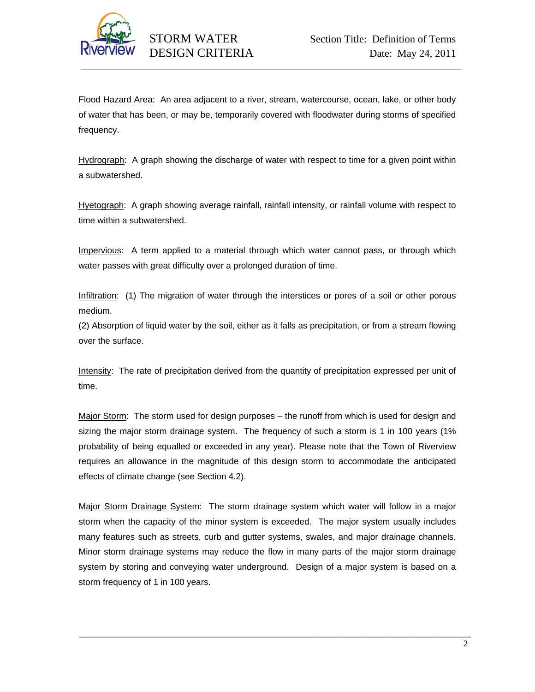

Flood Hazard Area: An area adjacent to a river, stream, watercourse, ocean, lake, or other body of water that has been, or may be, temporarily covered with floodwater during storms of specified frequency.

Hydrograph: A graph showing the discharge of water with respect to time for a given point within a subwatershed.

Hyetograph: A graph showing average rainfall, rainfall intensity, or rainfall volume with respect to time within a subwatershed.

Impervious: A term applied to a material through which water cannot pass, or through which water passes with great difficulty over a prolonged duration of time.

Infiltration: (1) The migration of water through the interstices or pores of a soil or other porous medium.

(2) Absorption of liquid water by the soil, either as it falls as precipitation, or from a stream flowing over the surface.

Intensity: The rate of precipitation derived from the quantity of precipitation expressed per unit of time.

Major Storm: The storm used for design purposes – the runoff from which is used for design and sizing the major storm drainage system. The frequency of such a storm is 1 in 100 years (1%) probability of being equalled or exceeded in any year). Please note that the Town of Riverview requires an allowance in the magnitude of this design storm to accommodate the anticipated effects of climate change (see Section 4.2).

Major Storm Drainage System: The storm drainage system which water will follow in a major storm when the capacity of the minor system is exceeded. The major system usually includes many features such as streets, curb and gutter systems, swales, and major drainage channels. Minor storm drainage systems may reduce the flow in many parts of the major storm drainage system by storing and conveying water underground. Design of a major system is based on a storm frequency of 1 in 100 years.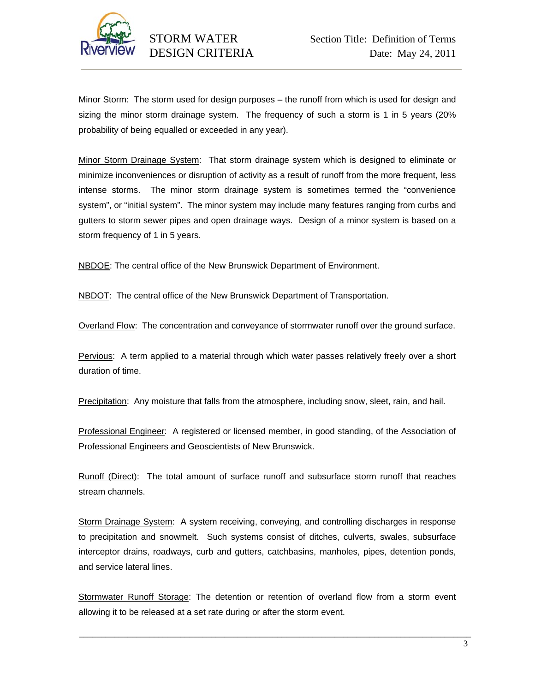

Minor Storm: The storm used for design purposes – the runoff from which is used for design and sizing the minor storm drainage system. The frequency of such a storm is 1 in 5 years (20% probability of being equalled or exceeded in any year).

Minor Storm Drainage System: That storm drainage system which is designed to eliminate or minimize inconveniences or disruption of activity as a result of runoff from the more frequent, less intense storms. The minor storm drainage system is sometimes termed the "convenience system", or "initial system". The minor system may include many features ranging from curbs and gutters to storm sewer pipes and open drainage ways. Design of a minor system is based on a storm frequency of 1 in 5 years.

NBDOE: The central office of the New Brunswick Department of Environment.

NBDOT: The central office of the New Brunswick Department of Transportation.

Overland Flow: The concentration and conveyance of stormwater runoff over the ground surface.

Pervious: A term applied to a material through which water passes relatively freely over a short duration of time.

Precipitation: Any moisture that falls from the atmosphere, including snow, sleet, rain, and hail.

Professional Engineer: A registered or licensed member, in good standing, of the Association of Professional Engineers and Geoscientists of New Brunswick.

Runoff (Direct): The total amount of surface runoff and subsurface storm runoff that reaches stream channels.

Storm Drainage System: A system receiving, conveying, and controlling discharges in response to precipitation and snowmelt. Such systems consist of ditches, culverts, swales, subsurface interceptor drains, roadways, curb and gutters, catchbasins, manholes, pipes, detention ponds, and service lateral lines.

Stormwater Runoff Storage: The detention or retention of overland flow from a storm event allowing it to be released at a set rate during or after the storm event.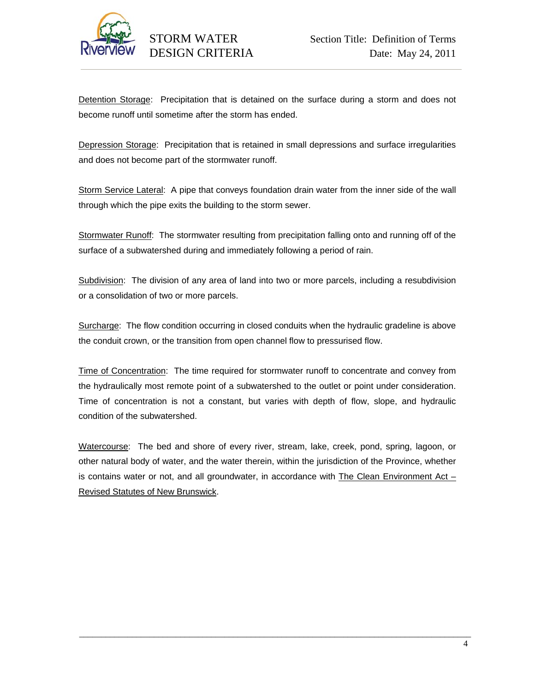

Detention Storage: Precipitation that is detained on the surface during a storm and does not become runoff until sometime after the storm has ended.

Depression Storage: Precipitation that is retained in small depressions and surface irregularities and does not become part of the stormwater runoff.

Storm Service Lateral: A pipe that conveys foundation drain water from the inner side of the wall through which the pipe exits the building to the storm sewer.

Stormwater Runoff: The stormwater resulting from precipitation falling onto and running off of the surface of a subwatershed during and immediately following a period of rain.

Subdivision: The division of any area of land into two or more parcels, including a resubdivision or a consolidation of two or more parcels.

Surcharge: The flow condition occurring in closed conduits when the hydraulic gradeline is above the conduit crown, or the transition from open channel flow to pressurised flow.

Time of Concentration: The time required for stormwater runoff to concentrate and convey from the hydraulically most remote point of a subwatershed to the outlet or point under consideration. Time of concentration is not a constant, but varies with depth of flow, slope, and hydraulic condition of the subwatershed.

Watercourse: The bed and shore of every river, stream, lake, creek, pond, spring, lagoon, or other natural body of water, and the water therein, within the jurisdiction of the Province, whether is contains water or not, and all groundwater, in accordance with The Clean Environment Act  $-$ Revised Statutes of New Brunswick.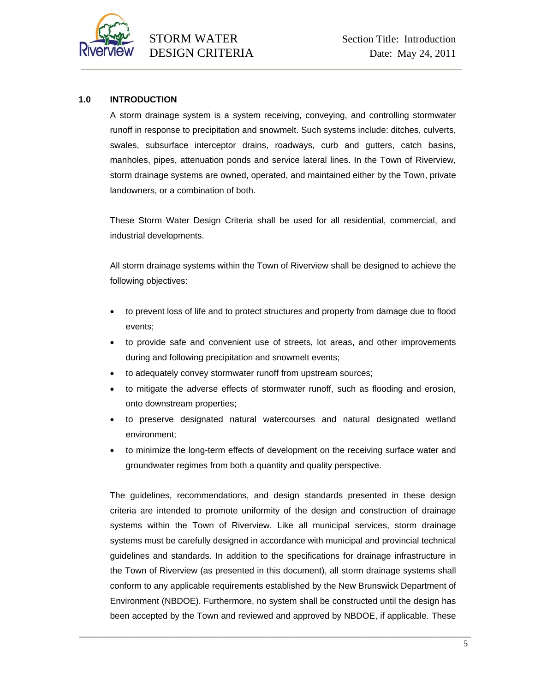

# **1.0 INTRODUCTION**

A storm drainage system is a system receiving, conveying, and controlling stormwater runoff in response to precipitation and snowmelt. Such systems include: ditches, culverts, swales, subsurface interceptor drains, roadways, curb and gutters, catch basins, manholes, pipes, attenuation ponds and service lateral lines. In the Town of Riverview, storm drainage systems are owned, operated, and maintained either by the Town, private landowners, or a combination of both.

These Storm Water Design Criteria shall be used for all residential, commercial, and industrial developments.

All storm drainage systems within the Town of Riverview shall be designed to achieve the following objectives:

- to prevent loss of life and to protect structures and property from damage due to flood events;
- to provide safe and convenient use of streets, lot areas, and other improvements during and following precipitation and snowmelt events;
- to adequately convey stormwater runoff from upstream sources;
- to mitigate the adverse effects of stormwater runoff, such as flooding and erosion, onto downstream properties;
- to preserve designated natural watercourses and natural designated wetland environment;
- to minimize the long-term effects of development on the receiving surface water and groundwater regimes from both a quantity and quality perspective.

The guidelines, recommendations, and design standards presented in these design criteria are intended to promote uniformity of the design and construction of drainage systems within the Town of Riverview. Like all municipal services, storm drainage systems must be carefully designed in accordance with municipal and provincial technical guidelines and standards. In addition to the specifications for drainage infrastructure in the Town of Riverview (as presented in this document), all storm drainage systems shall conform to any applicable requirements established by the New Brunswick Department of Environment (NBDOE). Furthermore, no system shall be constructed until the design has been accepted by the Town and reviewed and approved by NBDOE, if applicable. These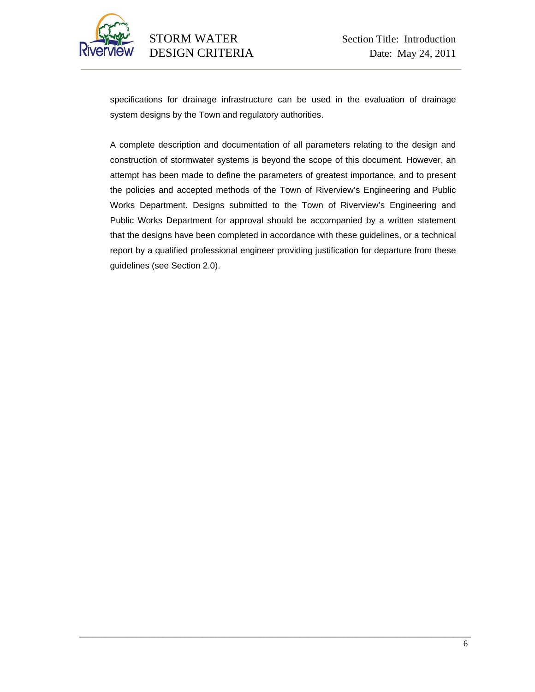

specifications for drainage infrastructure can be used in the evaluation of drainage system designs by the Town and regulatory authorities.

A complete description and documentation of all parameters relating to the design and construction of stormwater systems is beyond the scope of this document. However, an attempt has been made to define the parameters of greatest importance, and to present the policies and accepted methods of the Town of Riverview's Engineering and Public Works Department. Designs submitted to the Town of Riverview's Engineering and Public Works Department for approval should be accompanied by a written statement that the designs have been completed in accordance with these guidelines, or a technical report by a qualified professional engineer providing justification for departure from these guidelines (see Section 2.0).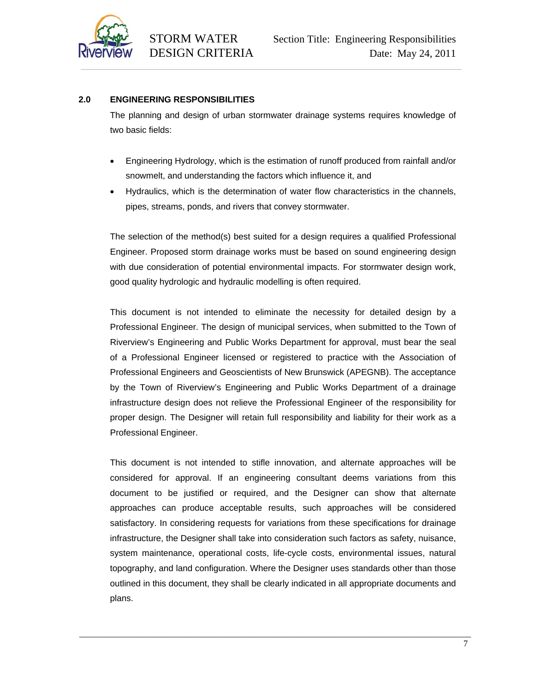

# **2.0 ENGINEERING RESPONSIBILITIES**

The planning and design of urban stormwater drainage systems requires knowledge of two basic fields:

- Engineering Hydrology, which is the estimation of runoff produced from rainfall and/or snowmelt, and understanding the factors which influence it, and
- Hydraulics, which is the determination of water flow characteristics in the channels, pipes, streams, ponds, and rivers that convey stormwater.

The selection of the method(s) best suited for a design requires a qualified Professional Engineer. Proposed storm drainage works must be based on sound engineering design with due consideration of potential environmental impacts. For stormwater design work, good quality hydrologic and hydraulic modelling is often required.

This document is not intended to eliminate the necessity for detailed design by a Professional Engineer. The design of municipal services, when submitted to the Town of Riverview's Engineering and Public Works Department for approval, must bear the seal of a Professional Engineer licensed or registered to practice with the Association of Professional Engineers and Geoscientists of New Brunswick (APEGNB). The acceptance by the Town of Riverview's Engineering and Public Works Department of a drainage infrastructure design does not relieve the Professional Engineer of the responsibility for proper design. The Designer will retain full responsibility and liability for their work as a Professional Engineer.

This document is not intended to stifle innovation, and alternate approaches will be considered for approval. If an engineering consultant deems variations from this document to be justified or required, and the Designer can show that alternate approaches can produce acceptable results, such approaches will be considered satisfactory. In considering requests for variations from these specifications for drainage infrastructure, the Designer shall take into consideration such factors as safety, nuisance, system maintenance, operational costs, life-cycle costs, environmental issues, natural topography, and land configuration. Where the Designer uses standards other than those outlined in this document, they shall be clearly indicated in all appropriate documents and plans.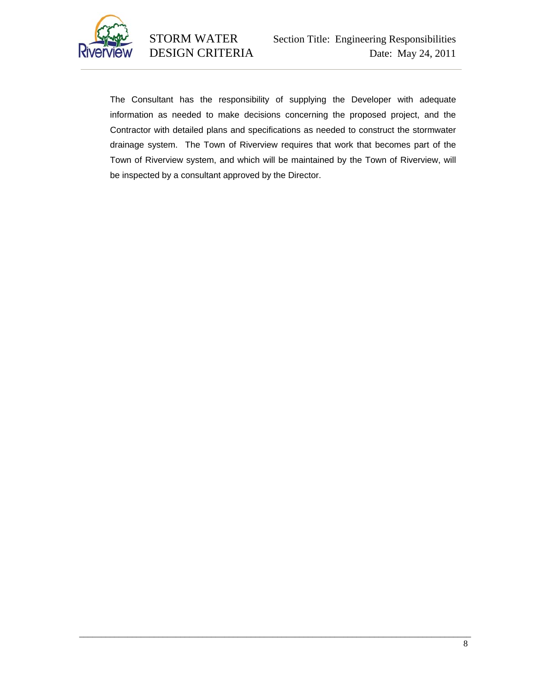

The Consultant has the responsibility of supplying the Developer with adequate information as needed to make decisions concerning the proposed project, and the Contractor with detailed plans and specifications as needed to construct the stormwater drainage system. The Town of Riverview requires that work that becomes part of the Town of Riverview system, and which will be maintained by the Town of Riverview, will be inspected by a consultant approved by the Director.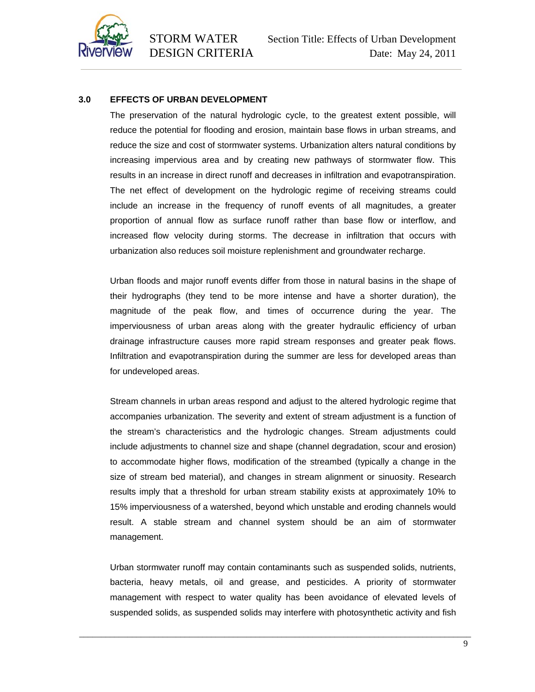

### **3.0 EFFECTS OF URBAN DEVELOPMENT**

The preservation of the natural hydrologic cycle, to the greatest extent possible, will reduce the potential for flooding and erosion, maintain base flows in urban streams, and reduce the size and cost of stormwater systems. Urbanization alters natural conditions by increasing impervious area and by creating new pathways of stormwater flow. This results in an increase in direct runoff and decreases in infiltration and evapotranspiration. The net effect of development on the hydrologic regime of receiving streams could include an increase in the frequency of runoff events of all magnitudes, a greater proportion of annual flow as surface runoff rather than base flow or interflow, and increased flow velocity during storms. The decrease in infiltration that occurs with urbanization also reduces soil moisture replenishment and groundwater recharge.

Urban floods and major runoff events differ from those in natural basins in the shape of their hydrographs (they tend to be more intense and have a shorter duration), the magnitude of the peak flow, and times of occurrence during the year. The imperviousness of urban areas along with the greater hydraulic efficiency of urban drainage infrastructure causes more rapid stream responses and greater peak flows. Infiltration and evapotranspiration during the summer are less for developed areas than for undeveloped areas.

Stream channels in urban areas respond and adjust to the altered hydrologic regime that accompanies urbanization. The severity and extent of stream adjustment is a function of the stream's characteristics and the hydrologic changes. Stream adjustments could include adjustments to channel size and shape (channel degradation, scour and erosion) to accommodate higher flows, modification of the streambed (typically a change in the size of stream bed material), and changes in stream alignment or sinuosity. Research results imply that a threshold for urban stream stability exists at approximately 10% to 15% imperviousness of a watershed, beyond which unstable and eroding channels would result. A stable stream and channel system should be an aim of stormwater management.

Urban stormwater runoff may contain contaminants such as suspended solids, nutrients, bacteria, heavy metals, oil and grease, and pesticides. A priority of stormwater management with respect to water quality has been avoidance of elevated levels of suspended solids, as suspended solids may interfere with photosynthetic activity and fish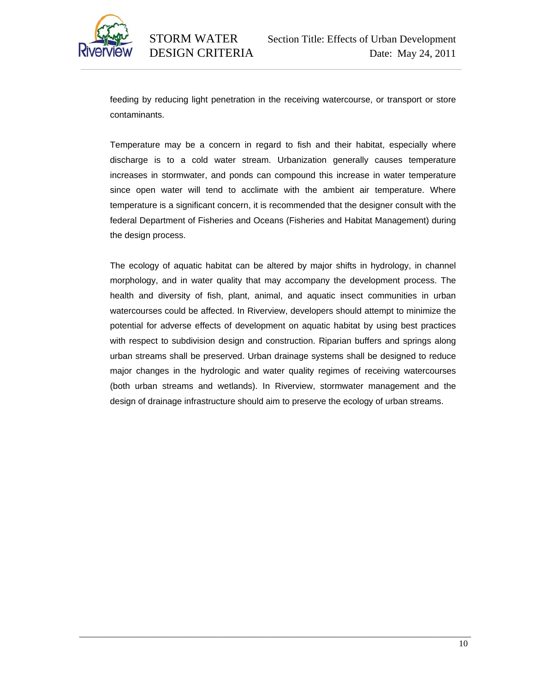

feeding by reducing light penetration in the receiving watercourse, or transport or store contaminants.

Temperature may be a concern in regard to fish and their habitat, especially where discharge is to a cold water stream. Urbanization generally causes temperature increases in stormwater, and ponds can compound this increase in water temperature since open water will tend to acclimate with the ambient air temperature. Where temperature is a significant concern, it is recommended that the designer consult with the federal Department of Fisheries and Oceans (Fisheries and Habitat Management) during the design process.

The ecology of aquatic habitat can be altered by major shifts in hydrology, in channel morphology, and in water quality that may accompany the development process. The health and diversity of fish, plant, animal, and aquatic insect communities in urban watercourses could be affected. In Riverview, developers should attempt to minimize the potential for adverse effects of development on aquatic habitat by using best practices with respect to subdivision design and construction. Riparian buffers and springs along urban streams shall be preserved. Urban drainage systems shall be designed to reduce major changes in the hydrologic and water quality regimes of receiving watercourses (both urban streams and wetlands). In Riverview, stormwater management and the design of drainage infrastructure should aim to preserve the ecology of urban streams.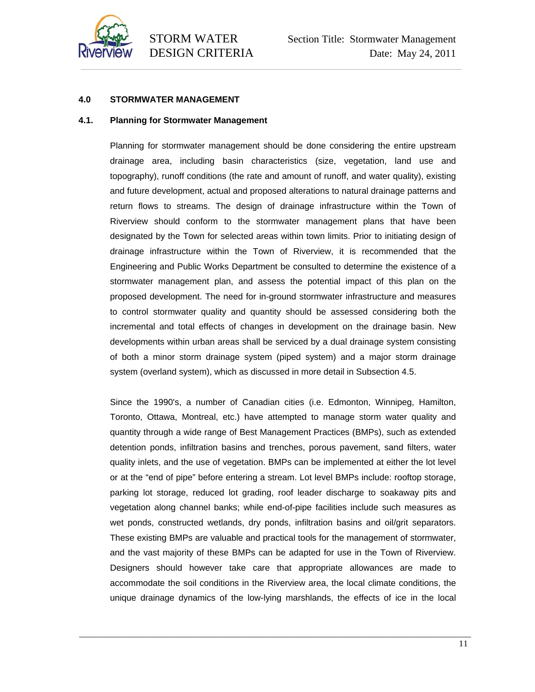

# **4.0 STORMWATER MANAGEMENT**

#### **4.1. Planning for Stormwater Management**

Planning for stormwater management should be done considering the entire upstream drainage area, including basin characteristics (size, vegetation, land use and topography), runoff conditions (the rate and amount of runoff, and water quality), existing and future development, actual and proposed alterations to natural drainage patterns and return flows to streams. The design of drainage infrastructure within the Town of Riverview should conform to the stormwater management plans that have been designated by the Town for selected areas within town limits. Prior to initiating design of drainage infrastructure within the Town of Riverview, it is recommended that the Engineering and Public Works Department be consulted to determine the existence of a stormwater management plan, and assess the potential impact of this plan on the proposed development. The need for in-ground stormwater infrastructure and measures to control stormwater quality and quantity should be assessed considering both the incremental and total effects of changes in development on the drainage basin. New developments within urban areas shall be serviced by a dual drainage system consisting of both a minor storm drainage system (piped system) and a major storm drainage system (overland system), which as discussed in more detail in Subsection 4.5.

Since the 1990's, a number of Canadian cities (i.e. Edmonton, Winnipeg, Hamilton, Toronto, Ottawa, Montreal, etc.) have attempted to manage storm water quality and quantity through a wide range of Best Management Practices (BMPs), such as extended detention ponds, infiltration basins and trenches, porous pavement, sand filters, water quality inlets, and the use of vegetation. BMPs can be implemented at either the lot level or at the "end of pipe" before entering a stream. Lot level BMPs include: rooftop storage, parking lot storage, reduced lot grading, roof leader discharge to soakaway pits and vegetation along channel banks; while end-of-pipe facilities include such measures as wet ponds, constructed wetlands, dry ponds, infiltration basins and oil/grit separators. These existing BMPs are valuable and practical tools for the management of stormwater, and the vast majority of these BMPs can be adapted for use in the Town of Riverview. Designers should however take care that appropriate allowances are made to accommodate the soil conditions in the Riverview area, the local climate conditions, the unique drainage dynamics of the low-lying marshlands, the effects of ice in the local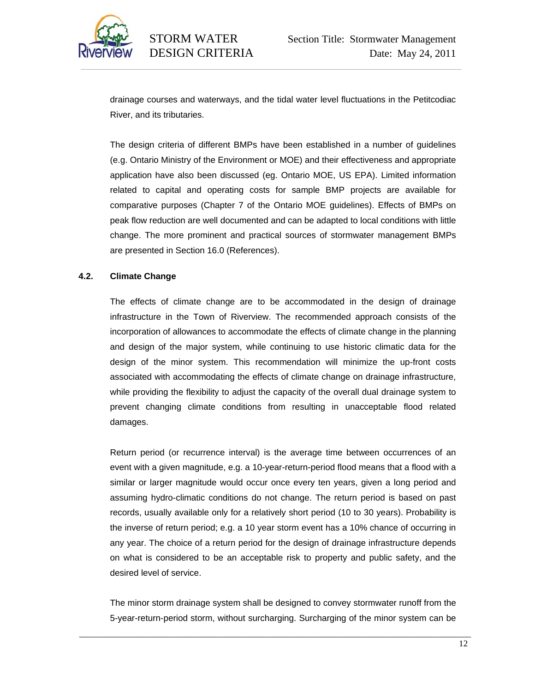

drainage courses and waterways, and the tidal water level fluctuations in the Petitcodiac River, and its tributaries.

The design criteria of different BMPs have been established in a number of guidelines (e.g. Ontario Ministry of the Environment or MOE) and their effectiveness and appropriate application have also been discussed (eg. Ontario MOE, US EPA). Limited information related to capital and operating costs for sample BMP projects are available for comparative purposes (Chapter 7 of the Ontario MOE guidelines). Effects of BMPs on peak flow reduction are well documented and can be adapted to local conditions with little change. The more prominent and practical sources of stormwater management BMPs are presented in Section 16.0 (References).

### **4.2. Climate Change**

The effects of climate change are to be accommodated in the design of drainage infrastructure in the Town of Riverview. The recommended approach consists of the incorporation of allowances to accommodate the effects of climate change in the planning and design of the major system, while continuing to use historic climatic data for the design of the minor system. This recommendation will minimize the up-front costs associated with accommodating the effects of climate change on drainage infrastructure, while providing the flexibility to adjust the capacity of the overall dual drainage system to prevent changing climate conditions from resulting in unacceptable flood related damages.

Return period (or recurrence interval) is the average time between occurrences of an event with a given magnitude, e.g. a 10-year-return-period flood means that a flood with a similar or larger magnitude would occur once every ten years, given a long period and assuming hydro-climatic conditions do not change. The return period is based on past records, usually available only for a relatively short period (10 to 30 years). Probability is the inverse of return period; e.g. a 10 year storm event has a 10% chance of occurring in any year. The choice of a return period for the design of drainage infrastructure depends on what is considered to be an acceptable risk to property and public safety, and the desired level of service.

The minor storm drainage system shall be designed to convey stormwater runoff from the 5-year-return-period storm, without surcharging. Surcharging of the minor system can be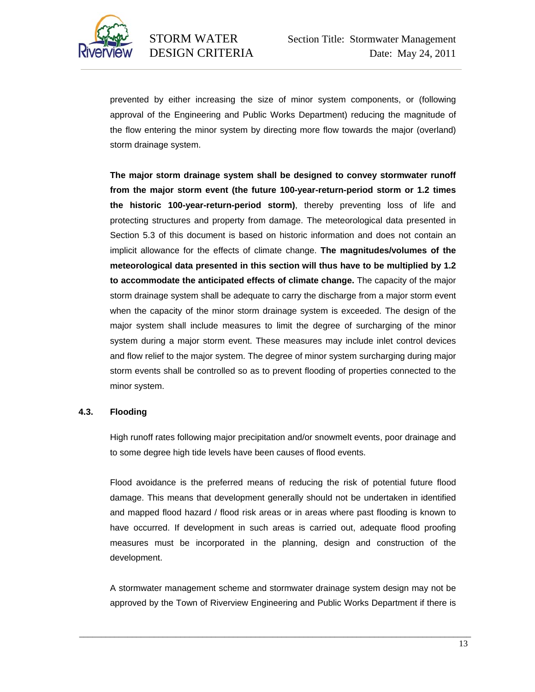

prevented by either increasing the size of minor system components, or (following approval of the Engineering and Public Works Department) reducing the magnitude of the flow entering the minor system by directing more flow towards the major (overland) storm drainage system.

**The major storm drainage system shall be designed to convey stormwater runoff from the major storm event (the future 100-year-return-period storm or 1.2 times the historic 100-year-return-period storm)**, thereby preventing loss of life and protecting structures and property from damage. The meteorological data presented in Section 5.3 of this document is based on historic information and does not contain an implicit allowance for the effects of climate change. **The magnitudes/volumes of the meteorological data presented in this section will thus have to be multiplied by 1.2 to accommodate the anticipated effects of climate change.** The capacity of the major storm drainage system shall be adequate to carry the discharge from a major storm event when the capacity of the minor storm drainage system is exceeded. The design of the major system shall include measures to limit the degree of surcharging of the minor system during a major storm event. These measures may include inlet control devices and flow relief to the major system. The degree of minor system surcharging during major storm events shall be controlled so as to prevent flooding of properties connected to the minor system.

#### **4.3. Flooding**

High runoff rates following major precipitation and/or snowmelt events, poor drainage and to some degree high tide levels have been causes of flood events.

Flood avoidance is the preferred means of reducing the risk of potential future flood damage. This means that development generally should not be undertaken in identified and mapped flood hazard / flood risk areas or in areas where past flooding is known to have occurred. If development in such areas is carried out, adequate flood proofing measures must be incorporated in the planning, design and construction of the development.

A stormwater management scheme and stormwater drainage system design may not be approved by the Town of Riverview Engineering and Public Works Department if there is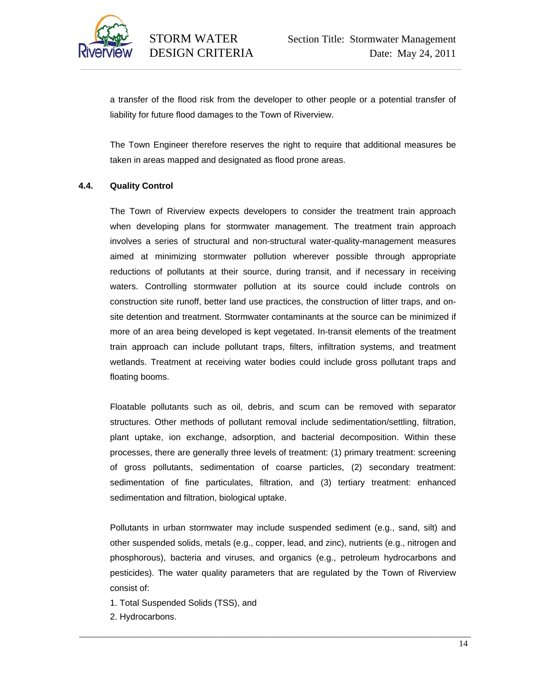

a transfer of the flood risk from the developer to other people or a potential transfer of liability for future flood damages to the Town of Riverview.

The Town Engineer therefore reserves the right to require that additional measures be taken in areas mapped and designated as flood prone areas.

# **4.4. Quality Control**

The Town of Riverview expects developers to consider the treatment train approach when developing plans for stormwater management. The treatment train approach involves a series of structural and non-structural water-quality-management measures aimed at minimizing stormwater pollution wherever possible through appropriate reductions of pollutants at their source, during transit, and if necessary in receiving waters. Controlling stormwater pollution at its source could include controls on construction site runoff, better land use practices, the construction of litter traps, and onsite detention and treatment. Stormwater contaminants at the source can be minimized if more of an area being developed is kept vegetated. In-transit elements of the treatment train approach can include pollutant traps, filters, infiltration systems, and treatment wetlands. Treatment at receiving water bodies could include gross pollutant traps and floating booms.

Floatable pollutants such as oil, debris, and scum can be removed with separator structures. Other methods of pollutant removal include sedimentation/settling, filtration, plant uptake, ion exchange, adsorption, and bacterial decomposition. Within these processes, there are generally three levels of treatment: (1) primary treatment: screening of gross pollutants, sedimentation of coarse particles, (2) secondary treatment: sedimentation of fine particulates, filtration, and (3) tertiary treatment: enhanced sedimentation and filtration, biological uptake.

Pollutants in urban stormwater may include suspended sediment (e.g., sand, silt) and other suspended solids, metals (e.g., copper, lead, and zinc), nutrients (e.g., nitrogen and phosphorous), bacteria and viruses, and organics (e.g., petroleum hydrocarbons and pesticides). The water quality parameters that are regulated by the Town of Riverview consist of:

- 1. Total Suspended Solids (TSS), and
- 2. Hydrocarbons.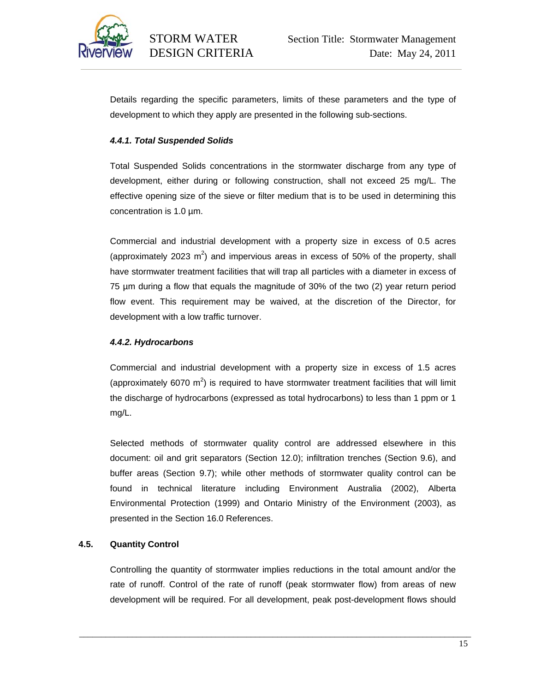

Details regarding the specific parameters, limits of these parameters and the type of development to which they apply are presented in the following sub-sections.

# *4.4.1. Total Suspended Solids*

Total Suspended Solids concentrations in the stormwater discharge from any type of development, either during or following construction, shall not exceed 25 mg/L. The effective opening size of the sieve or filter medium that is to be used in determining this concentration is 1.0 µm.

Commercial and industrial development with a property size in excess of 0.5 acres (approximately 2023  $m^2$ ) and impervious areas in excess of 50% of the property, shall have stormwater treatment facilities that will trap all particles with a diameter in excess of 75 µm during a flow that equals the magnitude of 30% of the two (2) year return period flow event. This requirement may be waived, at the discretion of the Director, for development with a low traffic turnover.

# *4.4.2. Hydrocarbons*

Commercial and industrial development with a property size in excess of 1.5 acres (approximately 6070  $m^2$ ) is required to have stormwater treatment facilities that will limit the discharge of hydrocarbons (expressed as total hydrocarbons) to less than 1 ppm or 1 mg/L.

Selected methods of stormwater quality control are addressed elsewhere in this document: oil and grit separators (Section 12.0); infiltration trenches (Section 9.6), and buffer areas (Section 9.7); while other methods of stormwater quality control can be found in technical literature including Environment Australia (2002), Alberta Environmental Protection (1999) and Ontario Ministry of the Environment (2003), as presented in the Section 16.0 References.

# **4.5. Quantity Control**

Controlling the quantity of stormwater implies reductions in the total amount and/or the rate of runoff. Control of the rate of runoff (peak stormwater flow) from areas of new development will be required. For all development, peak post-development flows should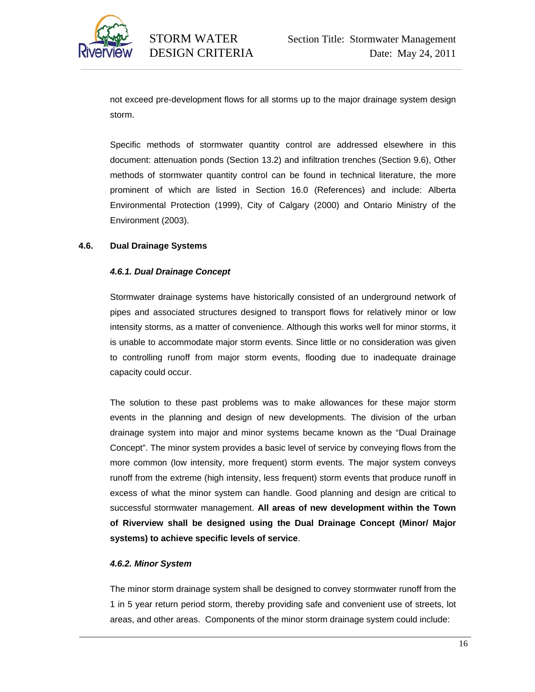

not exceed pre-development flows for all storms up to the major drainage system design storm.

Specific methods of stormwater quantity control are addressed elsewhere in this document: attenuation ponds (Section 13.2) and infiltration trenches (Section 9.6), Other methods of stormwater quantity control can be found in technical literature, the more prominent of which are listed in Section 16.0 (References) and include: Alberta Environmental Protection (1999), City of Calgary (2000) and Ontario Ministry of the Environment (2003).

# **4.6. Dual Drainage Systems**

### *4.6.1. Dual Drainage Concept*

Stormwater drainage systems have historically consisted of an underground network of pipes and associated structures designed to transport flows for relatively minor or low intensity storms, as a matter of convenience. Although this works well for minor storms, it is unable to accommodate major storm events. Since little or no consideration was given to controlling runoff from major storm events, flooding due to inadequate drainage capacity could occur.

The solution to these past problems was to make allowances for these major storm events in the planning and design of new developments. The division of the urban drainage system into major and minor systems became known as the "Dual Drainage Concept". The minor system provides a basic level of service by conveying flows from the more common (low intensity, more frequent) storm events. The major system conveys runoff from the extreme (high intensity, less frequent) storm events that produce runoff in excess of what the minor system can handle. Good planning and design are critical to successful stormwater management. **All areas of new development within the Town of Riverview shall be designed using the Dual Drainage Concept (Minor/ Major systems) to achieve specific levels of service**.

#### *4.6.2. Minor System*

The minor storm drainage system shall be designed to convey stormwater runoff from the 1 in 5 year return period storm, thereby providing safe and convenient use of streets, lot areas, and other areas. Components of the minor storm drainage system could include: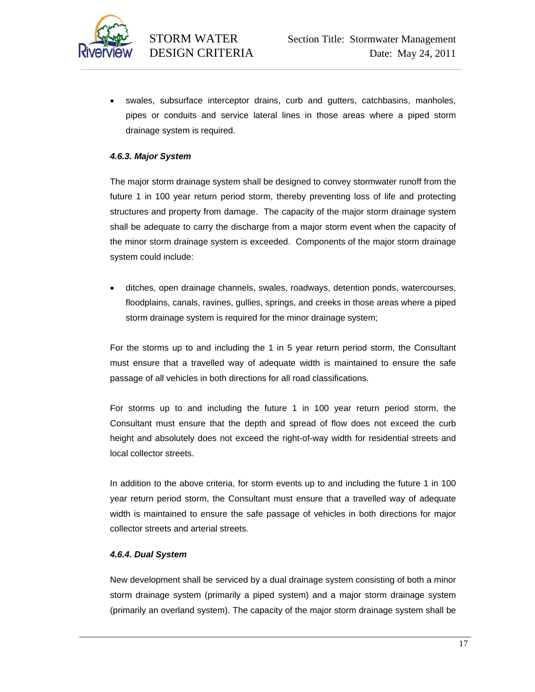

• swales, subsurface interceptor drains, curb and gutters, catchbasins, manholes, pipes or conduits and service lateral lines in those areas where a piped storm drainage system is required.

# *4.6.3. Major System*

The major storm drainage system shall be designed to convey stormwater runoff from the future 1 in 100 year return period storm, thereby preventing loss of life and protecting structures and property from damage. The capacity of the major storm drainage system shall be adequate to carry the discharge from a major storm event when the capacity of the minor storm drainage system is exceeded. Components of the major storm drainage system could include:

• ditches, open drainage channels, swales, roadways, detention ponds, watercourses, floodplains, canals, ravines, gullies, springs, and creeks in those areas where a piped storm drainage system is required for the minor drainage system;

For the storms up to and including the 1 in 5 year return period storm, the Consultant must ensure that a travelled way of adequate width is maintained to ensure the safe passage of all vehicles in both directions for all road classifications.

For storms up to and including the future 1 in 100 year return period storm, the Consultant must ensure that the depth and spread of flow does not exceed the curb height and absolutely does not exceed the right-of-way width for residential streets and local collector streets.

In addition to the above criteria, for storm events up to and including the future 1 in 100 year return period storm, the Consultant must ensure that a travelled way of adequate width is maintained to ensure the safe passage of vehicles in both directions for major collector streets and arterial streets.

#### *4.6.4. Dual System*

New development shall be serviced by a dual drainage system consisting of both a minor storm drainage system (primarily a piped system) and a major storm drainage system (primarily an overland system). The capacity of the major storm drainage system shall be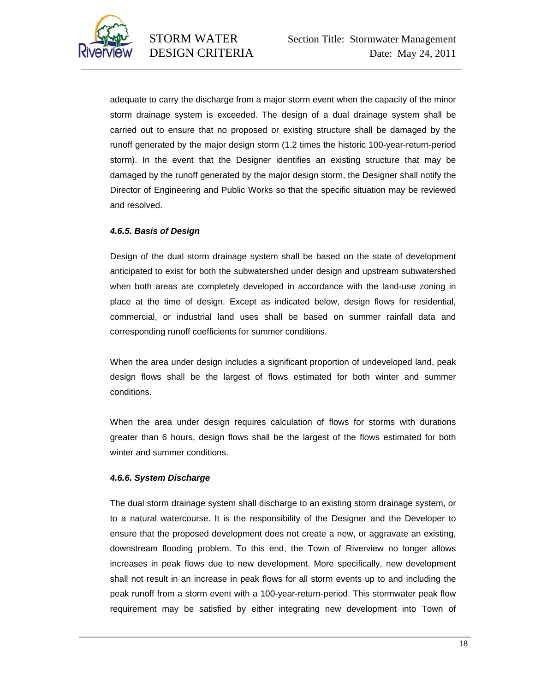

adequate to carry the discharge from a major storm event when the capacity of the minor storm drainage system is exceeded. The design of a dual drainage system shall be carried out to ensure that no proposed or existing structure shall be damaged by the runoff generated by the major design storm (1.2 times the historic 100-year-return-period storm). In the event that the Designer identifies an existing structure that may be damaged by the runoff generated by the major design storm, the Designer shall notify the Director of Engineering and Public Works so that the specific situation may be reviewed and resolved.

### *4.6.5. Basis of Design*

Design of the dual storm drainage system shall be based on the state of development anticipated to exist for both the subwatershed under design and upstream subwatershed when both areas are completely developed in accordance with the land-use zoning in place at the time of design. Except as indicated below, design flows for residential, commercial, or industrial land uses shall be based on summer rainfall data and corresponding runoff coefficients for summer conditions.

When the area under design includes a significant proportion of undeveloped land, peak design flows shall be the largest of flows estimated for both winter and summer conditions.

When the area under design requires calculation of flows for storms with durations greater than 6 hours, design flows shall be the largest of the flows estimated for both winter and summer conditions.

#### *4.6.6. System Discharge*

The dual storm drainage system shall discharge to an existing storm drainage system, or to a natural watercourse. It is the responsibility of the Designer and the Developer to ensure that the proposed development does not create a new, or aggravate an existing, downstream flooding problem. To this end, the Town of Riverview no longer allows increases in peak flows due to new development. More specifically, new development shall not result in an increase in peak flows for all storm events up to and including the peak runoff from a storm event with a 100-year-return-period. This stormwater peak flow requirement may be satisfied by either integrating new development into Town of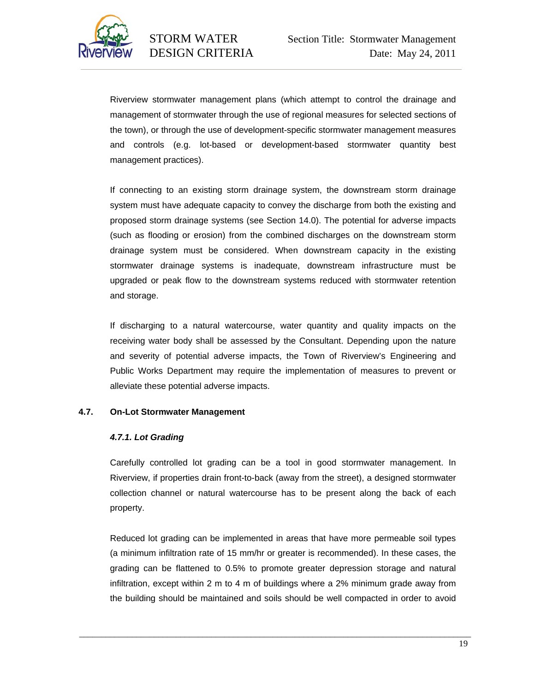

Riverview stormwater management plans (which attempt to control the drainage and management of stormwater through the use of regional measures for selected sections of the town), or through the use of development-specific stormwater management measures and controls (e.g. lot-based or development-based stormwater quantity best management practices).

If connecting to an existing storm drainage system, the downstream storm drainage system must have adequate capacity to convey the discharge from both the existing and proposed storm drainage systems (see Section 14.0). The potential for adverse impacts (such as flooding or erosion) from the combined discharges on the downstream storm drainage system must be considered. When downstream capacity in the existing stormwater drainage systems is inadequate, downstream infrastructure must be upgraded or peak flow to the downstream systems reduced with stormwater retention and storage.

If discharging to a natural watercourse, water quantity and quality impacts on the receiving water body shall be assessed by the Consultant. Depending upon the nature and severity of potential adverse impacts, the Town of Riverview's Engineering and Public Works Department may require the implementation of measures to prevent or alleviate these potential adverse impacts.

# **4.7. On-Lot Stormwater Management**

# *4.7.1. Lot Grading*

Carefully controlled lot grading can be a tool in good stormwater management. In Riverview, if properties drain front-to-back (away from the street), a designed stormwater collection channel or natural watercourse has to be present along the back of each property.

Reduced lot grading can be implemented in areas that have more permeable soil types (a minimum infiltration rate of 15 mm/hr or greater is recommended). In these cases, the grading can be flattened to 0.5% to promote greater depression storage and natural infiltration, except within 2 m to 4 m of buildings where a 2% minimum grade away from the building should be maintained and soils should be well compacted in order to avoid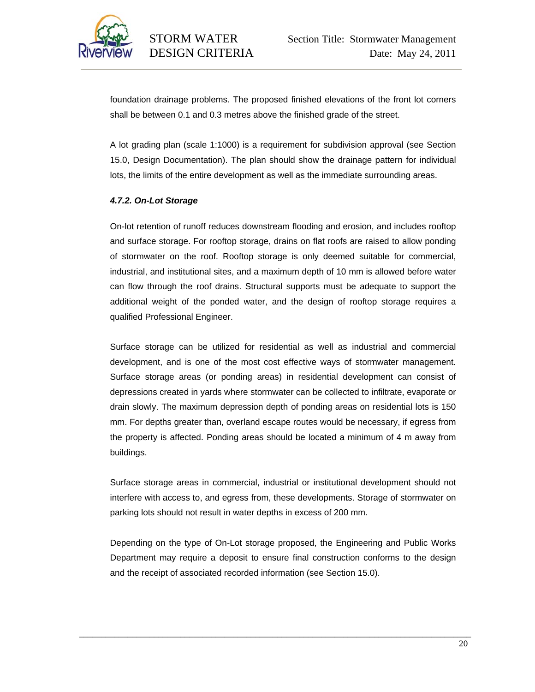

foundation drainage problems. The proposed finished elevations of the front lot corners shall be between 0.1 and 0.3 metres above the finished grade of the street.

A lot grading plan (scale 1:1000) is a requirement for subdivision approval (see Section 15.0, Design Documentation). The plan should show the drainage pattern for individual lots, the limits of the entire development as well as the immediate surrounding areas.

# *4.7.2. On-Lot Storage*

On-lot retention of runoff reduces downstream flooding and erosion, and includes rooftop and surface storage. For rooftop storage, drains on flat roofs are raised to allow ponding of stormwater on the roof. Rooftop storage is only deemed suitable for commercial, industrial, and institutional sites, and a maximum depth of 10 mm is allowed before water can flow through the roof drains. Structural supports must be adequate to support the additional weight of the ponded water, and the design of rooftop storage requires a qualified Professional Engineer.

Surface storage can be utilized for residential as well as industrial and commercial development, and is one of the most cost effective ways of stormwater management. Surface storage areas (or ponding areas) in residential development can consist of depressions created in yards where stormwater can be collected to infiltrate, evaporate or drain slowly. The maximum depression depth of ponding areas on residential lots is 150 mm. For depths greater than, overland escape routes would be necessary, if egress from the property is affected. Ponding areas should be located a minimum of 4 m away from buildings.

Surface storage areas in commercial, industrial or institutional development should not interfere with access to, and egress from, these developments. Storage of stormwater on parking lots should not result in water depths in excess of 200 mm.

Depending on the type of On-Lot storage proposed, the Engineering and Public Works Department may require a deposit to ensure final construction conforms to the design and the receipt of associated recorded information (see Section 15.0).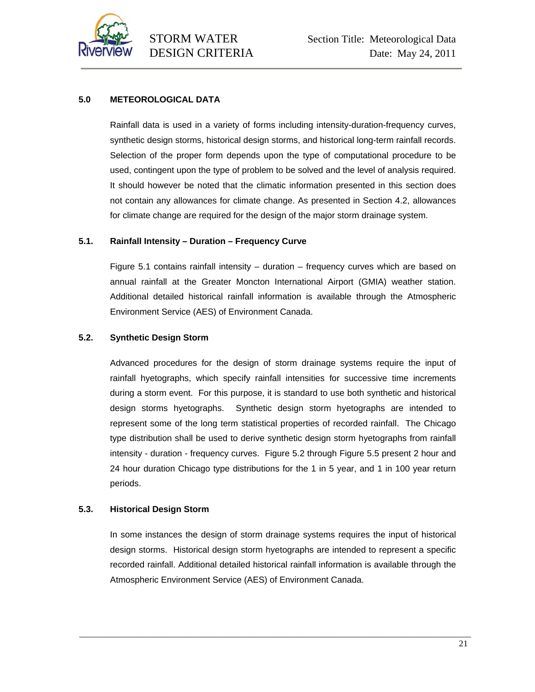

# **5.0 METEOROLOGICAL DATA**

Rainfall data is used in a variety of forms including intensity-duration-frequency curves, synthetic design storms, historical design storms, and historical long-term rainfall records. Selection of the proper form depends upon the type of computational procedure to be used, contingent upon the type of problem to be solved and the level of analysis required. It should however be noted that the climatic information presented in this section does not contain any allowances for climate change. As presented in Section 4.2, allowances for climate change are required for the design of the major storm drainage system.

# **5.1. Rainfall Intensity – Duration – Frequency Curve**

Figure 5.1 contains rainfall intensity – duration – frequency curves which are based on annual rainfall at the Greater Moncton International Airport (GMIA) weather station. Additional detailed historical rainfall information is available through the Atmospheric Environment Service (AES) of Environment Canada.

# **5.2. Synthetic Design Storm**

Advanced procedures for the design of storm drainage systems require the input of rainfall hyetographs, which specify rainfall intensities for successive time increments during a storm event. For this purpose, it is standard to use both synthetic and historical design storms hyetographs. Synthetic design storm hyetographs are intended to represent some of the long term statistical properties of recorded rainfall. The Chicago type distribution shall be used to derive synthetic design storm hyetographs from rainfall intensity - duration - frequency curves. Figure 5.2 through Figure 5.5 present 2 hour and 24 hour duration Chicago type distributions for the 1 in 5 year, and 1 in 100 year return periods.

# **5.3. Historical Design Storm**

In some instances the design of storm drainage systems requires the input of historical design storms. Historical design storm hyetographs are intended to represent a specific recorded rainfall. Additional detailed historical rainfall information is available through the Atmospheric Environment Service (AES) of Environment Canada.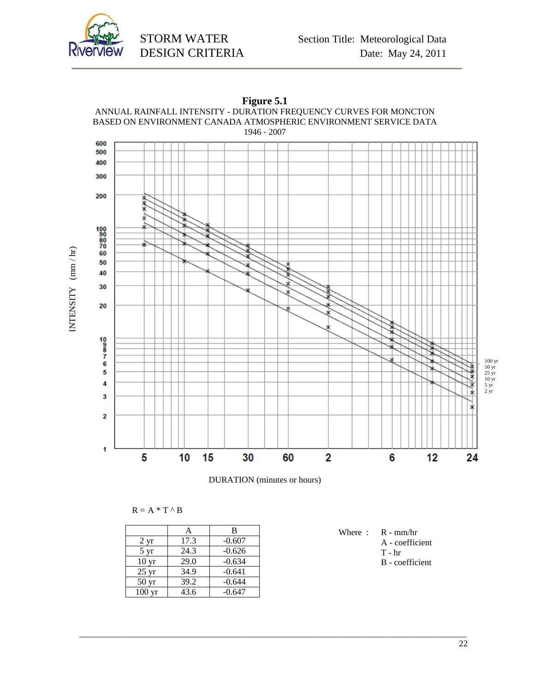





\_\_\_\_\_\_\_\_\_\_\_\_\_\_\_\_\_\_\_\_\_\_\_\_\_\_\_\_\_\_\_\_\_\_\_\_\_\_\_\_\_\_\_\_\_\_\_\_\_\_\_\_\_\_\_\_\_\_\_\_\_\_\_\_\_\_\_\_\_\_\_\_\_\_\_\_\_\_\_\_\_\_\_\_\_\_\_\_

 $R = A * T \wedge B$ 

|                    | A    | B        |
|--------------------|------|----------|
| $2 \text{ yr}$     | 17.3 | $-0.607$ |
| $5 \text{ yr}$     | 24.3 | $-0.626$ |
| 10 <sub>yr</sub>   | 29.0 | $-0.634$ |
| $25 \text{ yr}$    | 34.9 | $-0.641$ |
| $50 \,\mathrm{yr}$ | 39.2 | $-0.644$ |
| $100 \text{ yr}$   | 43.6 | $-0.647$ |

Where : R - mm/hr

A - coefficient

- $T hr$
- B coefficient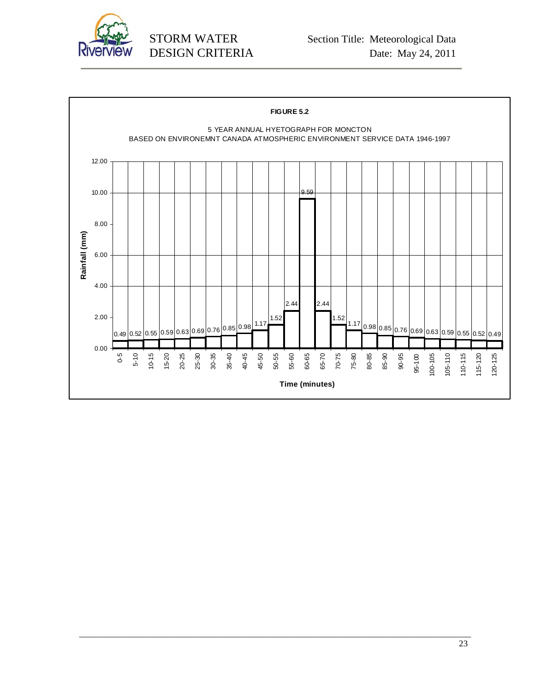

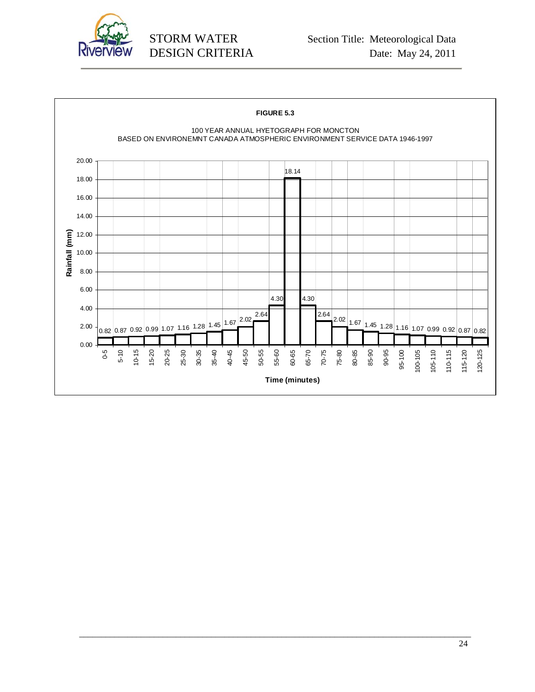

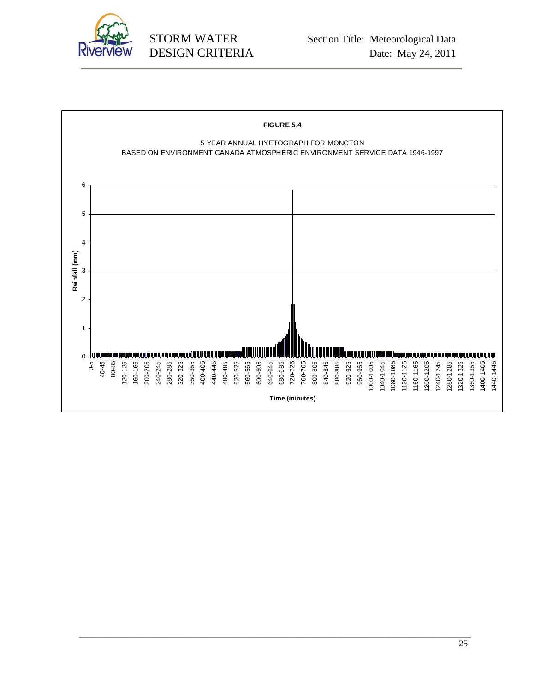

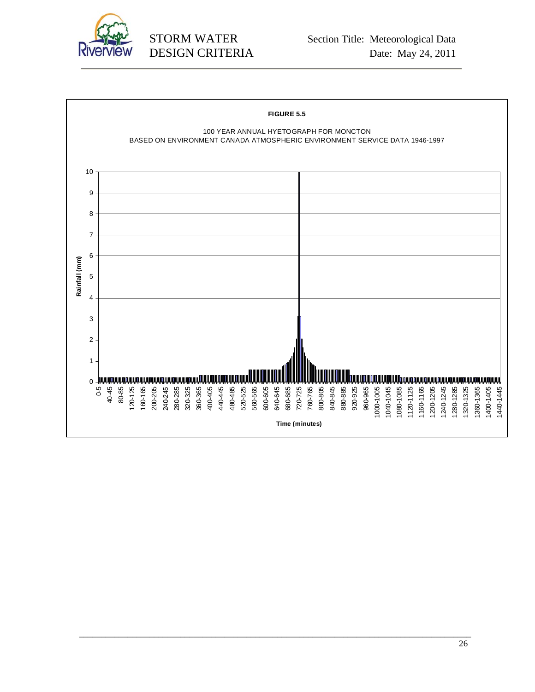

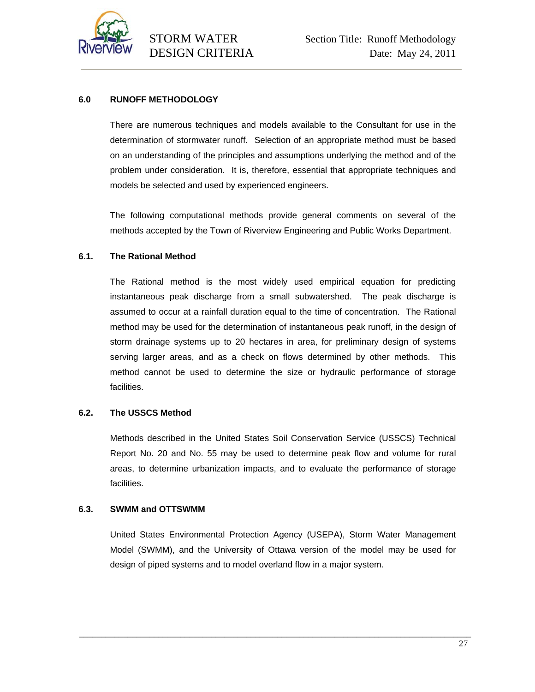

# **6.0 RUNOFF METHODOLOGY**

There are numerous techniques and models available to the Consultant for use in the determination of stormwater runoff. Selection of an appropriate method must be based on an understanding of the principles and assumptions underlying the method and of the problem under consideration. It is, therefore, essential that appropriate techniques and models be selected and used by experienced engineers.

The following computational methods provide general comments on several of the methods accepted by the Town of Riverview Engineering and Public Works Department.

# **6.1. The Rational Method**

The Rational method is the most widely used empirical equation for predicting instantaneous peak discharge from a small subwatershed. The peak discharge is assumed to occur at a rainfall duration equal to the time of concentration. The Rational method may be used for the determination of instantaneous peak runoff, in the design of storm drainage systems up to 20 hectares in area, for preliminary design of systems serving larger areas, and as a check on flows determined by other methods. This method cannot be used to determine the size or hydraulic performance of storage facilities.

# **6.2. The USSCS Method**

Methods described in the United States Soil Conservation Service (USSCS) Technical Report No. 20 and No. 55 may be used to determine peak flow and volume for rural areas, to determine urbanization impacts, and to evaluate the performance of storage facilities.

# **6.3. SWMM and OTTSWMM**

United States Environmental Protection Agency (USEPA), Storm Water Management Model (SWMM), and the University of Ottawa version of the model may be used for design of piped systems and to model overland flow in a major system.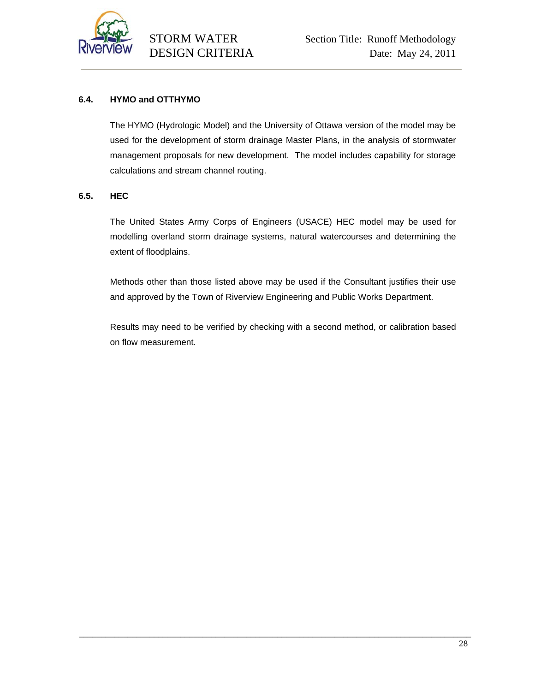

# **6.4. HYMO and OTTHYMO**

The HYMO (Hydrologic Model) and the University of Ottawa version of the model may be used for the development of storm drainage Master Plans, in the analysis of stormwater management proposals for new development. The model includes capability for storage calculations and stream channel routing.

# **6.5. HEC**

The United States Army Corps of Engineers (USACE) HEC model may be used for modelling overland storm drainage systems, natural watercourses and determining the extent of floodplains.

Methods other than those listed above may be used if the Consultant justifies their use and approved by the Town of Riverview Engineering and Public Works Department.

Results may need to be verified by checking with a second method, or calibration based on flow measurement.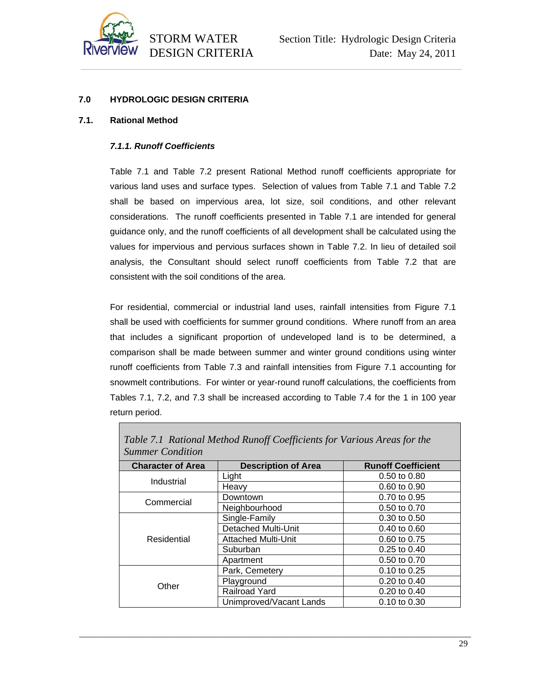

# **7.0 HYDROLOGIC DESIGN CRITERIA**

#### **7.1. Rational Method**

### *7.1.1. Runoff Coefficients*

Table 7.1 and Table 7.2 present Rational Method runoff coefficients appropriate for various land uses and surface types. Selection of values from Table 7.1 and Table 7.2 shall be based on impervious area, lot size, soil conditions, and other relevant considerations. The runoff coefficients presented in Table 7.1 are intended for general guidance only, and the runoff coefficients of all development shall be calculated using the values for impervious and pervious surfaces shown in Table 7.2. In lieu of detailed soil analysis, the Consultant should select runoff coefficients from Table 7.2 that are consistent with the soil conditions of the area.

For residential, commercial or industrial land uses, rainfall intensities from Figure 7.1 shall be used with coefficients for summer ground conditions. Where runoff from an area that includes a significant proportion of undeveloped land is to be determined, a comparison shall be made between summer and winter ground conditions using winter runoff coefficients from Table 7.3 and rainfall intensities from Figure 7.1 accounting for snowmelt contributions. For winter or year-round runoff calculations, the coefficients from Tables 7.1, 7.2, and 7.3 shall be increased according to Table 7.4 for the 1 in 100 year return period.

| Table 7.1 Rational Method Runoff Coefficients for Various Areas for the<br><b>Summer Condition</b> |                            |                           |  |
|----------------------------------------------------------------------------------------------------|----------------------------|---------------------------|--|
| <b>Character of Area</b>                                                                           | <b>Description of Area</b> | <b>Runoff Coefficient</b> |  |
| Industrial                                                                                         | Light                      | $0.50$ to $0.80$          |  |
|                                                                                                    | Heavy                      | 0.60 to 0.90              |  |
| Commercial                                                                                         | Downtown                   | 0.70 to 0.95              |  |
|                                                                                                    | Neighbourhood              | 0.50 to 0.70              |  |
|                                                                                                    | Single-Family              | 0.30 to 0.50              |  |
|                                                                                                    | <b>Detached Multi-Unit</b> | 0.40 to 0.60              |  |
| Residential                                                                                        | <b>Attached Multi-Unit</b> | 0.60 to 0.75              |  |
|                                                                                                    | Suburban                   | 0.25 to 0.40              |  |
|                                                                                                    | Apartment                  | 0.50 to 0.70              |  |
|                                                                                                    | Park, Cemetery             | $0.10$ to $0.25$          |  |
| Other                                                                                              | Playground                 | $0.20 \text{ to } 0.40$   |  |
|                                                                                                    | Railroad Yard              | $0.20 \text{ to } 0.40$   |  |
|                                                                                                    | Unimproved/Vacant Lands    | $0.10$ to $0.30$          |  |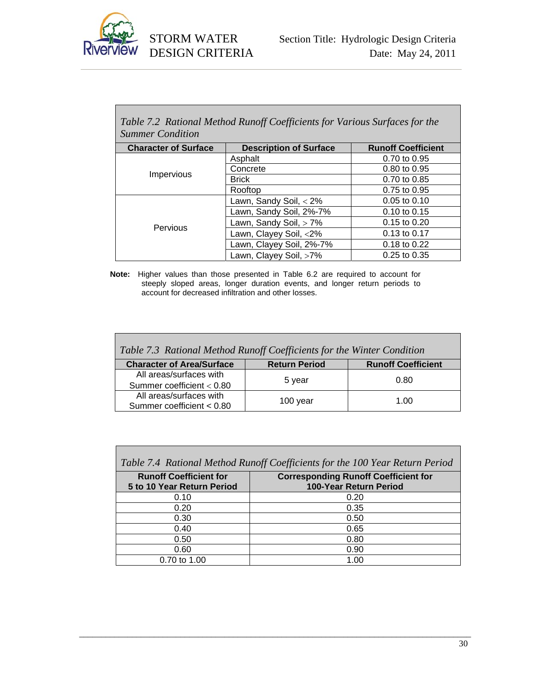

| Table 7.2 Rational Method Runoff Coefficients for Various Surfaces for the<br><b>Summer Condition</b> |                               |                           |  |
|-------------------------------------------------------------------------------------------------------|-------------------------------|---------------------------|--|
| <b>Character of Surface</b>                                                                           | <b>Description of Surface</b> | <b>Runoff Coefficient</b> |  |
|                                                                                                       | Asphalt                       | 0.70 to 0.95              |  |
|                                                                                                       | Concrete                      | $0.80 \text{ to } 0.95$   |  |
| <b>Impervious</b>                                                                                     | <b>Brick</b>                  | 0.70 to 0.85              |  |
|                                                                                                       | Rooftop                       | 0.75 to 0.95              |  |
|                                                                                                       | Lawn, Sandy Soil, $<$ 2%      | $0.05$ to $0.10$          |  |
|                                                                                                       | Lawn, Sandy Soil, 2%-7%       | $0.10$ to $0.15$          |  |
| Pervious                                                                                              | Lawn, Sandy Soil, > 7%        | 0.15 to 0.20              |  |
|                                                                                                       | Lawn, Clayey Soil, <2%        | 0.13 to 0.17              |  |
|                                                                                                       | Lawn, Clayey Soil, 2%-7%      | 0.18 to 0.22              |  |
|                                                                                                       | Lawn, Clayey Soil, >7%        | $0.25$ to $0.35$          |  |

**Note:** Higher values than those presented in Table 6.2 are required to account for steeply sloped areas, longer duration events, and longer return periods to account for decreased infiltration and other losses.

| Table 7.3 Rational Method Runoff Coefficients for the Winter Condition |                      |                           |  |
|------------------------------------------------------------------------|----------------------|---------------------------|--|
| <b>Character of Area/Surface</b>                                       | <b>Return Period</b> | <b>Runoff Coefficient</b> |  |
| All areas/surfaces with                                                | 5 year               | 0.80                      |  |
| Summer coefficient $< 0.80$                                            |                      |                           |  |
| All areas/surfaces with                                                | 100 year             | 1.00                      |  |
| Summer coefficient < 0.80                                              |                      |                           |  |

| Table 7.4 Rational Method Runoff Coefficients for the 100 Year Return Period |                                                                       |  |  |
|------------------------------------------------------------------------------|-----------------------------------------------------------------------|--|--|
| <b>Runoff Coefficient for</b><br>5 to 10 Year Return Period                  | <b>Corresponding Runoff Coefficient for</b><br>100-Year Return Period |  |  |
|                                                                              |                                                                       |  |  |
| 0.10                                                                         | 0.20                                                                  |  |  |
| 0.20                                                                         | 0.35                                                                  |  |  |
| 0.30                                                                         | 0.50                                                                  |  |  |
| 0.40                                                                         | 0.65                                                                  |  |  |
| 0.50                                                                         | 0.80                                                                  |  |  |
| 0.60                                                                         | 0.90                                                                  |  |  |
| 0.70 to 1.00                                                                 | 1.00                                                                  |  |  |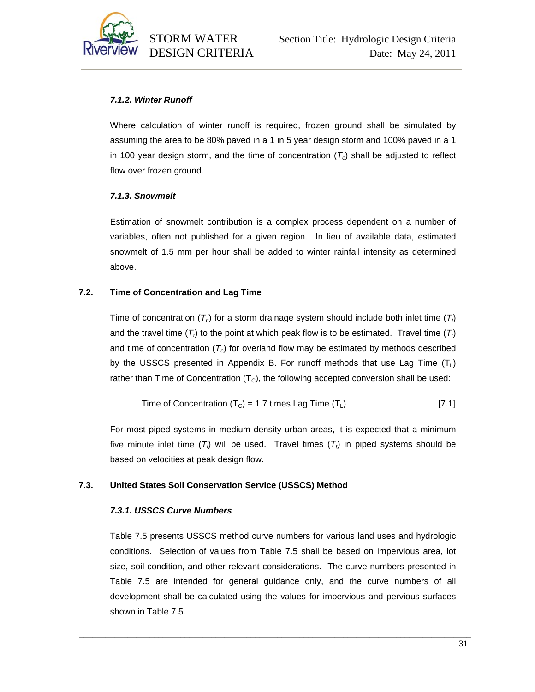

# *7.1.2. Winter Runoff*

Where calculation of winter runoff is required, frozen ground shall be simulated by assuming the area to be 80% paved in a 1 in 5 year design storm and 100% paved in a 1 in 100 year design storm, and the time of concentration  $(T_c)$  shall be adjusted to reflect flow over frozen ground.

# *7.1.3. Snowmelt*

Estimation of snowmelt contribution is a complex process dependent on a number of variables, often not published for a given region. In lieu of available data, estimated snowmelt of 1.5 mm per hour shall be added to winter rainfall intensity as determined above.

# **7.2. Time of Concentration and Lag Time**

Time of concentration (*Tc*) for a storm drainage system should include both inlet time (*Ti* ) and the travel time  $(T<sub>t</sub>)$  to the point at which peak flow is to be estimated. Travel time  $(T<sub>t</sub>)$ and time of concentration  $(T_c)$  for overland flow may be estimated by methods described by the USSCS presented in Appendix B. For runoff methods that use Lag Time  $(T_L)$ rather than Time of Concentration  $(T<sub>C</sub>)$ , the following accepted conversion shall be used:

Time of Concentration 
$$
(T_c) = 1.7
$$
 times Lag Time  $(T_L)$  [7.1]

For most piped systems in medium density urban areas, it is expected that a minimum five minute inlet time  $(T_i)$  will be used. Travel times  $(T_t)$  in piped systems should be based on velocities at peak design flow.

# **7.3. United States Soil Conservation Service (USSCS) Method**

# *7.3.1. USSCS Curve Numbers*

Table 7.5 presents USSCS method curve numbers for various land uses and hydrologic conditions. Selection of values from Table 7.5 shall be based on impervious area, lot size, soil condition, and other relevant considerations. The curve numbers presented in Table 7.5 are intended for general guidance only, and the curve numbers of all development shall be calculated using the values for impervious and pervious surfaces shown in Table 7.5.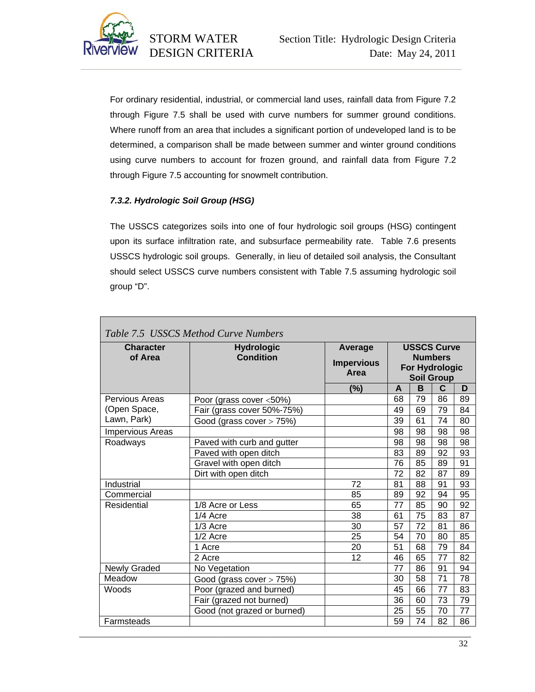

For ordinary residential, industrial, or commercial land uses, rainfall data from Figure 7.2 through Figure 7.5 shall be used with curve numbers for summer ground conditions. Where runoff from an area that includes a significant portion of undeveloped land is to be determined, a comparison shall be made between summer and winter ground conditions using curve numbers to account for frozen ground, and rainfall data from Figure 7.2 through Figure 7.5 accounting for snowmelt contribution.

# *7.3.2. Hydrologic Soil Group (HSG)*

The USSCS categorizes soils into one of four hydrologic soil groups (HSG) contingent upon its surface infiltration rate, and subsurface permeability rate. Table 7.6 presents USSCS hydrologic soil groups. Generally, in lieu of detailed soil analysis, the Consultant should select USSCS curve numbers consistent with Table 7.5 assuming hydrologic soil group "D".

| <b>Character</b><br><b>Hydrologic</b><br><b>Condition</b><br>of Area |                              | Average<br><b>Impervious</b><br>Area |    | <b>USSCS Curve</b><br><b>For Hydrologic</b><br><b>Soil Group</b> | <b>Numbers</b>  |  |
|----------------------------------------------------------------------|------------------------------|--------------------------------------|----|------------------------------------------------------------------|-----------------|--|
|                                                                      |                              | (%)                                  | A  | B                                                                | $\mathbf{C}$    |  |
| Pervious Areas                                                       | Poor (grass cover <50%)      |                                      | 68 | 79                                                               | 86              |  |
| (Open Space,                                                         | Fair (grass cover 50%-75%)   |                                      | 49 | 69                                                               | 79              |  |
| Lawn, Park)                                                          | Good (grass cover $> 75\%$ ) |                                      | 39 | 61                                                               | 74              |  |
| Impervious Areas                                                     |                              |                                      | 98 | 98                                                               | 98              |  |
| Roadways                                                             | Paved with curb and gutter   |                                      | 98 | 98                                                               | 98              |  |
|                                                                      | Paved with open ditch        |                                      | 83 | 89                                                               | 92              |  |
|                                                                      | Gravel with open ditch       |                                      | 76 | 85                                                               | 89              |  |
|                                                                      | Dirt with open ditch         |                                      | 72 | 82                                                               | 87              |  |
| Industrial                                                           |                              | $\overline{72}$                      | 81 | 88                                                               | 91              |  |
| Commercial                                                           |                              | 85                                   | 89 | 92                                                               | 94              |  |
| Residential                                                          | 1/8 Acre or Less             | 65                                   | 77 | 85                                                               | 90              |  |
|                                                                      | 1/4 Acre                     | 38                                   | 61 | 75                                                               | 83              |  |
|                                                                      | $1/3$ Acre                   | 30                                   | 57 | 72                                                               | 81              |  |
|                                                                      | $1/2$ Acre                   | 25                                   | 54 | 70                                                               | 80              |  |
|                                                                      | 1 Acre                       | 20                                   | 51 | 68                                                               | 79              |  |
|                                                                      | 2 Acre                       | 12                                   | 46 | 65                                                               | 77              |  |
| <b>Newly Graded</b>                                                  | No Vegetation                |                                      | 77 | 86                                                               | 91              |  |
| Meadow                                                               | Good (grass cover > 75%)     |                                      | 30 | 58                                                               | $\overline{71}$ |  |
| Woods                                                                | Poor (grazed and burned)     |                                      | 45 | 66                                                               | 77              |  |
|                                                                      | Fair (grazed not burned)     |                                      | 36 | 60                                                               | 73              |  |
|                                                                      | Good (not grazed or burned)  |                                      | 25 | 55                                                               | 70              |  |
| Farmsteads                                                           |                              |                                      | 59 | 74                                                               | 82              |  |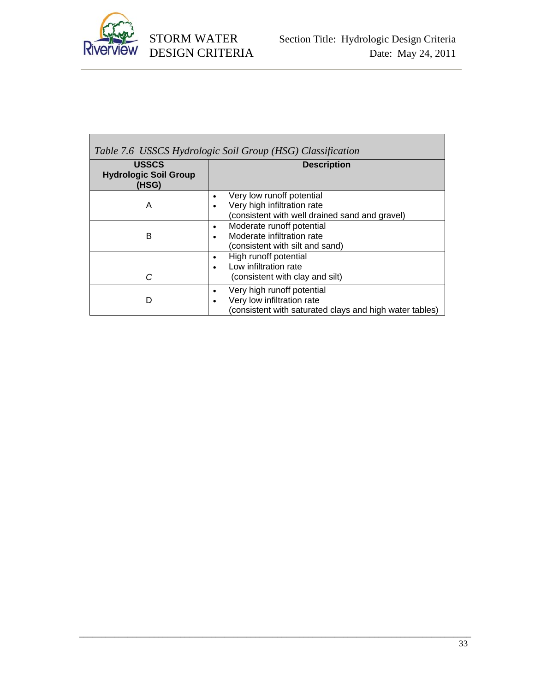

| Table 7.6 USSCS Hydrologic Soil Group (HSG) Classification |                                                                                                                          |  |
|------------------------------------------------------------|--------------------------------------------------------------------------------------------------------------------------|--|
| <b>USSCS</b><br><b>Hydrologic Soil Group</b><br>(HSG)      | <b>Description</b>                                                                                                       |  |
| Α                                                          | Very low runoff potential<br>٠<br>Very high infiltration rate<br>(consistent with well drained sand and gravel)          |  |
| в                                                          | Moderate runoff potential<br>٠<br>Moderate infiltration rate<br>(consistent with silt and sand)                          |  |
| C                                                          | High runoff potential<br>٠<br>Low infiltration rate<br>(consistent with clay and silt)                                   |  |
| D                                                          | Very high runoff potential<br>٠<br>Very low infiltration rate<br>(consistent with saturated clays and high water tables) |  |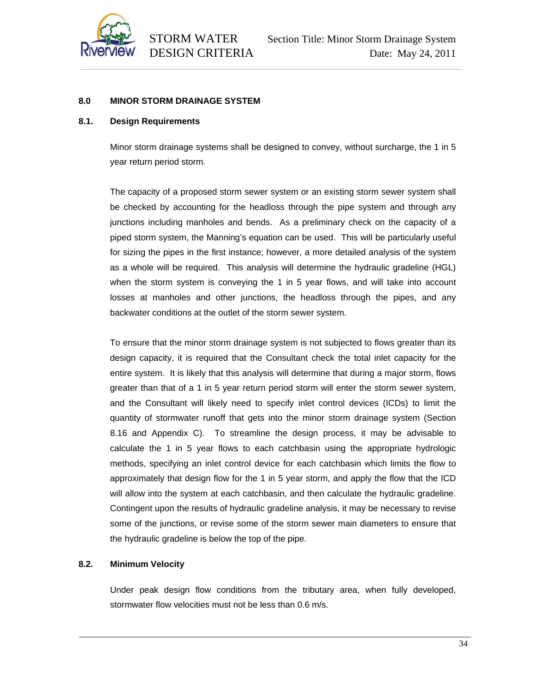

#### **8.0 MINOR STORM DRAINAGE SYSTEM**

#### **8.1. Design Requirements**

Minor storm drainage systems shall be designed to convey, without surcharge, the 1 in 5 year return period storm.

The capacity of a proposed storm sewer system or an existing storm sewer system shall be checked by accounting for the headloss through the pipe system and through any junctions including manholes and bends. As a preliminary check on the capacity of a piped storm system, the Manning's equation can be used. This will be particularly useful for sizing the pipes in the first instance; however, a more detailed analysis of the system as a whole will be required. This analysis will determine the hydraulic gradeline (HGL) when the storm system is conveying the 1 in 5 year flows, and will take into account losses at manholes and other junctions, the headloss through the pipes, and any backwater conditions at the outlet of the storm sewer system.

To ensure that the minor storm drainage system is not subjected to flows greater than its design capacity, it is required that the Consultant check the total inlet capacity for the entire system. It is likely that this analysis will determine that during a major storm, flows greater than that of a 1 in 5 year return period storm will enter the storm sewer system, and the Consultant will likely need to specify inlet control devices (ICDs) to limit the quantity of stormwater runoff that gets into the minor storm drainage system (Section 8.16 and Appendix C). To streamline the design process, it may be advisable to calculate the 1 in 5 year flows to each catchbasin using the appropriate hydrologic methods, specifying an inlet control device for each catchbasin which limits the flow to approximately that design flow for the 1 in 5 year storm, and apply the flow that the ICD will allow into the system at each catchbasin, and then calculate the hydraulic gradeline. Contingent upon the results of hydraulic gradeline analysis, it may be necessary to revise some of the junctions, or revise some of the storm sewer main diameters to ensure that the hydraulic gradeline is below the top of the pipe.

#### **8.2. Minimum Velocity**

Under peak design flow conditions from the tributary area, when fully developed, stormwater flow velocities must not be less than 0.6 m/s.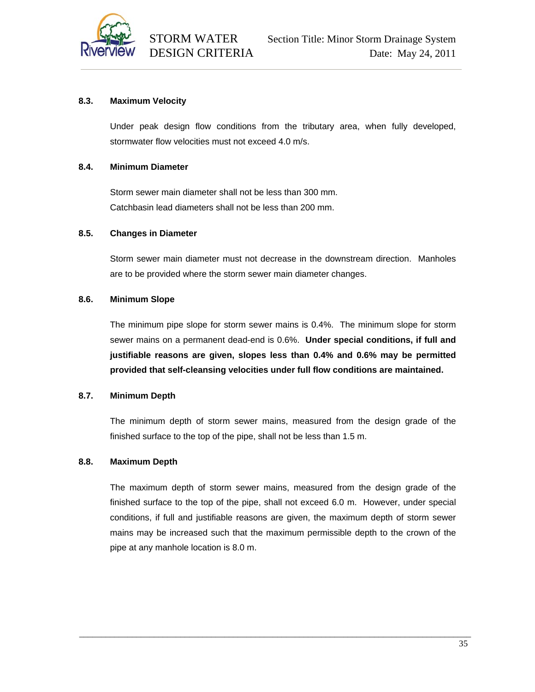

# **8.3. Maximum Velocity**

Under peak design flow conditions from the tributary area, when fully developed, stormwater flow velocities must not exceed 4.0 m/s.

#### **8.4. Minimum Diameter**

Storm sewer main diameter shall not be less than 300 mm. Catchbasin lead diameters shall not be less than 200 mm.

#### **8.5. Changes in Diameter**

Storm sewer main diameter must not decrease in the downstream direction. Manholes are to be provided where the storm sewer main diameter changes.

#### **8.6. Minimum Slope**

The minimum pipe slope for storm sewer mains is 0.4%. The minimum slope for storm sewer mains on a permanent dead-end is 0.6%. **Under special conditions, if full and justifiable reasons are given, slopes less than 0.4% and 0.6% may be permitted provided that self-cleansing velocities under full flow conditions are maintained.**

# **8.7. Minimum Depth**

The minimum depth of storm sewer mains, measured from the design grade of the finished surface to the top of the pipe, shall not be less than 1.5 m.

# **8.8. Maximum Depth**

The maximum depth of storm sewer mains, measured from the design grade of the finished surface to the top of the pipe, shall not exceed 6.0 m. However, under special conditions, if full and justifiable reasons are given, the maximum depth of storm sewer mains may be increased such that the maximum permissible depth to the crown of the pipe at any manhole location is 8.0 m.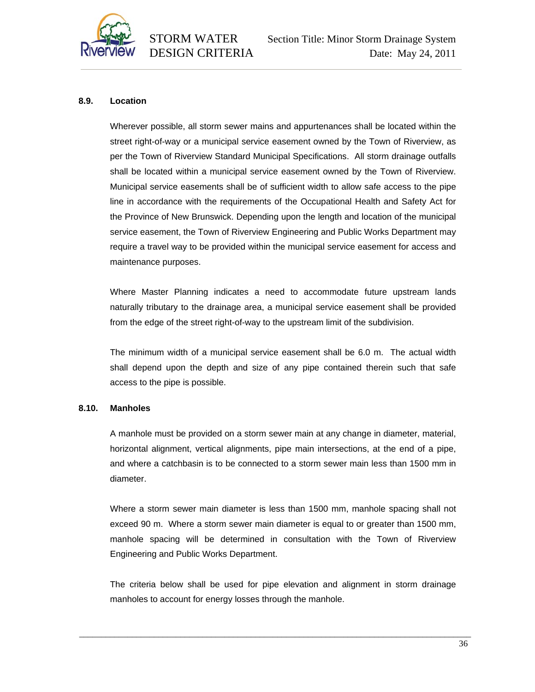

# **8.9. Location**

Wherever possible, all storm sewer mains and appurtenances shall be located within the street right-of-way or a municipal service easement owned by the Town of Riverview, as per the Town of Riverview Standard Municipal Specifications. All storm drainage outfalls shall be located within a municipal service easement owned by the Town of Riverview. Municipal service easements shall be of sufficient width to allow safe access to the pipe line in accordance with the requirements of the Occupational Health and Safety Act for the Province of New Brunswick. Depending upon the length and location of the municipal service easement, the Town of Riverview Engineering and Public Works Department may require a travel way to be provided within the municipal service easement for access and maintenance purposes.

Where Master Planning indicates a need to accommodate future upstream lands naturally tributary to the drainage area, a municipal service easement shall be provided from the edge of the street right-of-way to the upstream limit of the subdivision.

The minimum width of a municipal service easement shall be 6.0 m. The actual width shall depend upon the depth and size of any pipe contained therein such that safe access to the pipe is possible.

#### **8.10. Manholes**

A manhole must be provided on a storm sewer main at any change in diameter, material, horizontal alignment, vertical alignments, pipe main intersections, at the end of a pipe, and where a catchbasin is to be connected to a storm sewer main less than 1500 mm in diameter.

Where a storm sewer main diameter is less than 1500 mm, manhole spacing shall not exceed 90 m. Where a storm sewer main diameter is equal to or greater than 1500 mm, manhole spacing will be determined in consultation with the Town of Riverview Engineering and Public Works Department.

The criteria below shall be used for pipe elevation and alignment in storm drainage manholes to account for energy losses through the manhole.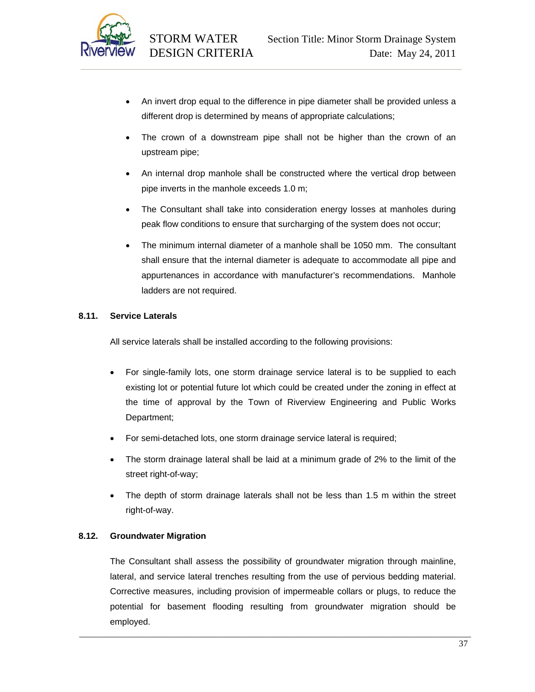

- An invert drop equal to the difference in pipe diameter shall be provided unless a different drop is determined by means of appropriate calculations;
- The crown of a downstream pipe shall not be higher than the crown of an upstream pipe;
- An internal drop manhole shall be constructed where the vertical drop between pipe inverts in the manhole exceeds 1.0 m;
- The Consultant shall take into consideration energy losses at manholes during peak flow conditions to ensure that surcharging of the system does not occur;
- The minimum internal diameter of a manhole shall be 1050 mm. The consultant shall ensure that the internal diameter is adequate to accommodate all pipe and appurtenances in accordance with manufacturer's recommendations. Manhole ladders are not required.

# **8.11. Service Laterals**

All service laterals shall be installed according to the following provisions:

- For single-family lots, one storm drainage service lateral is to be supplied to each existing lot or potential future lot which could be created under the zoning in effect at the time of approval by the Town of Riverview Engineering and Public Works Department;
- For semi-detached lots, one storm drainage service lateral is required;
- The storm drainage lateral shall be laid at a minimum grade of 2% to the limit of the street right-of-way;
- The depth of storm drainage laterals shall not be less than 1.5 m within the street right-of-way.

# **8.12. Groundwater Migration**

The Consultant shall assess the possibility of groundwater migration through mainline, lateral, and service lateral trenches resulting from the use of pervious bedding material. Corrective measures, including provision of impermeable collars or plugs, to reduce the potential for basement flooding resulting from groundwater migration should be employed.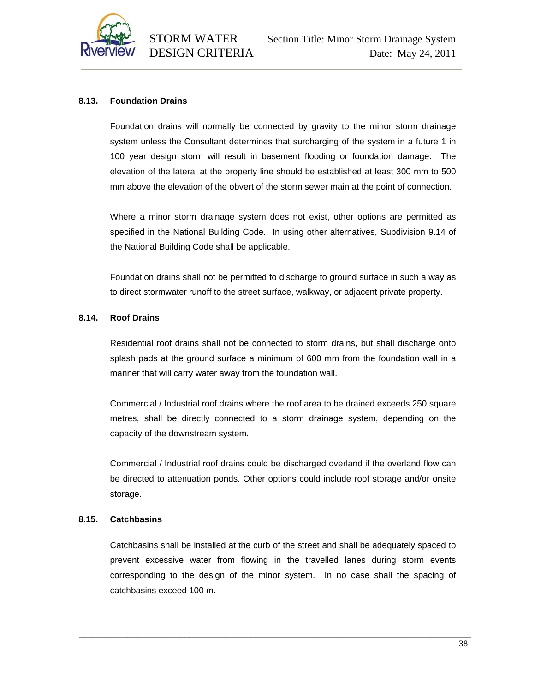

# **8.13. Foundation Drains**

Foundation drains will normally be connected by gravity to the minor storm drainage system unless the Consultant determines that surcharging of the system in a future 1 in 100 year design storm will result in basement flooding or foundation damage. The elevation of the lateral at the property line should be established at least 300 mm to 500 mm above the elevation of the obvert of the storm sewer main at the point of connection.

Where a minor storm drainage system does not exist, other options are permitted as specified in the National Building Code. In using other alternatives, Subdivision 9.14 of the National Building Code shall be applicable.

Foundation drains shall not be permitted to discharge to ground surface in such a way as to direct stormwater runoff to the street surface, walkway, or adjacent private property.

#### **8.14. Roof Drains**

Residential roof drains shall not be connected to storm drains, but shall discharge onto splash pads at the ground surface a minimum of 600 mm from the foundation wall in a manner that will carry water away from the foundation wall.

Commercial / Industrial roof drains where the roof area to be drained exceeds 250 square metres, shall be directly connected to a storm drainage system, depending on the capacity of the downstream system.

Commercial / Industrial roof drains could be discharged overland if the overland flow can be directed to attenuation ponds. Other options could include roof storage and/or onsite storage.

#### **8.15. Catchbasins**

Catchbasins shall be installed at the curb of the street and shall be adequately spaced to prevent excessive water from flowing in the travelled lanes during storm events corresponding to the design of the minor system. In no case shall the spacing of catchbasins exceed 100 m.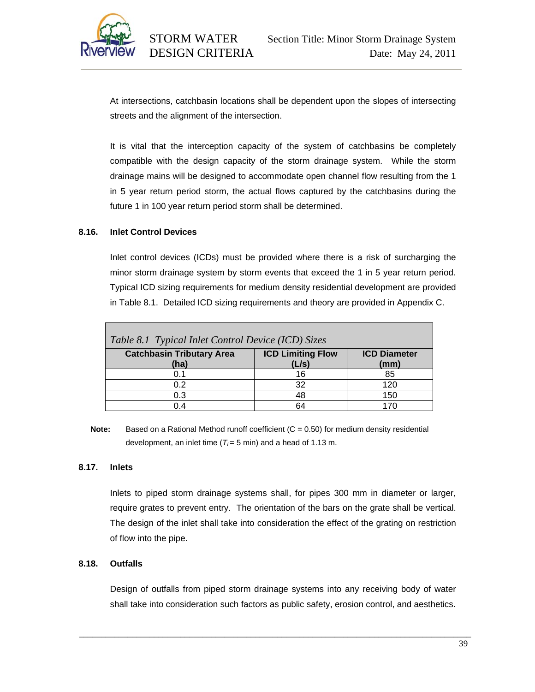

At intersections, catchbasin locations shall be dependent upon the slopes of intersecting streets and the alignment of the intersection.

It is vital that the interception capacity of the system of catchbasins be completely compatible with the design capacity of the storm drainage system. While the storm drainage mains will be designed to accommodate open channel flow resulting from the 1 in 5 year return period storm, the actual flows captured by the catchbasins during the future 1 in 100 year return period storm shall be determined.

# **8.16. Inlet Control Devices**

Inlet control devices (ICDs) must be provided where there is a risk of surcharging the minor storm drainage system by storm events that exceed the 1 in 5 year return period. Typical ICD sizing requirements for medium density residential development are provided in Table 8.1. Detailed ICD sizing requirements and theory are provided in Appendix C.

| Table 8.1 Typical Inlet Control Device (ICD) Sizes |                                   |                             |  |
|----------------------------------------------------|-----------------------------------|-----------------------------|--|
| <b>Catchbasin Tributary Area</b><br>(ha)           | <b>ICD Limiting Flow</b><br>(L/s) | <b>ICD Diameter</b><br>(mm) |  |
| 0.1                                                | 16                                | 85                          |  |
| 0.2                                                | 32                                | 120                         |  |
| 0.3                                                | 48                                | 150                         |  |
|                                                    | 64                                |                             |  |

**Note:** Based on a Rational Method runoff coefficient (C = 0.50) for medium density residential development, an inlet time  $(T_i = 5 \text{ min})$  and a head of 1.13 m.

#### **8.17. Inlets**

Inlets to piped storm drainage systems shall, for pipes 300 mm in diameter or larger, require grates to prevent entry. The orientation of the bars on the grate shall be vertical. The design of the inlet shall take into consideration the effect of the grating on restriction of flow into the pipe.

#### **8.18. Outfalls**

Design of outfalls from piped storm drainage systems into any receiving body of water shall take into consideration such factors as public safety, erosion control, and aesthetics.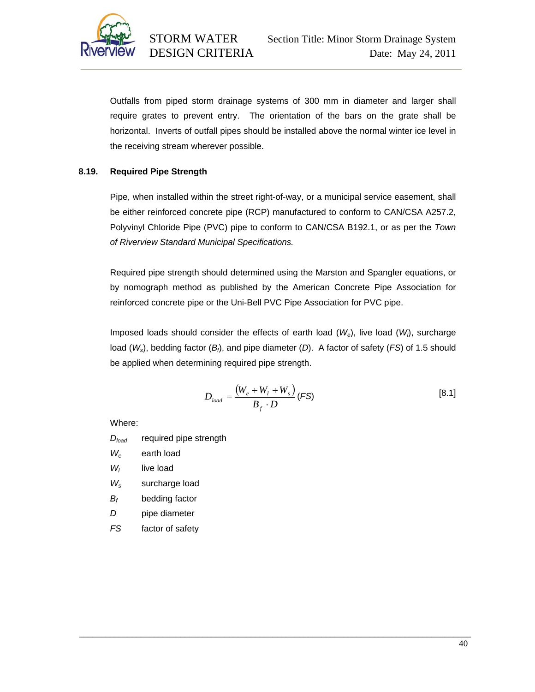

Outfalls from piped storm drainage systems of 300 mm in diameter and larger shall require grates to prevent entry. The orientation of the bars on the grate shall be horizontal. Inverts of outfall pipes should be installed above the normal winter ice level in the receiving stream wherever possible.

# **8.19. Required Pipe Strength**

Pipe, when installed within the street right-of-way, or a municipal service easement, shall be either reinforced concrete pipe (RCP) manufactured to conform to CAN/CSA A257.2, Polyvinyl Chloride Pipe (PVC) pipe to conform to CAN/CSA B192.1, or as per the *Town of Riverview Standard Municipal Specifications.* 

Required pipe strength should determined using the Marston and Spangler equations, or by nomograph method as published by the American Concrete Pipe Association for reinforced concrete pipe or the Uni-Bell PVC Pipe Association for PVC pipe.

Imposed loads should consider the effects of earth load (*We*), live load (*Wl* ), surcharge load (*Ws*), bedding factor (*Bf*), and pipe diameter (*D*). A factor of safety (*FS*) of 1.5 should be applied when determining required pipe strength.

\_\_\_\_\_\_\_\_\_\_\_\_\_\_\_\_\_\_\_\_\_\_\_\_\_\_\_\_\_\_\_\_\_\_\_\_\_\_\_\_\_\_\_\_\_\_\_\_\_\_\_\_\_\_\_\_\_\_\_\_\_\_\_\_\_\_\_\_\_\_\_\_\_\_\_\_\_\_\_\_\_\_\_\_\_\_\_\_\_

$$
D_{load} = \frac{(W_e + W_l + W_s)}{B_f \cdot D} \text{ (FS)}
$$
 [8.1]

Where:

- *Dload* required pipe strength
- *We* earth load
- *Wl* live load
- *Ws* surcharge load
- *Bf* bedding factor
- *D* pipe diameter
- *FS* factor of safety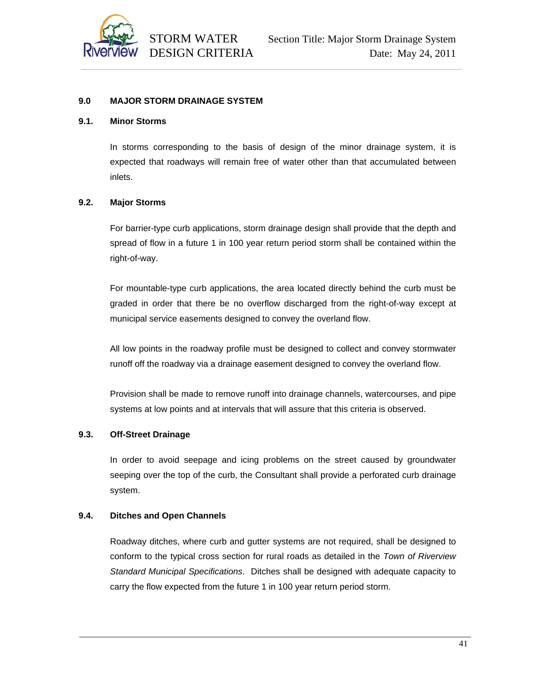

#### **9.0 MAJOR STORM DRAINAGE SYSTEM**

#### **9.1. Minor Storms**

In storms corresponding to the basis of design of the minor drainage system, it is expected that roadways will remain free of water other than that accumulated between inlets.

#### **9.2. Major Storms**

For barrier-type curb applications, storm drainage design shall provide that the depth and spread of flow in a future 1 in 100 year return period storm shall be contained within the right-of-way.

For mountable-type curb applications, the area located directly behind the curb must be graded in order that there be no overflow discharged from the right-of-way except at municipal service easements designed to convey the overland flow.

All low points in the roadway profile must be designed to collect and convey stormwater runoff off the roadway via a drainage easement designed to convey the overland flow.

Provision shall be made to remove runoff into drainage channels, watercourses, and pipe systems at low points and at intervals that will assure that this criteria is observed.

# **9.3. Off-Street Drainage**

In order to avoid seepage and icing problems on the street caused by groundwater seeping over the top of the curb, the Consultant shall provide a perforated curb drainage system.

# **9.4. Ditches and Open Channels**

Roadway ditches, where curb and gutter systems are not required, shall be designed to conform to the typical cross section for rural roads as detailed in the *Town of Riverview Standard Municipal Specifications*. Ditches shall be designed with adequate capacity to carry the flow expected from the future 1 in 100 year return period storm.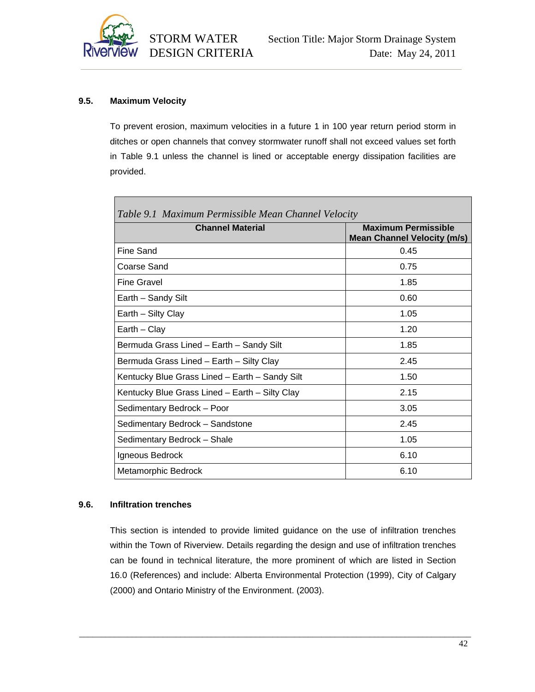

# **9.5. Maximum Velocity**

To prevent erosion, maximum velocities in a future 1 in 100 year return period storm in ditches or open channels that convey stormwater runoff shall not exceed values set forth in Table 9.1 unless the channel is lined or acceptable energy dissipation facilities are provided.

| Table 9.1 Maximum Permissible Mean Channel Velocity |                                                                  |  |
|-----------------------------------------------------|------------------------------------------------------------------|--|
| <b>Channel Material</b>                             | <b>Maximum Permissible</b><br><b>Mean Channel Velocity (m/s)</b> |  |
| Fine Sand                                           | 0.45                                                             |  |
| Coarse Sand                                         | 0.75                                                             |  |
| Fine Gravel                                         | 1.85                                                             |  |
| Earth - Sandy Silt                                  | 0.60                                                             |  |
| Earth - Silty Clay                                  | 1.05                                                             |  |
| Earth - Clay                                        | 1.20                                                             |  |
| Bermuda Grass Lined - Earth - Sandy Silt            | 1.85                                                             |  |
| Bermuda Grass Lined - Earth - Silty Clay            | 2.45                                                             |  |
| Kentucky Blue Grass Lined - Earth - Sandy Silt      | 1.50                                                             |  |
| Kentucky Blue Grass Lined - Earth - Silty Clay      | 2.15                                                             |  |
| Sedimentary Bedrock - Poor                          | 3.05                                                             |  |
| Sedimentary Bedrock - Sandstone                     | 2.45                                                             |  |
| Sedimentary Bedrock - Shale                         | 1.05                                                             |  |
| Igneous Bedrock                                     | 6.10                                                             |  |
| Metamorphic Bedrock                                 | 6.10                                                             |  |

# **9.6. Infiltration trenches**

This section is intended to provide limited guidance on the use of infiltration trenches within the Town of Riverview. Details regarding the design and use of infiltration trenches can be found in technical literature, the more prominent of which are listed in Section 16.0 (References) and include: Alberta Environmental Protection (1999), City of Calgary (2000) and Ontario Ministry of the Environment. (2003).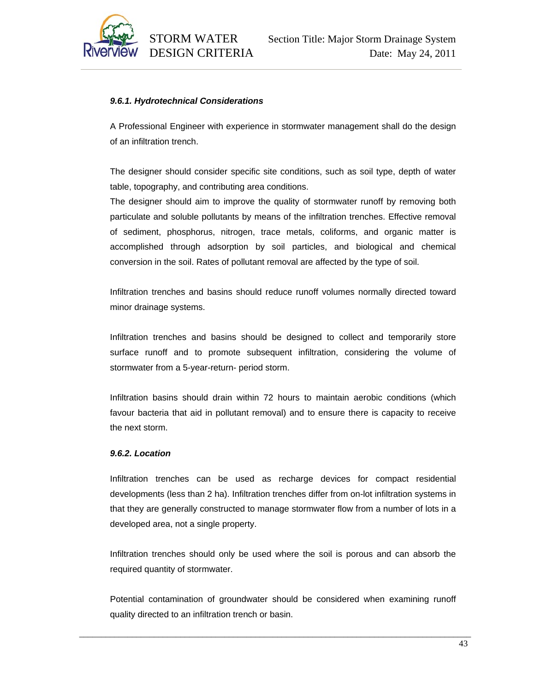

# *9.6.1. Hydrotechnical Considerations*

A Professional Engineer with experience in stormwater management shall do the design of an infiltration trench.

The designer should consider specific site conditions, such as soil type, depth of water table, topography, and contributing area conditions.

The designer should aim to improve the quality of stormwater runoff by removing both particulate and soluble pollutants by means of the infiltration trenches. Effective removal of sediment, phosphorus, nitrogen, trace metals, coliforms, and organic matter is accomplished through adsorption by soil particles, and biological and chemical conversion in the soil. Rates of pollutant removal are affected by the type of soil.

Infiltration trenches and basins should reduce runoff volumes normally directed toward minor drainage systems.

Infiltration trenches and basins should be designed to collect and temporarily store surface runoff and to promote subsequent infiltration, considering the volume of stormwater from a 5-year-return- period storm.

Infiltration basins should drain within 72 hours to maintain aerobic conditions (which favour bacteria that aid in pollutant removal) and to ensure there is capacity to receive the next storm.

#### *9.6.2. Location*

Infiltration trenches can be used as recharge devices for compact residential developments (less than 2 ha). Infiltration trenches differ from on-lot infiltration systems in that they are generally constructed to manage stormwater flow from a number of lots in a developed area, not a single property.

Infiltration trenches should only be used where the soil is porous and can absorb the required quantity of stormwater.

Potential contamination of groundwater should be considered when examining runoff quality directed to an infiltration trench or basin.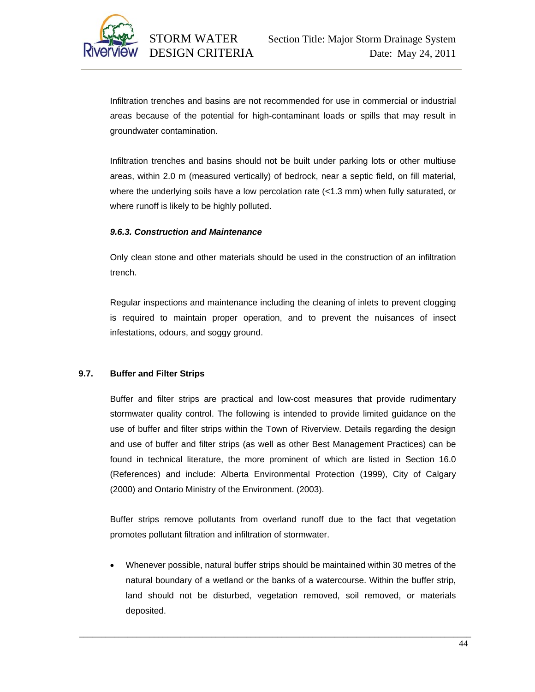

Infiltration trenches and basins are not recommended for use in commercial or industrial areas because of the potential for high-contaminant loads or spills that may result in groundwater contamination.

Infiltration trenches and basins should not be built under parking lots or other multiuse areas, within 2.0 m (measured vertically) of bedrock, near a septic field, on fill material, where the underlying soils have a low percolation rate (<1.3 mm) when fully saturated, or where runoff is likely to be highly polluted.

#### *9.6.3. Construction and Maintenance*

Only clean stone and other materials should be used in the construction of an infiltration trench.

Regular inspections and maintenance including the cleaning of inlets to prevent clogging is required to maintain proper operation, and to prevent the nuisances of insect infestations, odours, and soggy ground.

# **9.7. Buffer and Filter Strips**

Buffer and filter strips are practical and low-cost measures that provide rudimentary stormwater quality control. The following is intended to provide limited guidance on the use of buffer and filter strips within the Town of Riverview. Details regarding the design and use of buffer and filter strips (as well as other Best Management Practices) can be found in technical literature, the more prominent of which are listed in Section 16.0 (References) and include: Alberta Environmental Protection (1999), City of Calgary (2000) and Ontario Ministry of the Environment. (2003).

Buffer strips remove pollutants from overland runoff due to the fact that vegetation promotes pollutant filtration and infiltration of stormwater.

• Whenever possible, natural buffer strips should be maintained within 30 metres of the natural boundary of a wetland or the banks of a watercourse. Within the buffer strip, land should not be disturbed, vegetation removed, soil removed, or materials deposited.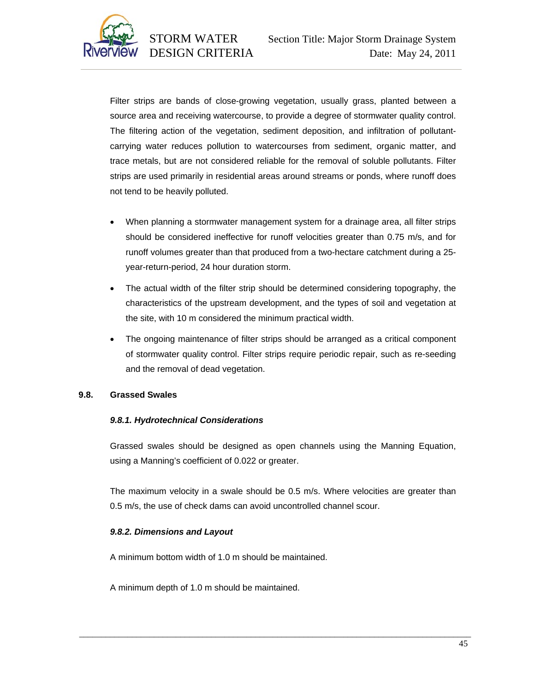

Filter strips are bands of close-growing vegetation, usually grass, planted between a source area and receiving watercourse, to provide a degree of stormwater quality control. The filtering action of the vegetation, sediment deposition, and infiltration of pollutantcarrying water reduces pollution to watercourses from sediment, organic matter, and trace metals, but are not considered reliable for the removal of soluble pollutants. Filter strips are used primarily in residential areas around streams or ponds, where runoff does not tend to be heavily polluted.

- When planning a stormwater management system for a drainage area, all filter strips should be considered ineffective for runoff velocities greater than 0.75 m/s, and for runoff volumes greater than that produced from a two-hectare catchment during a 25 year-return-period, 24 hour duration storm.
- The actual width of the filter strip should be determined considering topography, the characteristics of the upstream development, and the types of soil and vegetation at the site, with 10 m considered the minimum practical width.
- The ongoing maintenance of filter strips should be arranged as a critical component of stormwater quality control. Filter strips require periodic repair, such as re-seeding and the removal of dead vegetation.

#### **9.8. Grassed Swales**

# *9.8.1. Hydrotechnical Considerations*

Grassed swales should be designed as open channels using the Manning Equation, using a Manning's coefficient of 0.022 or greater.

The maximum velocity in a swale should be 0.5 m/s. Where velocities are greater than 0.5 m/s, the use of check dams can avoid uncontrolled channel scour.

\_\_\_\_\_\_\_\_\_\_\_\_\_\_\_\_\_\_\_\_\_\_\_\_\_\_\_\_\_\_\_\_\_\_\_\_\_\_\_\_\_\_\_\_\_\_\_\_\_\_\_\_\_\_\_\_\_\_\_\_\_\_\_\_\_\_\_\_\_\_\_\_\_\_\_\_\_\_\_\_\_\_\_\_\_\_\_\_\_

# *9.8.2. Dimensions and Layout*

A minimum bottom width of 1.0 m should be maintained.

A minimum depth of 1.0 m should be maintained.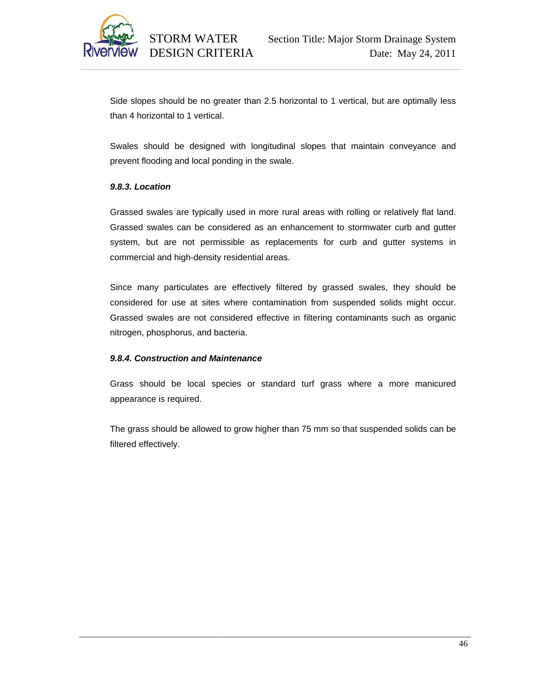

Side slopes should be no greater than 2.5 horizontal to 1 vertical, but are optimally less than 4 horizontal to 1 vertical.

Swales should be designed with longitudinal slopes that maintain conveyance and prevent flooding and local ponding in the swale.

#### *9.8.3. Location*

Grassed swales are typically used in more rural areas with rolling or relatively flat land. Grassed swales can be considered as an enhancement to stormwater curb and gutter system, but are not permissible as replacements for curb and gutter systems in commercial and high-density residential areas.

Since many particulates are effectively filtered by grassed swales, they should be considered for use at sites where contamination from suspended solids might occur. Grassed swales are not considered effective in filtering contaminants such as organic nitrogen, phosphorus, and bacteria.

# *9.8.4. Construction and Maintenance*

Grass should be local species or standard turf grass where a more manicured appearance is required.

The grass should be allowed to grow higher than 75 mm so that suspended solids can be filtered effectively.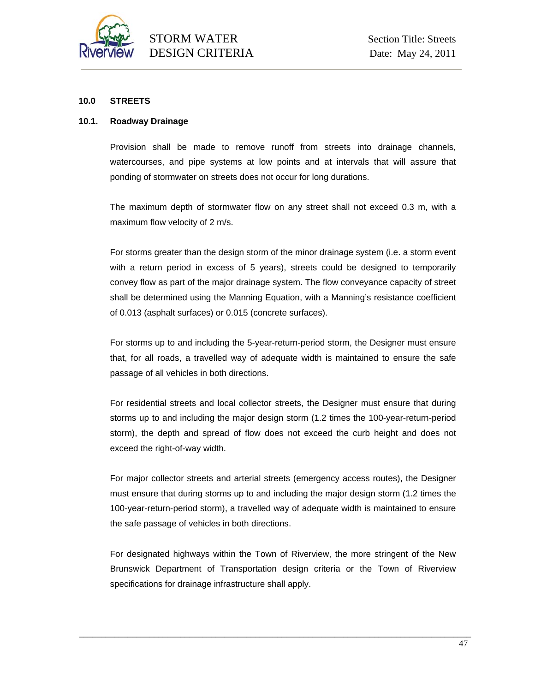

# **10.0 STREETS**

#### **10.1. Roadway Drainage**

Provision shall be made to remove runoff from streets into drainage channels, watercourses, and pipe systems at low points and at intervals that will assure that ponding of stormwater on streets does not occur for long durations.

The maximum depth of stormwater flow on any street shall not exceed 0.3 m, with a maximum flow velocity of 2 m/s.

For storms greater than the design storm of the minor drainage system (i.e. a storm event with a return period in excess of 5 years), streets could be designed to temporarily convey flow as part of the major drainage system. The flow conveyance capacity of street shall be determined using the Manning Equation, with a Manning's resistance coefficient of 0.013 (asphalt surfaces) or 0.015 (concrete surfaces).

For storms up to and including the 5-year-return-period storm, the Designer must ensure that, for all roads, a travelled way of adequate width is maintained to ensure the safe passage of all vehicles in both directions.

For residential streets and local collector streets, the Designer must ensure that during storms up to and including the major design storm (1.2 times the 100-year-return-period storm), the depth and spread of flow does not exceed the curb height and does not exceed the right-of-way width.

For major collector streets and arterial streets (emergency access routes), the Designer must ensure that during storms up to and including the major design storm (1.2 times the 100-year-return-period storm), a travelled way of adequate width is maintained to ensure the safe passage of vehicles in both directions.

For designated highways within the Town of Riverview, the more stringent of the New Brunswick Department of Transportation design criteria or the Town of Riverview specifications for drainage infrastructure shall apply.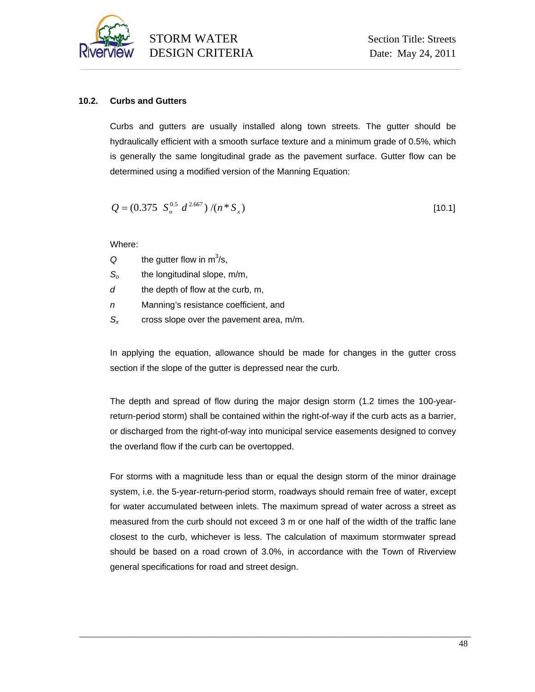

# **10.2. Curbs and Gutters**

Curbs and gutters are usually installed along town streets. The gutter should be hydraulically efficient with a smooth surface texture and a minimum grade of 0.5%, which is generally the same longitudinal grade as the pavement surface. Gutter flow can be determined using a modified version of the Manning Equation:

$$
Q = (0.375 \ S_o^{0.5} d^{2.667}) / (n * S_x)
$$
 [10.1]

Where:

| Q | the gutter flow in $m^3/s$ , |
|---|------------------------------|
|---|------------------------------|

- *So* the longitudinal slope, m/m,
- *d* the depth of flow at the curb, m,
- *n* Manning's resistance coefficient, and
- *Sx* cross slope over the pavement area, m/m.

In applying the equation, allowance should be made for changes in the gutter cross section if the slope of the gutter is depressed near the curb.

The depth and spread of flow during the major design storm (1.2 times the 100-yearreturn-period storm) shall be contained within the right-of-way if the curb acts as a barrier, or discharged from the right-of-way into municipal service easements designed to convey the overland flow if the curb can be overtopped.

For storms with a magnitude less than or equal the design storm of the minor drainage system, i.e. the 5-year-return-period storm, roadways should remain free of water, except for water accumulated between inlets. The maximum spread of water across a street as measured from the curb should not exceed 3 m or one half of the width of the traffic lane closest to the curb, whichever is less. The calculation of maximum stormwater spread should be based on a road crown of 3.0%, in accordance with the Town of Riverview general specifications for road and street design.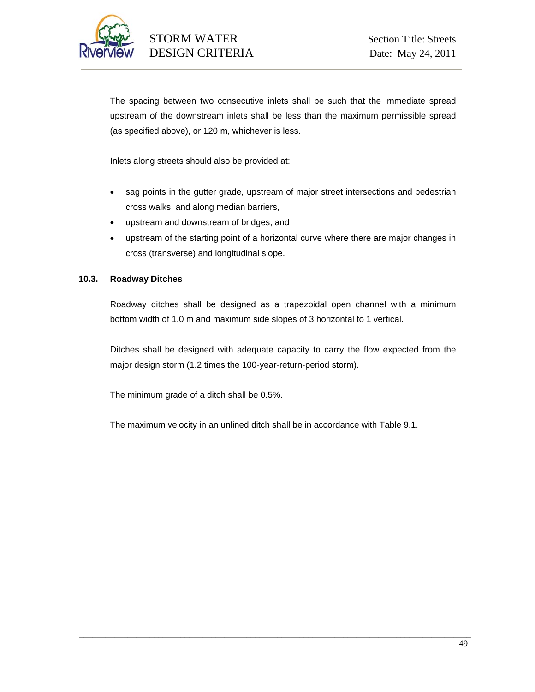

The spacing between two consecutive inlets shall be such that the immediate spread upstream of the downstream inlets shall be less than the maximum permissible spread (as specified above), or 120 m, whichever is less.

Inlets along streets should also be provided at:

- sag points in the gutter grade, upstream of major street intersections and pedestrian cross walks, and along median barriers,
- upstream and downstream of bridges, and
- upstream of the starting point of a horizontal curve where there are major changes in cross (transverse) and longitudinal slope.

# **10.3. Roadway Ditches**

Roadway ditches shall be designed as a trapezoidal open channel with a minimum bottom width of 1.0 m and maximum side slopes of 3 horizontal to 1 vertical.

Ditches shall be designed with adequate capacity to carry the flow expected from the major design storm (1.2 times the 100-year-return-period storm).

The minimum grade of a ditch shall be 0.5%.

The maximum velocity in an unlined ditch shall be in accordance with Table 9.1.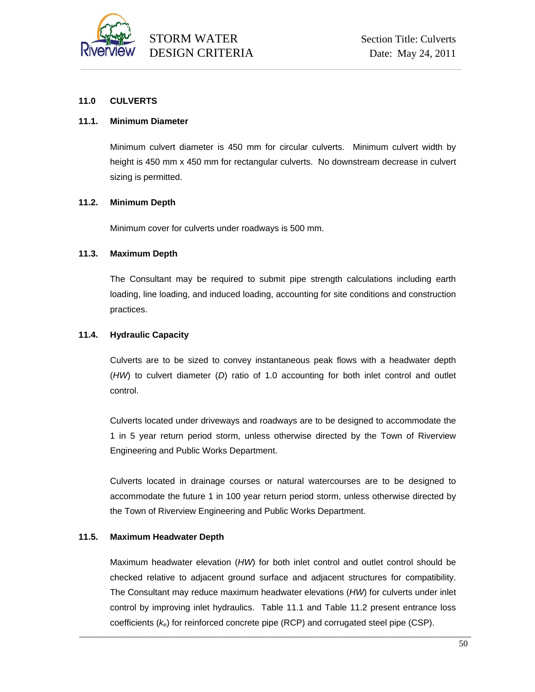

#### **11.0 CULVERTS**

#### **11.1. Minimum Diameter**

Minimum culvert diameter is 450 mm for circular culverts. Minimum culvert width by height is 450 mm x 450 mm for rectangular culverts. No downstream decrease in culvert sizing is permitted.

#### **11.2. Minimum Depth**

Minimum cover for culverts under roadways is 500 mm.

#### **11.3. Maximum Depth**

The Consultant may be required to submit pipe strength calculations including earth loading, line loading, and induced loading, accounting for site conditions and construction practices.

#### **11.4. Hydraulic Capacity**

Culverts are to be sized to convey instantaneous peak flows with a headwater depth (*HW*) to culvert diameter (*D*) ratio of 1.0 accounting for both inlet control and outlet control.

Culverts located under driveways and roadways are to be designed to accommodate the 1 in 5 year return period storm, unless otherwise directed by the Town of Riverview Engineering and Public Works Department.

Culverts located in drainage courses or natural watercourses are to be designed to accommodate the future 1 in 100 year return period storm, unless otherwise directed by the Town of Riverview Engineering and Public Works Department.

#### **11.5. Maximum Headwater Depth**

Maximum headwater elevation (*HW*) for both inlet control and outlet control should be checked relative to adjacent ground surface and adjacent structures for compatibility. The Consultant may reduce maximum headwater elevations (*HW*) for culverts under inlet control by improving inlet hydraulics. Table 11.1 and Table 11.2 present entrance loss coefficients (*ke*) for reinforced concrete pipe (RCP) and corrugated steel pipe (CSP).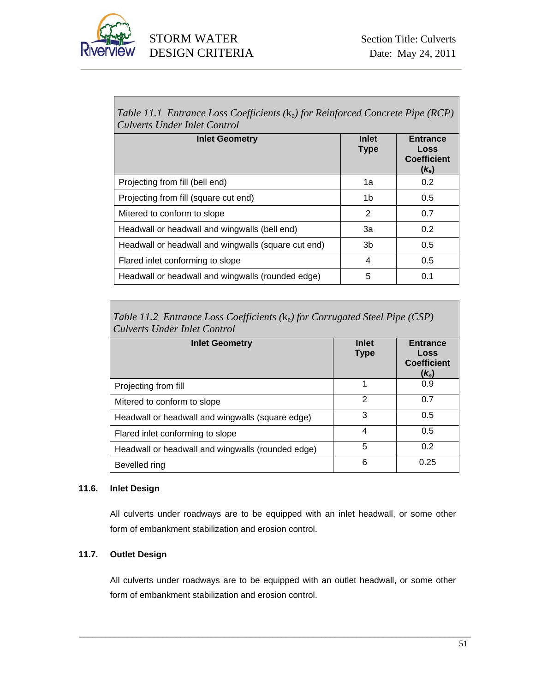

*Table 11.1 Entrance Loss Coefficients (*ke*) for Reinforced Concrete Pipe (RCP) Culverts Under Inlet Control* 

| <b>Inlet Geometry</b>                               | Inlet<br><b>Type</b> | <b>Entrance</b><br>Loss<br><b>Coefficient</b><br>$(k_e)$ |
|-----------------------------------------------------|----------------------|----------------------------------------------------------|
| Projecting from fill (bell end)                     | 1a                   | 0.2                                                      |
| Projecting from fill (square cut end)               | 1b                   | 0.5                                                      |
| Mitered to conform to slope                         | 2                    | 0.7                                                      |
| Headwall or headwall and wingwalls (bell end)       | За                   | 0.2                                                      |
| Headwall or headwall and wingwalls (square cut end) | 3b                   | 0.5                                                      |
| Flared inlet conforming to slope                    | 4                    | 0.5                                                      |
| Headwall or headwall and wingwalls (rounded edge)   | 5                    | 0.1                                                      |

*Table 11.2 Entrance Loss Coefficients (*ke*) for Corrugated Steel Pipe (CSP) Culverts Under Inlet Control* 

| <b>Inlet Geometry</b>                             | <b>Inlet</b><br><b>Type</b> | <b>Entrance</b><br>Loss<br><b>Coefficient</b><br>$(k_e)$ |
|---------------------------------------------------|-----------------------------|----------------------------------------------------------|
| Projecting from fill                              | 1                           | 0.9                                                      |
| Mitered to conform to slope                       | $\mathfrak{p}$              | 0.7                                                      |
| Headwall or headwall and wingwalls (square edge)  | 3                           | 0.5                                                      |
| Flared inlet conforming to slope                  | 4                           | 0.5                                                      |
| Headwall or headwall and wingwalls (rounded edge) | 5                           | 0.2                                                      |
| Bevelled ring                                     | 6                           | 0.25                                                     |

# **11.6. Inlet Design**

All culverts under roadways are to be equipped with an inlet headwall, or some other form of embankment stabilization and erosion control.

# **11.7. Outlet Design**

All culverts under roadways are to be equipped with an outlet headwall, or some other form of embankment stabilization and erosion control.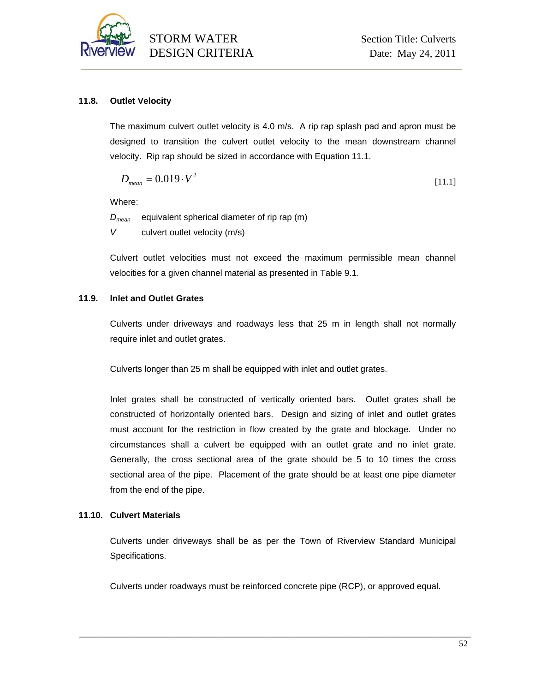

# **11.8. Outlet Velocity**

The maximum culvert outlet velocity is 4.0 m/s. A rip rap splash pad and apron must be designed to transition the culvert outlet velocity to the mean downstream channel velocity. Rip rap should be sized in accordance with Equation 11.1.

$$
D_{mean} = 0.019 \cdot V^2 \tag{11.1}
$$

Where:

*Dmean* equivalent spherical diameter of rip rap (m) *V* culvert outlet velocity (m/s)

Culvert outlet velocities must not exceed the maximum permissible mean channel velocities for a given channel material as presented in Table 9.1.

# **11.9. Inlet and Outlet Grates**

Culverts under driveways and roadways less that 25 m in length shall not normally require inlet and outlet grates.

Culverts longer than 25 m shall be equipped with inlet and outlet grates.

Inlet grates shall be constructed of vertically oriented bars. Outlet grates shall be constructed of horizontally oriented bars. Design and sizing of inlet and outlet grates must account for the restriction in flow created by the grate and blockage. Under no circumstances shall a culvert be equipped with an outlet grate and no inlet grate. Generally, the cross sectional area of the grate should be 5 to 10 times the cross sectional area of the pipe. Placement of the grate should be at least one pipe diameter from the end of the pipe.

# **11.10. Culvert Materials**

Culverts under driveways shall be as per the Town of Riverview Standard Municipal Specifications.

Culverts under roadways must be reinforced concrete pipe (RCP), or approved equal.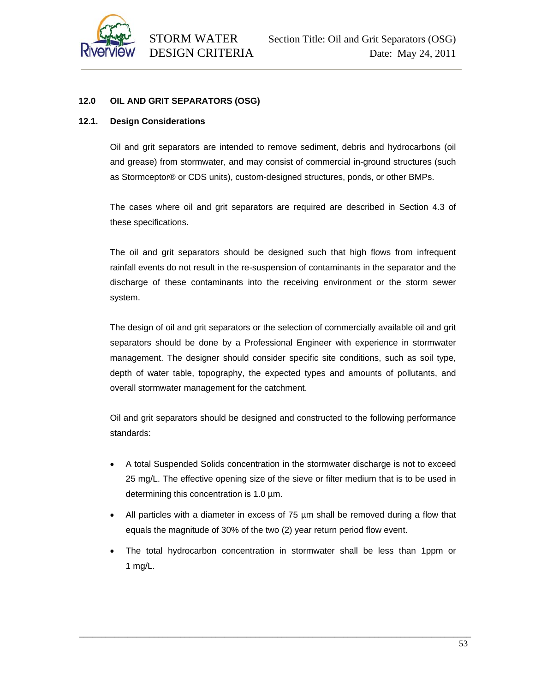

# **12.0 OIL AND GRIT SEPARATORS (OSG)**

# **12.1. Design Considerations**

Oil and grit separators are intended to remove sediment, debris and hydrocarbons (oil and grease) from stormwater, and may consist of commercial in-ground structures (such as Stormceptor® or CDS units), custom-designed structures, ponds, or other BMPs.

The cases where oil and grit separators are required are described in Section 4.3 of these specifications.

The oil and grit separators should be designed such that high flows from infrequent rainfall events do not result in the re-suspension of contaminants in the separator and the discharge of these contaminants into the receiving environment or the storm sewer system.

The design of oil and grit separators or the selection of commercially available oil and grit separators should be done by a Professional Engineer with experience in stormwater management. The designer should consider specific site conditions, such as soil type, depth of water table, topography, the expected types and amounts of pollutants, and overall stormwater management for the catchment.

Oil and grit separators should be designed and constructed to the following performance standards:

- A total Suspended Solids concentration in the stormwater discharge is not to exceed 25 mg/L. The effective opening size of the sieve or filter medium that is to be used in determining this concentration is 1.0 µm.
- All particles with a diameter in excess of 75 µm shall be removed during a flow that equals the magnitude of 30% of the two (2) year return period flow event.
- The total hydrocarbon concentration in stormwater shall be less than 1ppm or 1 mg/L.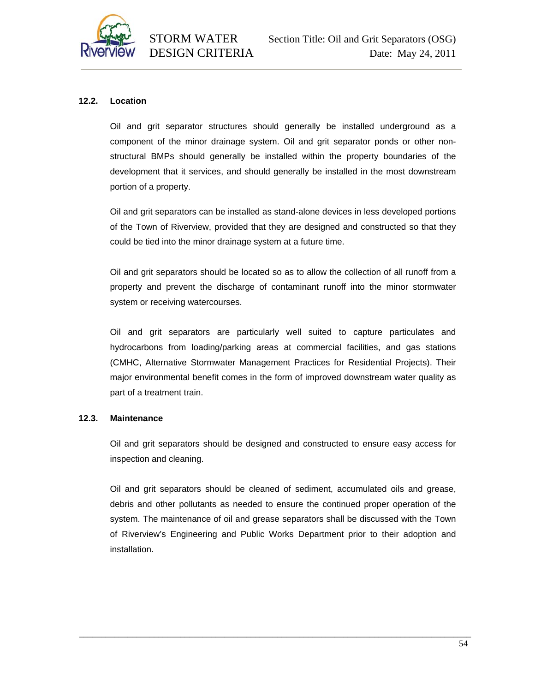

# **12.2. Location**

Oil and grit separator structures should generally be installed underground as a component of the minor drainage system. Oil and grit separator ponds or other nonstructural BMPs should generally be installed within the property boundaries of the development that it services, and should generally be installed in the most downstream portion of a property.

Oil and grit separators can be installed as stand-alone devices in less developed portions of the Town of Riverview, provided that they are designed and constructed so that they could be tied into the minor drainage system at a future time.

Oil and grit separators should be located so as to allow the collection of all runoff from a property and prevent the discharge of contaminant runoff into the minor stormwater system or receiving watercourses.

Oil and grit separators are particularly well suited to capture particulates and hydrocarbons from loading/parking areas at commercial facilities, and gas stations (CMHC, Alternative Stormwater Management Practices for Residential Projects). Their major environmental benefit comes in the form of improved downstream water quality as part of a treatment train.

#### **12.3. Maintenance**

Oil and grit separators should be designed and constructed to ensure easy access for inspection and cleaning.

Oil and grit separators should be cleaned of sediment, accumulated oils and grease, debris and other pollutants as needed to ensure the continued proper operation of the system. The maintenance of oil and grease separators shall be discussed with the Town of Riverview's Engineering and Public Works Department prior to their adoption and installation.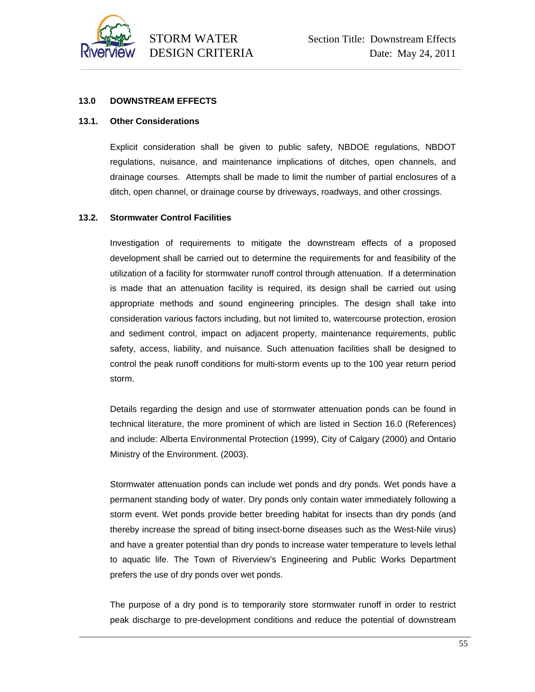

#### **13.0 DOWNSTREAM EFFECTS**

#### **13.1. Other Considerations**

Explicit consideration shall be given to public safety, NBDOE regulations, NBDOT regulations, nuisance, and maintenance implications of ditches, open channels, and drainage courses. Attempts shall be made to limit the number of partial enclosures of a ditch, open channel, or drainage course by driveways, roadways, and other crossings.

#### **13.2. Stormwater Control Facilities**

Investigation of requirements to mitigate the downstream effects of a proposed development shall be carried out to determine the requirements for and feasibility of the utilization of a facility for stormwater runoff control through attenuation. If a determination is made that an attenuation facility is required, its design shall be carried out using appropriate methods and sound engineering principles. The design shall take into consideration various factors including, but not limited to, watercourse protection, erosion and sediment control, impact on adjacent property, maintenance requirements, public safety, access, liability, and nuisance. Such attenuation facilities shall be designed to control the peak runoff conditions for multi-storm events up to the 100 year return period storm.

Details regarding the design and use of stormwater attenuation ponds can be found in technical literature, the more prominent of which are listed in Section 16.0 (References) and include: Alberta Environmental Protection (1999), City of Calgary (2000) and Ontario Ministry of the Environment. (2003).

Stormwater attenuation ponds can include wet ponds and dry ponds. Wet ponds have a permanent standing body of water. Dry ponds only contain water immediately following a storm event. Wet ponds provide better breeding habitat for insects than dry ponds (and thereby increase the spread of biting insect-borne diseases such as the West-Nile virus) and have a greater potential than dry ponds to increase water temperature to levels lethal to aquatic life. The Town of Riverview's Engineering and Public Works Department prefers the use of dry ponds over wet ponds.

The purpose of a dry pond is to temporarily store stormwater runoff in order to restrict peak discharge to pre-development conditions and reduce the potential of downstream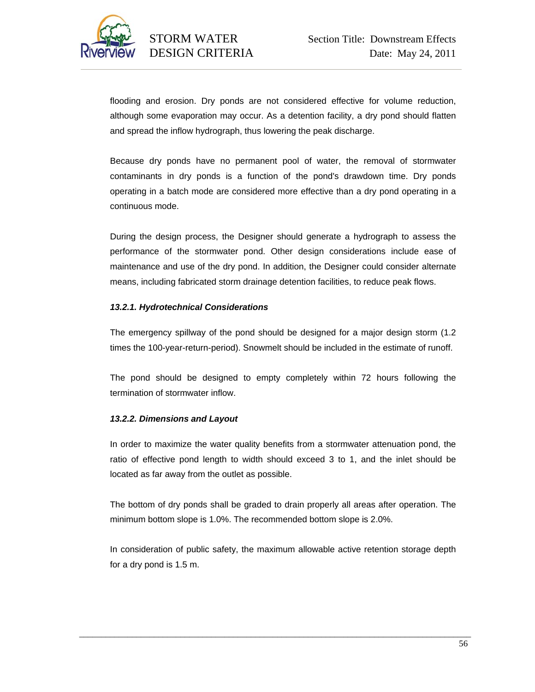

flooding and erosion. Dry ponds are not considered effective for volume reduction, although some evaporation may occur. As a detention facility, a dry pond should flatten and spread the inflow hydrograph, thus lowering the peak discharge.

Because dry ponds have no permanent pool of water, the removal of stormwater contaminants in dry ponds is a function of the pond's drawdown time. Dry ponds operating in a batch mode are considered more effective than a dry pond operating in a continuous mode.

During the design process, the Designer should generate a hydrograph to assess the performance of the stormwater pond. Other design considerations include ease of maintenance and use of the dry pond. In addition, the Designer could consider alternate means, including fabricated storm drainage detention facilities, to reduce peak flows.

# *13.2.1. Hydrotechnical Considerations*

The emergency spillway of the pond should be designed for a major design storm (1.2 times the 100-year-return-period). Snowmelt should be included in the estimate of runoff.

The pond should be designed to empty completely within 72 hours following the termination of stormwater inflow.

# *13.2.2. Dimensions and Layout*

In order to maximize the water quality benefits from a stormwater attenuation pond, the ratio of effective pond length to width should exceed 3 to 1, and the inlet should be located as far away from the outlet as possible.

The bottom of dry ponds shall be graded to drain properly all areas after operation. The minimum bottom slope is 1.0%. The recommended bottom slope is 2.0%.

In consideration of public safety, the maximum allowable active retention storage depth for a dry pond is 1.5 m.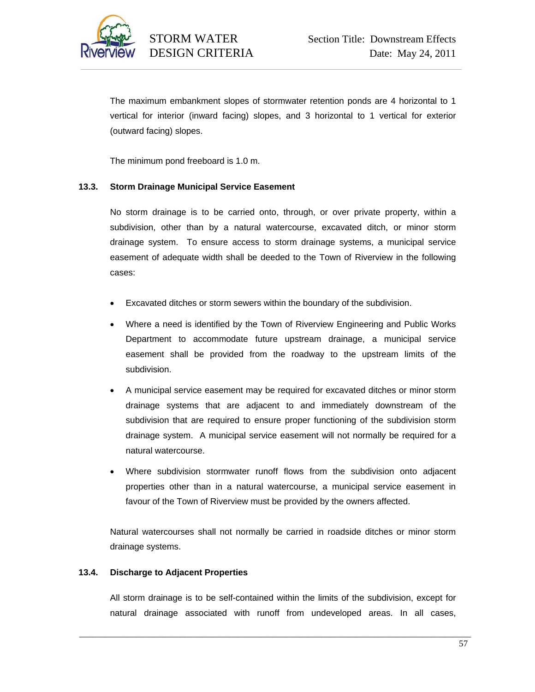

The maximum embankment slopes of stormwater retention ponds are 4 horizontal to 1 vertical for interior (inward facing) slopes, and 3 horizontal to 1 vertical for exterior (outward facing) slopes.

The minimum pond freeboard is 1.0 m.

# **13.3. Storm Drainage Municipal Service Easement**

No storm drainage is to be carried onto, through, or over private property, within a subdivision, other than by a natural watercourse, excavated ditch, or minor storm drainage system. To ensure access to storm drainage systems, a municipal service easement of adequate width shall be deeded to the Town of Riverview in the following cases:

- Excavated ditches or storm sewers within the boundary of the subdivision.
- Where a need is identified by the Town of Riverview Engineering and Public Works Department to accommodate future upstream drainage, a municipal service easement shall be provided from the roadway to the upstream limits of the subdivision.
- A municipal service easement may be required for excavated ditches or minor storm drainage systems that are adjacent to and immediately downstream of the subdivision that are required to ensure proper functioning of the subdivision storm drainage system. A municipal service easement will not normally be required for a natural watercourse.
- Where subdivision stormwater runoff flows from the subdivision onto adjacent properties other than in a natural watercourse, a municipal service easement in favour of the Town of Riverview must be provided by the owners affected.

Natural watercourses shall not normally be carried in roadside ditches or minor storm drainage systems.

# **13.4. Discharge to Adjacent Properties**

All storm drainage is to be self-contained within the limits of the subdivision, except for natural drainage associated with runoff from undeveloped areas. In all cases,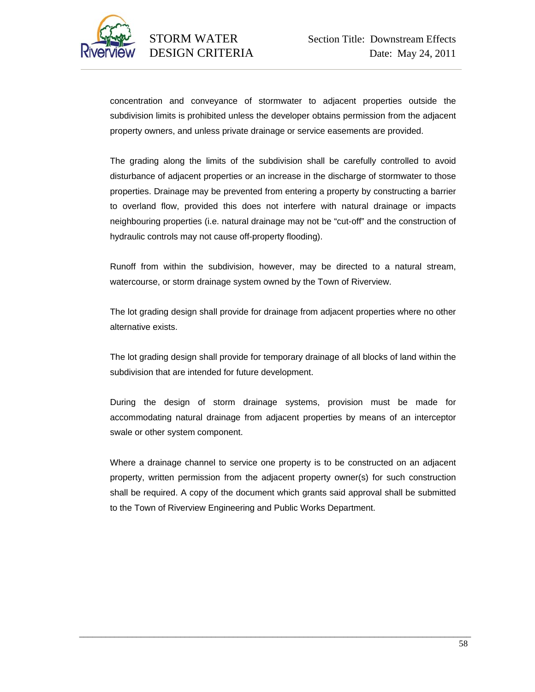

concentration and conveyance of stormwater to adjacent properties outside the subdivision limits is prohibited unless the developer obtains permission from the adjacent property owners, and unless private drainage or service easements are provided.

The grading along the limits of the subdivision shall be carefully controlled to avoid disturbance of adjacent properties or an increase in the discharge of stormwater to those properties. Drainage may be prevented from entering a property by constructing a barrier to overland flow, provided this does not interfere with natural drainage or impacts neighbouring properties (i.e. natural drainage may not be "cut-off" and the construction of hydraulic controls may not cause off-property flooding).

Runoff from within the subdivision, however, may be directed to a natural stream, watercourse, or storm drainage system owned by the Town of Riverview.

The lot grading design shall provide for drainage from adjacent properties where no other alternative exists.

The lot grading design shall provide for temporary drainage of all blocks of land within the subdivision that are intended for future development.

During the design of storm drainage systems, provision must be made for accommodating natural drainage from adjacent properties by means of an interceptor swale or other system component.

Where a drainage channel to service one property is to be constructed on an adjacent property, written permission from the adjacent property owner(s) for such construction shall be required. A copy of the document which grants said approval shall be submitted to the Town of Riverview Engineering and Public Works Department.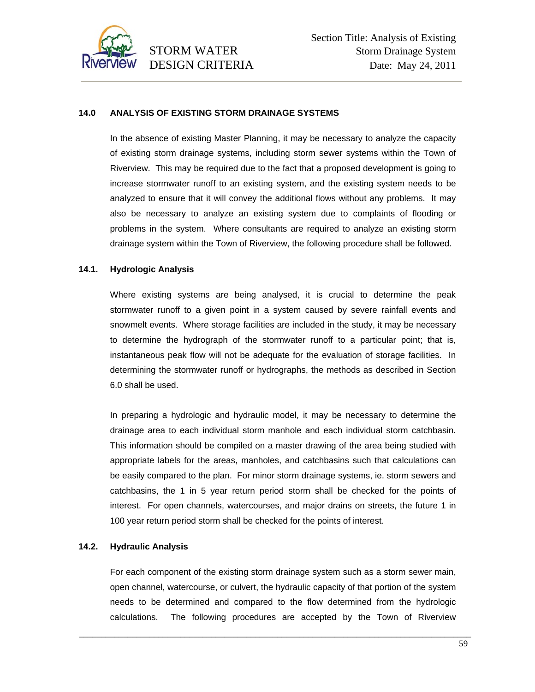

# **14.0 ANALYSIS OF EXISTING STORM DRAINAGE SYSTEMS**

In the absence of existing Master Planning, it may be necessary to analyze the capacity of existing storm drainage systems, including storm sewer systems within the Town of Riverview. This may be required due to the fact that a proposed development is going to increase stormwater runoff to an existing system, and the existing system needs to be analyzed to ensure that it will convey the additional flows without any problems. It may also be necessary to analyze an existing system due to complaints of flooding or problems in the system. Where consultants are required to analyze an existing storm drainage system within the Town of Riverview, the following procedure shall be followed.

#### **14.1. Hydrologic Analysis**

Where existing systems are being analysed, it is crucial to determine the peak stormwater runoff to a given point in a system caused by severe rainfall events and snowmelt events. Where storage facilities are included in the study, it may be necessary to determine the hydrograph of the stormwater runoff to a particular point; that is, instantaneous peak flow will not be adequate for the evaluation of storage facilities. In determining the stormwater runoff or hydrographs, the methods as described in Section 6.0 shall be used.

In preparing a hydrologic and hydraulic model, it may be necessary to determine the drainage area to each individual storm manhole and each individual storm catchbasin. This information should be compiled on a master drawing of the area being studied with appropriate labels for the areas, manholes, and catchbasins such that calculations can be easily compared to the plan. For minor storm drainage systems, ie. storm sewers and catchbasins, the 1 in 5 year return period storm shall be checked for the points of interest. For open channels, watercourses, and major drains on streets, the future 1 in 100 year return period storm shall be checked for the points of interest.

#### **14.2. Hydraulic Analysis**

For each component of the existing storm drainage system such as a storm sewer main, open channel, watercourse, or culvert, the hydraulic capacity of that portion of the system needs to be determined and compared to the flow determined from the hydrologic calculations. The following procedures are accepted by the Town of Riverview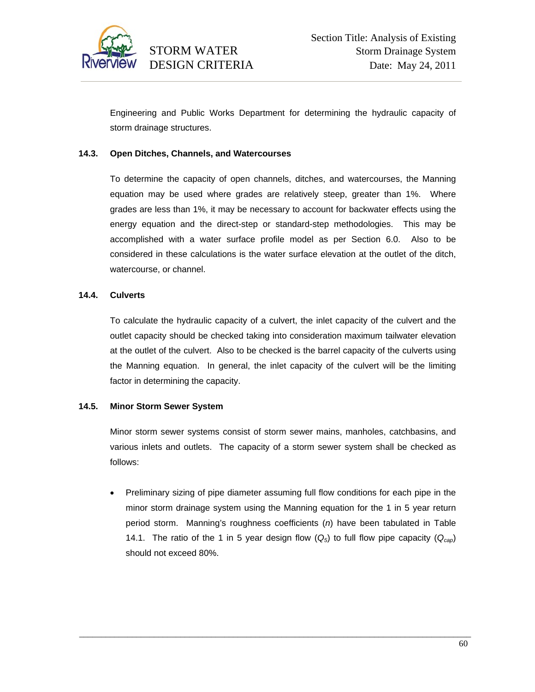

Engineering and Public Works Department for determining the hydraulic capacity of storm drainage structures.

# **14.3. Open Ditches, Channels, and Watercourses**

To determine the capacity of open channels, ditches, and watercourses, the Manning equation may be used where grades are relatively steep, greater than 1%. Where grades are less than 1%, it may be necessary to account for backwater effects using the energy equation and the direct-step or standard-step methodologies. This may be accomplished with a water surface profile model as per Section 6.0. Also to be considered in these calculations is the water surface elevation at the outlet of the ditch, watercourse, or channel.

#### **14.4. Culverts**

To calculate the hydraulic capacity of a culvert, the inlet capacity of the culvert and the outlet capacity should be checked taking into consideration maximum tailwater elevation at the outlet of the culvert. Also to be checked is the barrel capacity of the culverts using the Manning equation. In general, the inlet capacity of the culvert will be the limiting factor in determining the capacity.

#### **14.5. Minor Storm Sewer System**

Minor storm sewer systems consist of storm sewer mains, manholes, catchbasins, and various inlets and outlets. The capacity of a storm sewer system shall be checked as follows:

• Preliminary sizing of pipe diameter assuming full flow conditions for each pipe in the minor storm drainage system using the Manning equation for the 1 in 5 year return period storm. Manning's roughness coefficients (*n*) have been tabulated in Table 14.1. The ratio of the 1 in 5 year design flow  $(Q_5)$  to full flow pipe capacity  $(Q_{cap})$ should not exceed 80%.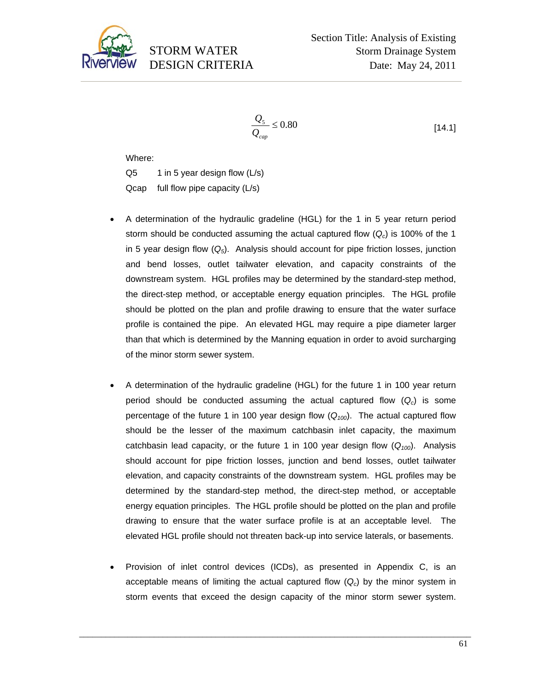

$$
\frac{Q_{5}}{Q_{cap}} \le 0.80\tag{14.1}
$$

Where:

 $Q5$  1 in 5 year design flow ( $L/s$ ) Qcap full flow pipe capacity (L/s)

- A determination of the hydraulic gradeline (HGL) for the 1 in 5 year return period storm should be conducted assuming the actual captured flow  $(Q<sub>c</sub>)$  is 100% of the 1 in 5 year design flow (*Q5*). Analysis should account for pipe friction losses, junction and bend losses, outlet tailwater elevation, and capacity constraints of the downstream system. HGL profiles may be determined by the standard-step method, the direct-step method, or acceptable energy equation principles. The HGL profile should be plotted on the plan and profile drawing to ensure that the water surface profile is contained the pipe. An elevated HGL may require a pipe diameter larger than that which is determined by the Manning equation in order to avoid surcharging of the minor storm sewer system.
- A determination of the hydraulic gradeline (HGL) for the future 1 in 100 year return period should be conducted assuming the actual captured flow  $(Q<sub>c</sub>)$  is some percentage of the future 1 in 100 year design flow  $(Q_{100})$ . The actual captured flow should be the lesser of the maximum catchbasin inlet capacity, the maximum catchbasin lead capacity, or the future 1 in 100 year design flow (*Q100*). Analysis should account for pipe friction losses, junction and bend losses, outlet tailwater elevation, and capacity constraints of the downstream system. HGL profiles may be determined by the standard-step method, the direct-step method, or acceptable energy equation principles. The HGL profile should be plotted on the plan and profile drawing to ensure that the water surface profile is at an acceptable level. The elevated HGL profile should not threaten back-up into service laterals, or basements.
- Provision of inlet control devices (ICDs), as presented in Appendix C, is an acceptable means of limiting the actual captured flow (*Qc*) by the minor system in storm events that exceed the design capacity of the minor storm sewer system.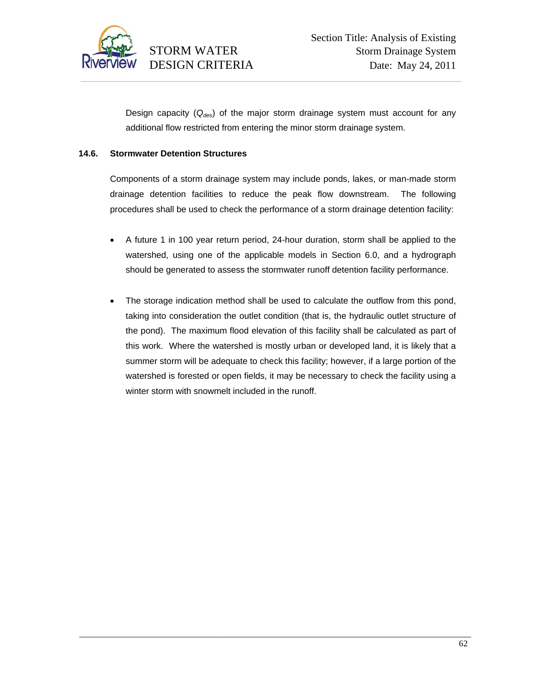

Design capacity (*Qdes*) of the major storm drainage system must account for any additional flow restricted from entering the minor storm drainage system.

# **14.6. Stormwater Detention Structures**

Components of a storm drainage system may include ponds, lakes, or man-made storm drainage detention facilities to reduce the peak flow downstream. The following procedures shall be used to check the performance of a storm drainage detention facility:

- A future 1 in 100 year return period, 24-hour duration, storm shall be applied to the watershed, using one of the applicable models in Section 6.0, and a hydrograph should be generated to assess the stormwater runoff detention facility performance.
- The storage indication method shall be used to calculate the outflow from this pond, taking into consideration the outlet condition (that is, the hydraulic outlet structure of the pond). The maximum flood elevation of this facility shall be calculated as part of this work. Where the watershed is mostly urban or developed land, it is likely that a summer storm will be adequate to check this facility; however, if a large portion of the watershed is forested or open fields, it may be necessary to check the facility using a winter storm with snowmelt included in the runoff.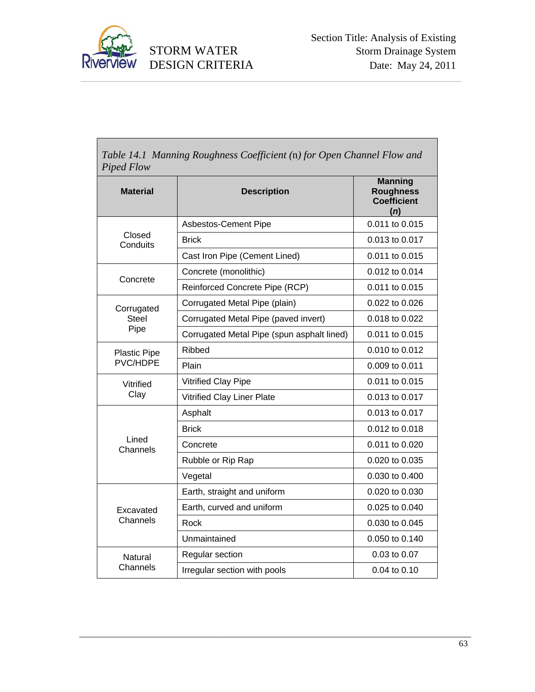

Γ

# DESIGN CRITERIA

| <b>Material</b>                 | <b>Description</b>                         | <b>Manning</b><br><b>Roughness</b><br><b>Coefficient</b><br>(n) |
|---------------------------------|--------------------------------------------|-----------------------------------------------------------------|
|                                 | Asbestos-Cement Pipe                       | 0.011 to 0.015                                                  |
| Closed<br>Conduits              | <b>Brick</b>                               | 0.013 to 0.017                                                  |
|                                 | Cast Iron Pipe (Cement Lined)              | 0.011 to 0.015                                                  |
| Concrete                        | Concrete (monolithic)                      | 0.012 to 0.014                                                  |
|                                 | Reinforced Concrete Pipe (RCP)             | 0.011 to 0.015                                                  |
| Corrugated                      | Corrugated Metal Pipe (plain)              | $0.022$ to $0.026$                                              |
| <b>Steel</b>                    | Corrugated Metal Pipe (paved invert)       | 0.018 to 0.022                                                  |
| Pipe                            | Corrugated Metal Pipe (spun asphalt lined) | 0.011 to 0.015                                                  |
| <b>Plastic Pipe</b><br>PVC/HDPE | Ribbed                                     | 0.010 to 0.012                                                  |
|                                 | Plain                                      | 0.009 to 0.011                                                  |
| Vitrified                       | Vitrified Clay Pipe                        | 0.011 to 0.015                                                  |
| Clay                            | Vitrified Clay Liner Plate                 | 0.013 to 0.017                                                  |
|                                 | Asphalt                                    | 0.013 to 0.017                                                  |
|                                 | <b>Brick</b>                               | 0.012 to 0.018                                                  |
| Lined<br>Channels               | Concrete                                   | 0.011 to 0.020                                                  |
|                                 | Rubble or Rip Rap                          | 0.020 to 0.035                                                  |
|                                 | Vegetal                                    | 0.030 to 0.400                                                  |
|                                 | Earth, straight and uniform                | 0.020 to 0.030                                                  |
| Excavated                       | Earth, curved and uniform                  | 0.025 to 0.040                                                  |
| Channels                        | Rock                                       | 0.030 to 0.045                                                  |
|                                 | Unmaintained                               | 0.050 to 0.140                                                  |
| Natural                         | Regular section                            | 0.03 to 0.07                                                    |
| Channels                        | Irregular section with pools               | 0.04 to 0.10                                                    |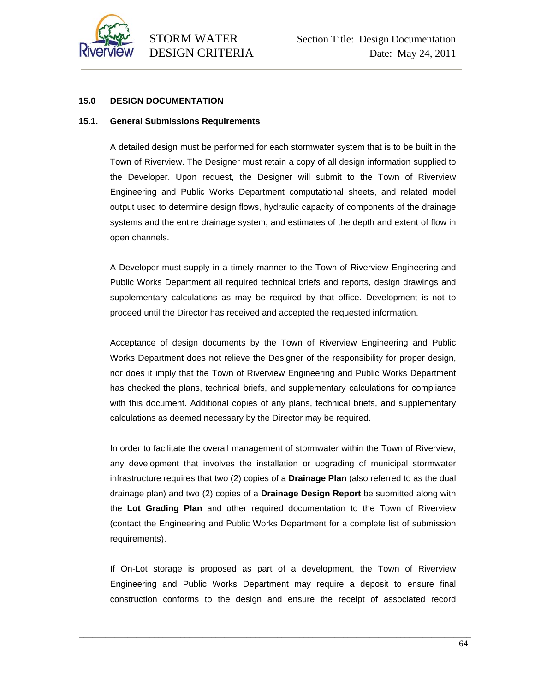

# **15.0 DESIGN DOCUMENTATION**

#### **15.1. General Submissions Requirements**

A detailed design must be performed for each stormwater system that is to be built in the Town of Riverview. The Designer must retain a copy of all design information supplied to the Developer. Upon request, the Designer will submit to the Town of Riverview Engineering and Public Works Department computational sheets, and related model output used to determine design flows, hydraulic capacity of components of the drainage systems and the entire drainage system, and estimates of the depth and extent of flow in open channels.

A Developer must supply in a timely manner to the Town of Riverview Engineering and Public Works Department all required technical briefs and reports, design drawings and supplementary calculations as may be required by that office. Development is not to proceed until the Director has received and accepted the requested information.

Acceptance of design documents by the Town of Riverview Engineering and Public Works Department does not relieve the Designer of the responsibility for proper design, nor does it imply that the Town of Riverview Engineering and Public Works Department has checked the plans, technical briefs, and supplementary calculations for compliance with this document. Additional copies of any plans, technical briefs, and supplementary calculations as deemed necessary by the Director may be required.

In order to facilitate the overall management of stormwater within the Town of Riverview, any development that involves the installation or upgrading of municipal stormwater infrastructure requires that two (2) copies of a **Drainage Plan** (also referred to as the dual drainage plan) and two (2) copies of a **Drainage Design Report** be submitted along with the **Lot Grading Plan** and other required documentation to the Town of Riverview (contact the Engineering and Public Works Department for a complete list of submission requirements).

If On-Lot storage is proposed as part of a development, the Town of Riverview Engineering and Public Works Department may require a deposit to ensure final construction conforms to the design and ensure the receipt of associated record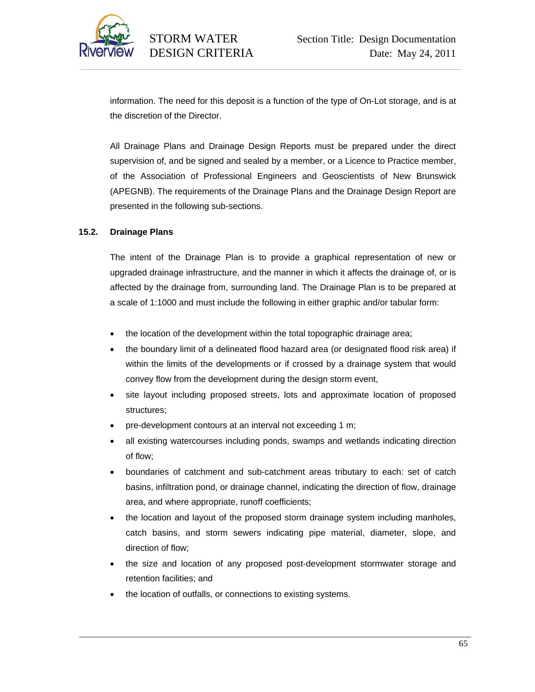

information. The need for this deposit is a function of the type of On-Lot storage, and is at the discretion of the Director.

All Drainage Plans and Drainage Design Reports must be prepared under the direct supervision of, and be signed and sealed by a member, or a Licence to Practice member, of the Association of Professional Engineers and Geoscientists of New Brunswick (APEGNB). The requirements of the Drainage Plans and the Drainage Design Report are presented in the following sub-sections.

#### **15.2. Drainage Plans**

The intent of the Drainage Plan is to provide a graphical representation of new or upgraded drainage infrastructure, and the manner in which it affects the drainage of, or is affected by the drainage from, surrounding land. The Drainage Plan is to be prepared at a scale of 1:1000 and must include the following in either graphic and/or tabular form:

- the location of the development within the total topographic drainage area;
- the boundary limit of a delineated flood hazard area (or designated flood risk area) if within the limits of the developments or if crossed by a drainage system that would convey flow from the development during the design storm event,
- site layout including proposed streets, lots and approximate location of proposed structures;
- pre-development contours at an interval not exceeding 1 m;
- all existing watercourses including ponds, swamps and wetlands indicating direction of flow;
- boundaries of catchment and sub-catchment areas tributary to each: set of catch basins, infiltration pond, or drainage channel, indicating the direction of flow, drainage area, and where appropriate, runoff coefficients;
- the location and layout of the proposed storm drainage system including manholes, catch basins, and storm sewers indicating pipe material, diameter, slope, and direction of flow;
- the size and location of any proposed post-development stormwater storage and retention facilities; and

\_\_\_\_\_\_\_\_\_\_\_\_\_\_\_\_\_\_\_\_\_\_\_\_\_\_\_\_\_\_\_\_\_\_\_\_\_\_\_\_\_\_\_\_\_\_\_\_\_\_\_\_\_\_\_\_\_\_\_\_\_\_\_\_\_\_\_\_\_\_\_\_\_\_\_\_\_\_\_\_\_\_\_\_\_\_\_\_\_

• the location of outfalls, or connections to existing systems.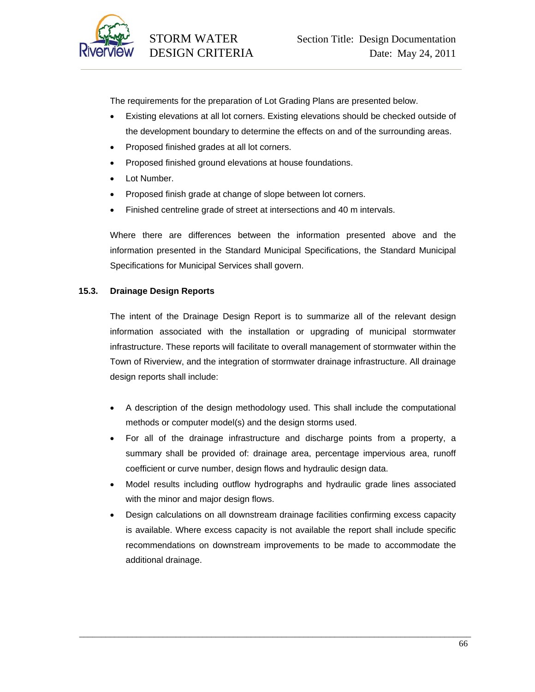

The requirements for the preparation of Lot Grading Plans are presented below.

- Existing elevations at all lot corners. Existing elevations should be checked outside of the development boundary to determine the effects on and of the surrounding areas.
- Proposed finished grades at all lot corners.
- Proposed finished ground elevations at house foundations.
- Lot Number.
- Proposed finish grade at change of slope between lot corners.
- Finished centreline grade of street at intersections and 40 m intervals.

Where there are differences between the information presented above and the information presented in the Standard Municipal Specifications, the Standard Municipal Specifications for Municipal Services shall govern.

# **15.3. Drainage Design Reports**

The intent of the Drainage Design Report is to summarize all of the relevant design information associated with the installation or upgrading of municipal stormwater infrastructure. These reports will facilitate to overall management of stormwater within the Town of Riverview, and the integration of stormwater drainage infrastructure. All drainage design reports shall include:

- A description of the design methodology used. This shall include the computational methods or computer model(s) and the design storms used.
- For all of the drainage infrastructure and discharge points from a property, a summary shall be provided of: drainage area, percentage impervious area, runoff coefficient or curve number, design flows and hydraulic design data.
- Model results including outflow hydrographs and hydraulic grade lines associated with the minor and major design flows.
- Design calculations on all downstream drainage facilities confirming excess capacity is available. Where excess capacity is not available the report shall include specific recommendations on downstream improvements to be made to accommodate the additional drainage.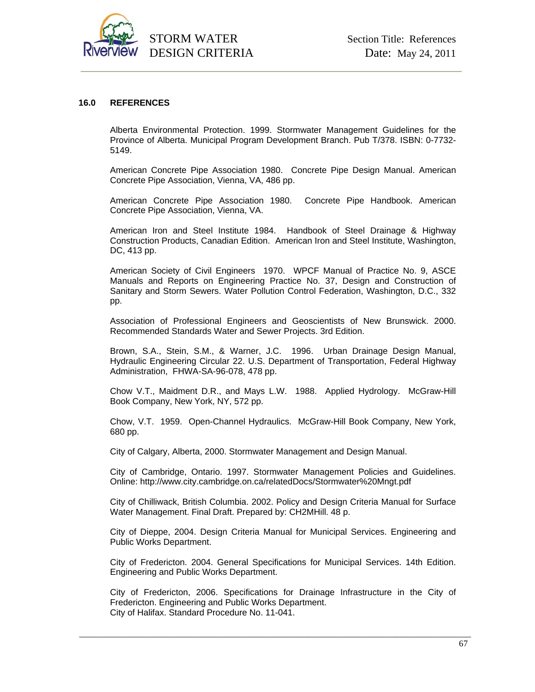

#### **16.0 REFERENCES**

Alberta Environmental Protection. 1999. Stormwater Management Guidelines for the Province of Alberta. Municipal Program Development Branch. Pub T/378. ISBN: 0-7732- 5149.

American Concrete Pipe Association 1980. Concrete Pipe Design Manual. American Concrete Pipe Association, Vienna, VA, 486 pp.

American Concrete Pipe Association 1980. Concrete Pipe Handbook. American Concrete Pipe Association, Vienna, VA.

American Iron and Steel Institute 1984. Handbook of Steel Drainage & Highway Construction Products, Canadian Edition. American Iron and Steel Institute, Washington, DC, 413 pp.

American Society of Civil Engineers 1970. WPCF Manual of Practice No. 9, ASCE Manuals and Reports on Engineering Practice No. 37, Design and Construction of Sanitary and Storm Sewers. Water Pollution Control Federation, Washington, D.C., 332 pp.

Association of Professional Engineers and Geoscientists of New Brunswick. 2000. Recommended Standards Water and Sewer Projects. 3rd Edition.

Brown, S.A., Stein, S.M., & Warner, J.C. 1996. Urban Drainage Design Manual, Hydraulic Engineering Circular 22. U.S. Department of Transportation, Federal Highway Administration, FHWA-SA-96-078, 478 pp.

Chow V.T., Maidment D.R., and Mays L.W. 1988. Applied Hydrology. McGraw-Hill Book Company, New York, NY, 572 pp.

Chow, V.T. 1959. Open-Channel Hydraulics. McGraw-Hill Book Company, New York, 680 pp.

City of Calgary, Alberta, 2000. Stormwater Management and Design Manual.

City of Cambridge, Ontario. 1997. Stormwater Management Policies and Guidelines. Online: http://www.city.cambridge.on.ca/relatedDocs/Stormwater%20Mngt.pdf

City of Chilliwack, British Columbia. 2002. Policy and Design Criteria Manual for Surface Water Management. Final Draft. Prepared by: CH2MHill. 48 p.

City of Dieppe, 2004. Design Criteria Manual for Municipal Services. Engineering and Public Works Department.

City of Fredericton. 2004. General Specifications for Municipal Services. 14th Edition. Engineering and Public Works Department.

City of Fredericton, 2006. Specifications for Drainage Infrastructure in the City of Fredericton. Engineering and Public Works Department. City of Halifax. Standard Procedure No. 11-041.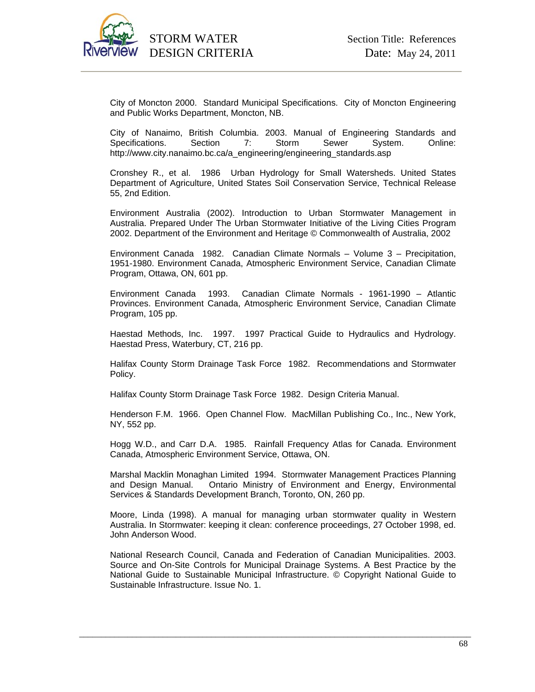

City of Moncton 2000. Standard Municipal Specifications. City of Moncton Engineering and Public Works Department, Moncton, NB.

City of Nanaimo, British Columbia. 2003. Manual of Engineering Standards and Specifications. Section 7: Storm Sewer System. Online: http://www.city.nanaimo.bc.ca/a\_engineering/engineering\_standards.asp

Cronshey R., et al. 1986 Urban Hydrology for Small Watersheds. United States Department of Agriculture, United States Soil Conservation Service, Technical Release 55, 2nd Edition.

Environment Australia (2002). Introduction to Urban Stormwater Management in Australia. Prepared Under The Urban Stormwater Initiative of the Living Cities Program 2002. Department of the Environment and Heritage © Commonwealth of Australia, 2002

Environment Canada 1982. Canadian Climate Normals – Volume 3 – Precipitation, 1951-1980. Environment Canada, Atmospheric Environment Service, Canadian Climate Program, Ottawa, ON, 601 pp.

Environment Canada 1993. Canadian Climate Normals - 1961-1990 – Atlantic Provinces. Environment Canada, Atmospheric Environment Service, Canadian Climate Program, 105 pp.

Haestad Methods, Inc. 1997. 1997 Practical Guide to Hydraulics and Hydrology. Haestad Press, Waterbury, CT, 216 pp.

Halifax County Storm Drainage Task Force 1982. Recommendations and Stormwater Policy.

Halifax County Storm Drainage Task Force 1982. Design Criteria Manual.

Henderson F.M. 1966. Open Channel Flow. MacMillan Publishing Co., Inc., New York, NY, 552 pp.

Hogg W.D., and Carr D.A. 1985. Rainfall Frequency Atlas for Canada. Environment Canada, Atmospheric Environment Service, Ottawa, ON.

Marshal Macklin Monaghan Limited 1994. Stormwater Management Practices Planning and Design Manual. Ontario Ministry of Environment and Energy, Environmental Services & Standards Development Branch, Toronto, ON, 260 pp.

Moore, Linda (1998). A manual for managing urban stormwater quality in Western Australia. In Stormwater: keeping it clean: conference proceedings, 27 October 1998, ed. John Anderson Wood.

National Research Council, Canada and Federation of Canadian Municipalities. 2003. Source and On-Site Controls for Municipal Drainage Systems. A Best Practice by the National Guide to Sustainable Municipal Infrastructure. © Copyright National Guide to Sustainable Infrastructure. Issue No. 1.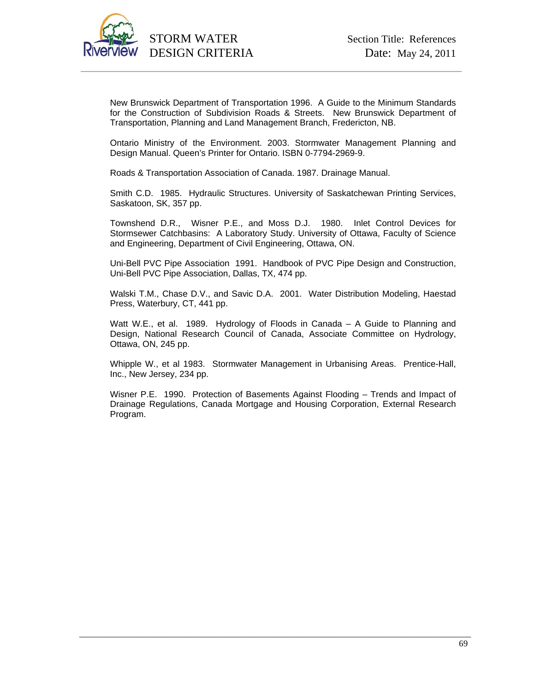

New Brunswick Department of Transportation 1996. A Guide to the Minimum Standards for the Construction of Subdivision Roads & Streets. New Brunswick Department of Transportation, Planning and Land Management Branch, Fredericton, NB.

Ontario Ministry of the Environment. 2003. Stormwater Management Planning and Design Manual. Queen's Printer for Ontario. ISBN 0-7794-2969-9.

Roads & Transportation Association of Canada. 1987. Drainage Manual.

Smith C.D. 1985. Hydraulic Structures. University of Saskatchewan Printing Services, Saskatoon, SK, 357 pp.

Townshend D.R., Wisner P.E., and Moss D.J. 1980. Inlet Control Devices for Stormsewer Catchbasins: A Laboratory Study. University of Ottawa, Faculty of Science and Engineering, Department of Civil Engineering, Ottawa, ON.

Uni-Bell PVC Pipe Association 1991. Handbook of PVC Pipe Design and Construction, Uni-Bell PVC Pipe Association, Dallas, TX, 474 pp.

Walski T.M., Chase D.V., and Savic D.A. 2001. Water Distribution Modeling, Haestad Press, Waterbury, CT, 441 pp.

Watt W.E., et al. 1989. Hydrology of Floods in Canada – A Guide to Planning and Design, National Research Council of Canada, Associate Committee on Hydrology, Ottawa, ON, 245 pp.

Whipple W., et al 1983. Stormwater Management in Urbanising Areas. Prentice-Hall, Inc., New Jersey, 234 pp.

Wisner P.E. 1990. Protection of Basements Against Flooding – Trends and Impact of Drainage Regulations, Canada Mortgage and Housing Corporation, External Research Program.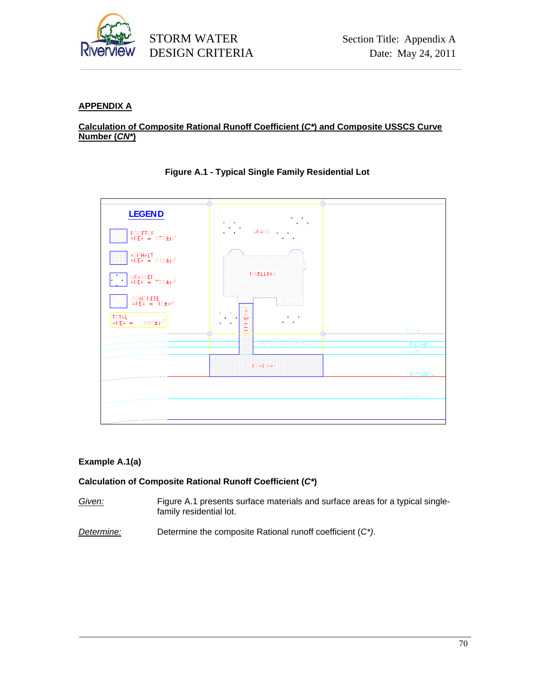

# **APPENDIX A**

### **Calculation of Composite Rational Runoff Coefficient (***C\****) and Composite USSCS Curve Number (***CN\****)**



### **Figure A.1 - Typical Single Family Residential Lot**

# **Example A.1(a)**

### **Calculation of Composite Rational Runoff Coefficient (***C\****)**

*Given:* Figure A.1 presents surface materials and surface areas for a typical singlefamily residential lot.

\_\_\_\_\_\_\_\_\_\_\_\_\_\_\_\_\_\_\_\_\_\_\_\_\_\_\_\_\_\_\_\_\_\_\_\_\_\_\_\_\_\_\_\_\_\_\_\_\_\_\_\_\_\_\_\_\_\_\_\_\_\_\_\_\_\_\_\_\_\_\_\_\_\_\_\_\_\_\_\_\_\_\_\_\_\_\_\_\_

*Determine:* Determine the composite Rational runoff coefficient (*C\*)*.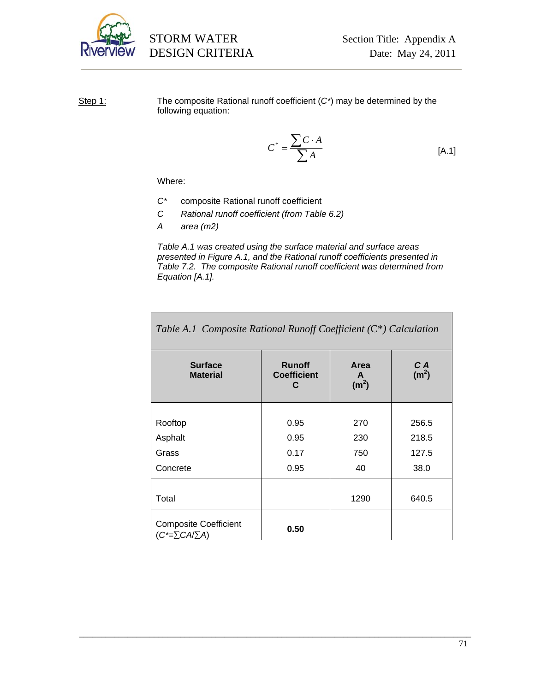

Step 1: The composite Rational runoff coefficient (*C\**) may be determined by the following equation:

$$
C^* = \frac{\sum C \cdot A}{\sum A}
$$
 [A.1]

Where:

- *C\** composite Rational runoff coefficient
- *C Rational runoff coefficient (from Table 6.2)*
- *A area (m2)*

*Table A.1 was created using the surface material and surface areas presented in Figure A.1, and the Rational runoff coefficients presented in Table 7.2. The composite Rational runoff coefficient was determined from Equation [A.1].* 

| <b>Surface</b><br><b>Material</b>                            | <b>Runoff</b><br><b>Coefficient</b><br>C | Area<br>A<br>(m <sup>2</sup> ) | C A<br>(m <sup>2</sup> ) |
|--------------------------------------------------------------|------------------------------------------|--------------------------------|--------------------------|
|                                                              |                                          |                                |                          |
| Rooftop                                                      | 0.95                                     | 270                            | 256.5                    |
| Asphalt                                                      | 0.95                                     | 230                            | 218.5                    |
| Grass                                                        | 0.17                                     | 750                            | 127.5                    |
| Concrete                                                     | 0.95                                     | 40                             | 38.0                     |
|                                                              |                                          |                                |                          |
| Total                                                        |                                          | 1290                           | 640.5                    |
| <b>Composite Coefficient</b><br>$(C^{\star}=\sum CA/\sum A)$ | 0.50                                     |                                |                          |

*Table A.1 Composite Rational Runoff Coefficient (*C\**) Calculation*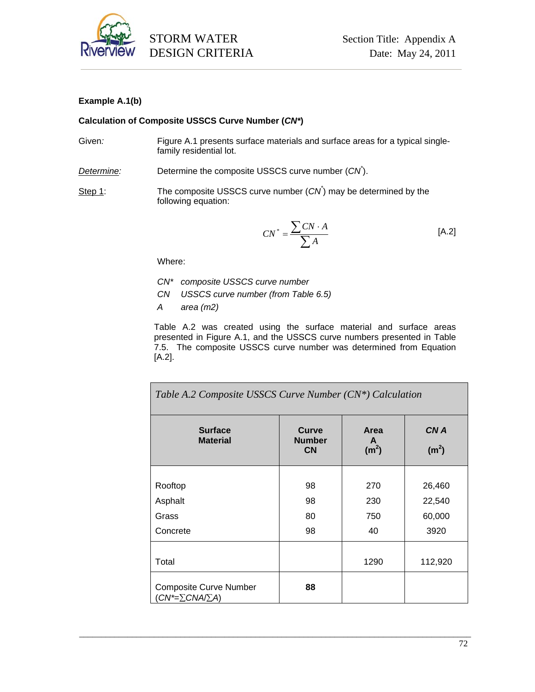

### **Example A.1(b)**

### **Calculation of Composite USSCS Curve Number (***CN\****)**

- Given: Figure A.1 presents surface materials and surface areas for a typical singlefamily residential lot.
- *Determine:* Determine the composite USSCS curve number (*CN\** ).
- Step 1: The composite USSCS curve number  $(CN^*)$  may be determined by the following equation:

$$
CN^* = \frac{\sum CN \cdot A}{\sum A}
$$
 [A.2]

Where:

- *CN\* composite USSCS curve number*
- *CN USSCS curve number (from Table 6.5)*
- *A area (m2)*

Table A.2 was created using the surface material and surface areas presented in Figure A.1, and the USSCS curve numbers presented in Table 7.5. The composite USSCS curve number was determined from Equation [A.2].

| Table A.2 Composite USSCS Curve Number (CN*) Calculation    |                                            |                                |                           |
|-------------------------------------------------------------|--------------------------------------------|--------------------------------|---------------------------|
| <b>Surface</b><br><b>Material</b>                           | <b>Curve</b><br><b>Number</b><br><b>CN</b> | Area<br>A<br>(m <sup>2</sup> ) | CN A<br>(m <sup>2</sup> ) |
|                                                             |                                            |                                |                           |
| Rooftop                                                     | 98                                         | 270                            | 26,460                    |
| Asphalt                                                     | 98                                         | 230                            | 22,540                    |
| Grass                                                       | 80                                         | 750                            | 60,000                    |
| Concrete                                                    | 98                                         | 40                             | 3920                      |
|                                                             |                                            |                                |                           |
| Total                                                       |                                            | 1290                           | 112,920                   |
| <b>Composite Curve Number</b><br>$CN^* = \sum CNA / \sum A$ | 88                                         |                                |                           |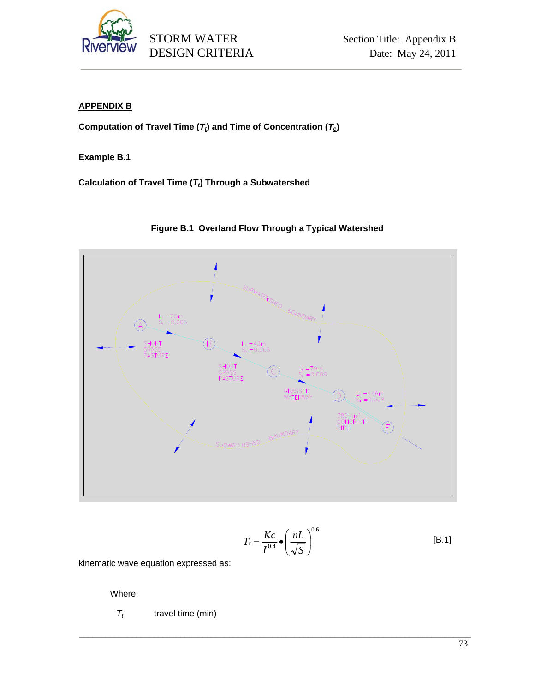

# **APPENDIX B**

**Computation of Travel Time (** $T_t$ **) and Time of Concentration (** $T_c$ **)** 

**Example B.1** 

Calculation of Travel Time  $(T_t)$  Through a Subwatershed





$$
T_t = \frac{Kc}{I^{0.4}} \bullet \left(\frac{nL}{\sqrt{S}}\right)^{0.6}
$$
 [B.1]

kinematic wave equation expressed as:

Where:

 $T_t$  travel time (min)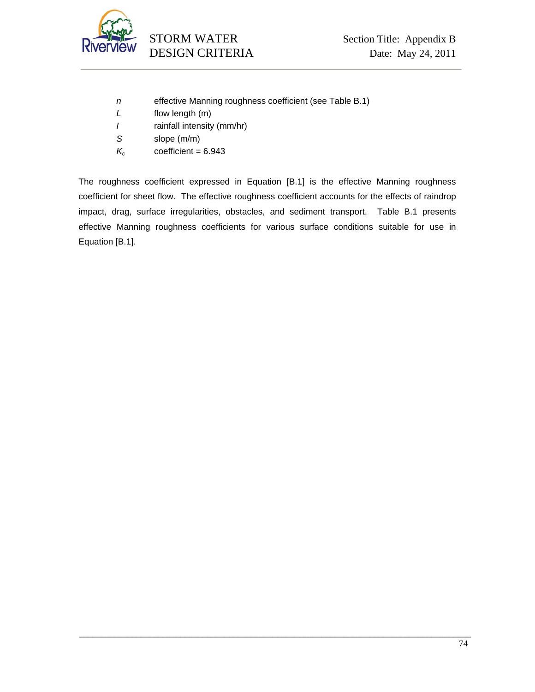

- *n* effective Manning roughness coefficient (see Table B.1)
- *L* flow length (m)
- *I* rainfall intensity (mm/hr)
- *S* slope (m/m)
- $K_c$  coefficient = 6.943

The roughness coefficient expressed in Equation [B.1] is the effective Manning roughness coefficient for sheet flow. The effective roughness coefficient accounts for the effects of raindrop impact, drag, surface irregularities, obstacles, and sediment transport. Table B.1 presents effective Manning roughness coefficients for various surface conditions suitable for use in Equation [B.1].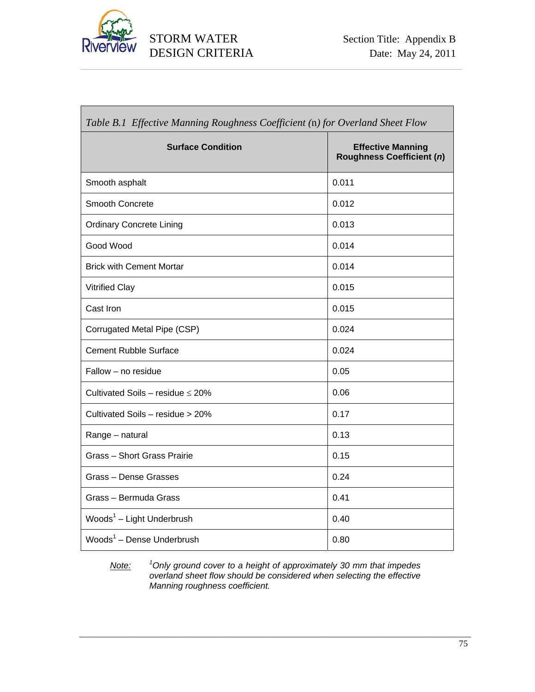

٦

| Table B.1 Effective Manning Roughness Coefficient (n) for Overland Sheet Flow |                                                              |  |
|-------------------------------------------------------------------------------|--------------------------------------------------------------|--|
| <b>Surface Condition</b>                                                      | <b>Effective Manning</b><br><b>Roughness Coefficient (n)</b> |  |
| Smooth asphalt                                                                | 0.011                                                        |  |
| Smooth Concrete                                                               | 0.012                                                        |  |
| <b>Ordinary Concrete Lining</b>                                               | 0.013                                                        |  |
| Good Wood                                                                     | 0.014                                                        |  |
| <b>Brick with Cement Mortar</b>                                               | 0.014                                                        |  |
| <b>Vitrified Clay</b>                                                         | 0.015                                                        |  |
| Cast Iron                                                                     | 0.015                                                        |  |
| Corrugated Metal Pipe (CSP)                                                   | 0.024                                                        |  |
| <b>Cement Rubble Surface</b>                                                  | 0.024                                                        |  |
| Fallow – no residue                                                           | 0.05                                                         |  |
| Cultivated Soils - residue $\leq 20\%$                                        | 0.06                                                         |  |
| Cultivated Soils - residue > 20%                                              | 0.17                                                         |  |
| Range - natural                                                               | 0.13                                                         |  |
| <b>Grass - Short Grass Prairie</b>                                            | 0.15                                                         |  |
| Grass - Dense Grasses                                                         | 0.24                                                         |  |
| Grass - Bermuda Grass                                                         | 0.41                                                         |  |
| Woods <sup>1</sup> - Light Underbrush                                         | 0.40                                                         |  |
| Woods $1$ – Dense Underbrush                                                  | 0.80                                                         |  |

*Note: <sup>1</sup> Only ground cover to a height of approximately 30 mm that impedes overland sheet flow should be considered when selecting the effective Manning roughness coefficient.*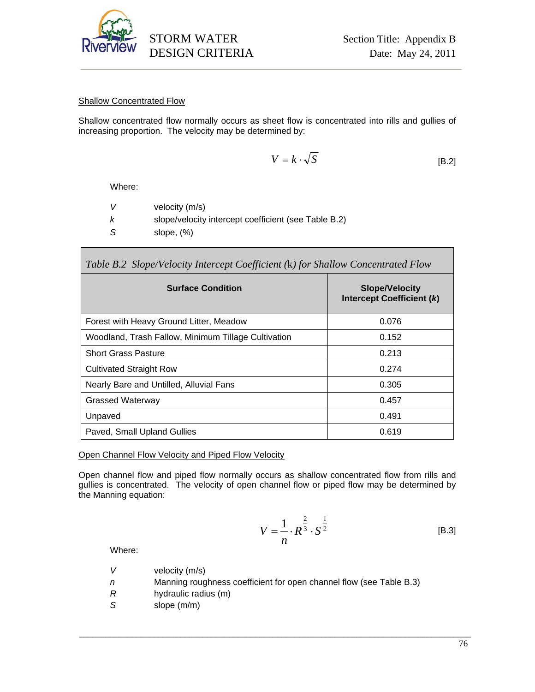

#### Shallow Concentrated Flow

Shallow concentrated flow normally occurs as sheet flow is concentrated into rills and gullies of increasing proportion. The velocity may be determined by:

$$
V = k \cdot \sqrt{S} \tag{B.2}
$$

Where:

Г

| velocity (m/s)                                       |
|------------------------------------------------------|
| slope/velocity intercept coefficient (see Table B.2) |
| slope, $(\%)$                                        |

| Table B.2 Slope/Velocity Intercept Coefficient (k) for Shallow Concentrated Flow |                                                    |  |
|----------------------------------------------------------------------------------|----------------------------------------------------|--|
| <b>Surface Condition</b>                                                         | <b>Slope/Velocity</b><br>Intercept Coefficient (k) |  |
| Forest with Heavy Ground Litter, Meadow                                          | 0.076                                              |  |
| Woodland, Trash Fallow, Minimum Tillage Cultivation                              | 0.152                                              |  |
| <b>Short Grass Pasture</b>                                                       | 0.213                                              |  |
| <b>Cultivated Straight Row</b>                                                   | 0.274                                              |  |
| Nearly Bare and Untilled, Alluvial Fans                                          | 0.305                                              |  |
| <b>Grassed Waterway</b>                                                          | 0.457                                              |  |
| Unpaved                                                                          | 0.491                                              |  |
| Paved, Small Upland Gullies                                                      | 0.619                                              |  |

Open Channel Flow Velocity and Piped Flow Velocity

Open channel flow and piped flow normally occurs as shallow concentrated flow from rills and gullies is concentrated. The velocity of open channel flow or piped flow may be determined by the Manning equation:

$$
V = \frac{1}{n} \cdot R^{\frac{2}{3}} \cdot S^{\frac{1}{2}}
$$
 [B.3]

Where:

- *V* velocity (m/s)
- *n* Manning roughness coefficient for open channel flow (see Table B.3)
- *R* hydraulic radius (m)
- S slope (m/m)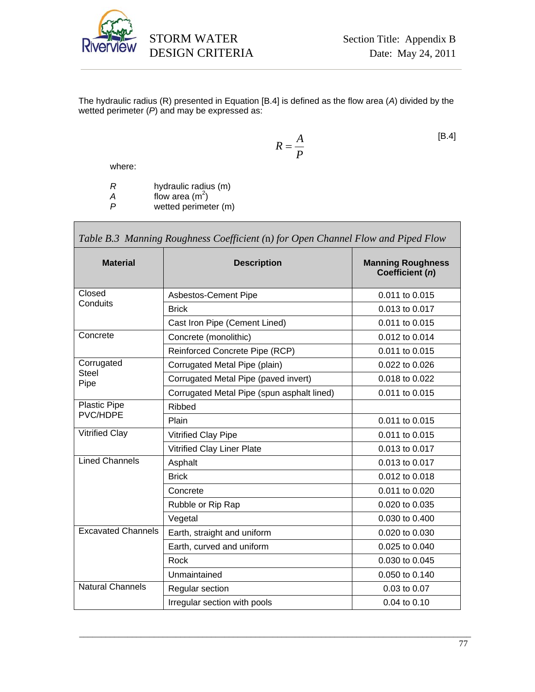

The hydraulic radius (R) presented in Equation [B.4] is defined as the flow area (*A*) divided by the wetted perimeter (*P*) and may be expressed as:

$$
R = \frac{A}{P}
$$
 [B.4]

where:

*R* hydraulic radius (m)

 $A$  flow area  $(m^2)$ 

*P* wetted perimeter (m)

| Table B.3 Manning Roughness Coefficient (n) for Open Channel Flow and Piped Flow |                                            |                                             |  |
|----------------------------------------------------------------------------------|--------------------------------------------|---------------------------------------------|--|
| <b>Material</b>                                                                  | <b>Description</b>                         | <b>Manning Roughness</b><br>Coefficient (n) |  |
| Closed                                                                           | Asbestos-Cement Pipe                       | 0.011 to 0.015                              |  |
| Conduits                                                                         | <b>Brick</b>                               | 0.013 to 0.017                              |  |
|                                                                                  | Cast Iron Pipe (Cement Lined)              | 0.011 to 0.015                              |  |
| Concrete                                                                         | Concrete (monolithic)                      | 0.012 to 0.014                              |  |
|                                                                                  | Reinforced Concrete Pipe (RCP)             | 0.011 to 0.015                              |  |
| Corrugated                                                                       | Corrugated Metal Pipe (plain)              | 0.022 to 0.026                              |  |
| <b>Steel</b><br>Pipe                                                             | Corrugated Metal Pipe (paved invert)       | 0.018 to 0.022                              |  |
|                                                                                  | Corrugated Metal Pipe (spun asphalt lined) | 0.011 to 0.015                              |  |
| <b>Plastic Pipe</b>                                                              | <b>Ribbed</b>                              |                                             |  |
| PVC/HDPE                                                                         | Plain                                      | 0.011 to 0.015                              |  |
| <b>Vitrified Clay</b>                                                            | Vitrified Clay Pipe                        | 0.011 to 0.015                              |  |
|                                                                                  | Vitrified Clay Liner Plate                 | 0.013 to 0.017                              |  |
| <b>Lined Channels</b>                                                            | Asphalt                                    | 0.013 to 0.017                              |  |
|                                                                                  | <b>Brick</b>                               | 0.012 to 0.018                              |  |
|                                                                                  | Concrete                                   | 0.011 to 0.020                              |  |
|                                                                                  | Rubble or Rip Rap                          | 0.020 to 0.035                              |  |
|                                                                                  | Vegetal                                    | 0.030 to 0.400                              |  |
| <b>Excavated Channels</b>                                                        | Earth, straight and uniform                | 0.020 to 0.030                              |  |
|                                                                                  | Earth, curved and uniform                  | 0.025 to 0.040                              |  |
|                                                                                  | Rock                                       | 0.030 to 0.045                              |  |
|                                                                                  | Unmaintained                               | 0.050 to 0.140                              |  |
| <b>Natural Channels</b>                                                          | Regular section                            | 0.03 to 0.07                                |  |
|                                                                                  | Irregular section with pools               | 0.04 to 0.10                                |  |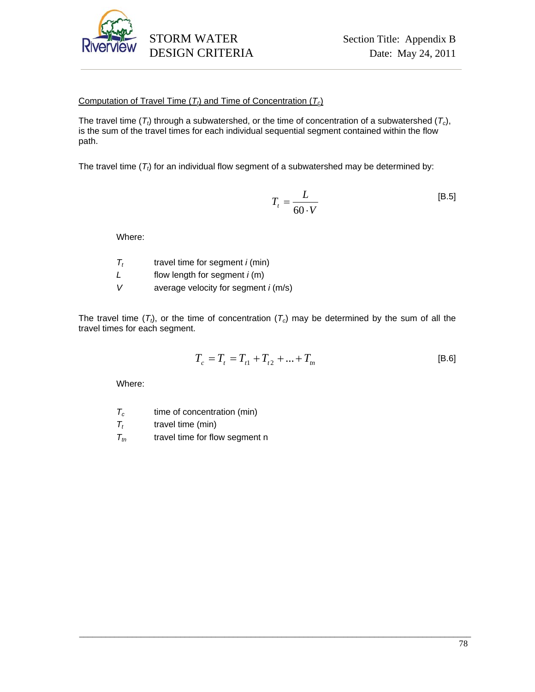

### Computation of Travel Time  $(T<sub>t</sub>)$  and Time of Concentration  $(T<sub>c</sub>)$

The travel time  $(T_t)$  through a subwatershed, or the time of concentration of a subwatershed  $(T_c)$ , is the sum of the travel times for each individual sequential segment contained within the flow path.

The travel time  $(T_t)$  for an individual flow segment of a subwatershed may be determined by:

$$
T_t = \frac{L}{60 \cdot V} \tag{B.5}
$$

Where:

- $T_t$  travel time for segment *i* (min)
- *L* flow length for segment *i* (m)
- *V* average velocity for segment *i* (m/s)

The travel time  $(T<sub>t</sub>)$ , or the time of concentration  $(T<sub>c</sub>)$  may be determined by the sum of all the travel times for each segment.

\_\_\_\_\_\_\_\_\_\_\_\_\_\_\_\_\_\_\_\_\_\_\_\_\_\_\_\_\_\_\_\_\_\_\_\_\_\_\_\_\_\_\_\_\_\_\_\_\_\_\_\_\_\_\_\_\_\_\_\_\_\_\_\_\_\_\_\_\_\_\_\_\_\_\_\_\_\_\_\_\_\_\_\_\_\_\_\_\_

$$
T_c = T_t = T_{t1} + T_{t2} + \dots + T_m
$$
 [B.6]

Where:

 $T_c$  time of concentration (min)

 $T_t$  travel time (min)

 $T_{tn}$  travel time for flow segment n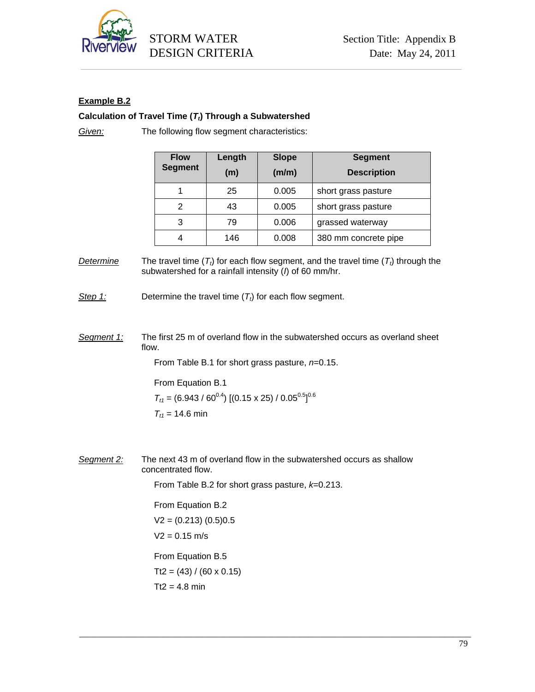

# **Example B.2**

### Calculation of Travel Time (T<sub>t</sub>) Through a Subwatershed

*Given:* The following flow segment characteristics:

| <b>Flow</b><br><b>Segment</b> | Length<br>(m) | <b>Slope</b><br>(m/m) | <b>Segment</b><br><b>Description</b> |
|-------------------------------|---------------|-----------------------|--------------------------------------|
|                               | 25            | 0.005                 | short grass pasture                  |
| 2                             | 43            | 0.005                 | short grass pasture                  |
| 3                             | 79            | 0.006                 | grassed waterway                     |
|                               | 146           | 0.008                 | 380 mm concrete pipe                 |

*Determine* The travel time  $(T_t)$  for each flow segment, and the travel time  $(T_t)$  through the subwatershed for a rainfall intensity (*I*) of 60 mm/hr.

*Step 1:* Determine the travel time  $(T_t)$  for each flow segment.

*Segment 1:* The first 25 m of overland flow in the subwatershed occurs as overland sheet flow.

From Table B.1 for short grass pasture, *n*=0.15.

 From Equation B.1  $T_{t1} = (6.943\,/\,60^{0.4})\;[(0.15\times 25)\,/\,0.05^{0.5}]^{0.6}$  $T_{t1}$  = 14.6 min

*Segment 2:* The next 43 m of overland flow in the subwatershed occurs as shallow concentrated flow.

From Table B.2 for short grass pasture, *k*=0.213.

\_\_\_\_\_\_\_\_\_\_\_\_\_\_\_\_\_\_\_\_\_\_\_\_\_\_\_\_\_\_\_\_\_\_\_\_\_\_\_\_\_\_\_\_\_\_\_\_\_\_\_\_\_\_\_\_\_\_\_\_\_\_\_\_\_\_\_\_\_\_\_\_\_\_\_\_\_\_\_\_\_\_\_\_\_\_\_\_\_

 From Equation B.2  $V2 = (0.213) (0.5)0.5$  $V2 = 0.15$  m/s From Equation B.5  $Tt2 = (43) / (60 \times 0.15)$ 

 $Tt2 = 4.8$  min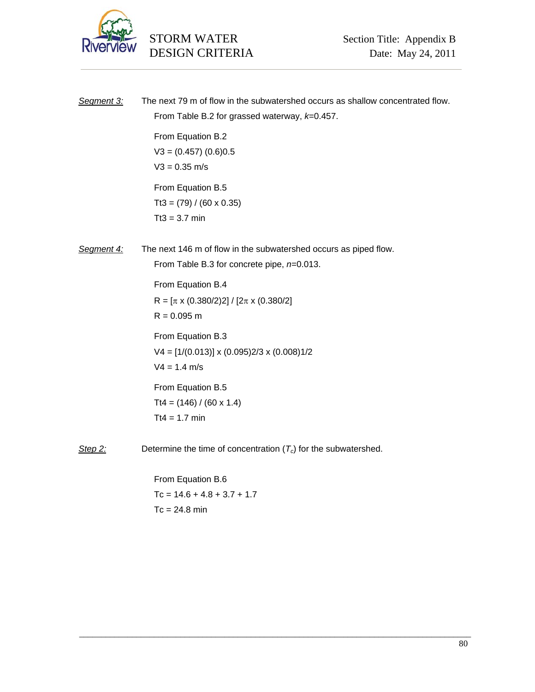

| Segment 3: | The next 79 m of flow in the subwatershed occurs as shallow concentrated flow.<br>From Table B.2 for grassed waterway, k=0.457. |  |  |
|------------|---------------------------------------------------------------------------------------------------------------------------------|--|--|
|            | From Equation B.2<br>$V3 = (0.457) (0.6)0.5$<br>$V3 = 0.35$ m/s                                                                 |  |  |
|            | From Equation B.5<br>$Tt3 = (79) / (60 \times 0.35)$<br>$Tt3 = 3.7$ min                                                         |  |  |
| Segment 4: | The next 146 m of flow in the subwatershed occurs as piped flow.<br>From Table B.3 for concrete pipe, $n=0.013$ .               |  |  |
|            | From Equation B.4<br>R = $[\pi \times (0.380/2)2]/[2\pi \times (0.380/2)]$<br>$R = 0.095$ m                                     |  |  |
|            | From Equation B.3<br>$V4 = [1/(0.013)] \times (0.095)2/3 \times (0.008)1/2$<br>$V4 = 1.4$ m/s                                   |  |  |
|            | From Equation B.5<br>$Tt4 = (146) / (60 \times 1.4)$<br>$Tt4 = 1.7$ min                                                         |  |  |
| Step 2:    | Determine the time of concentration $(T_c)$ for the subwatershed.                                                               |  |  |
|            |                                                                                                                                 |  |  |

\_\_\_\_\_\_\_\_\_\_\_\_\_\_\_\_\_\_\_\_\_\_\_\_\_\_\_\_\_\_\_\_\_\_\_\_\_\_\_\_\_\_\_\_\_\_\_\_\_\_\_\_\_\_\_\_\_\_\_\_\_\_\_\_\_\_\_\_\_\_\_\_\_\_\_\_\_\_\_\_\_\_\_\_\_\_\_\_\_

 From Equation B.6  $Tc = 14.6 + 4.8 + 3.7 + 1.7$  $Tc = 24.8$  min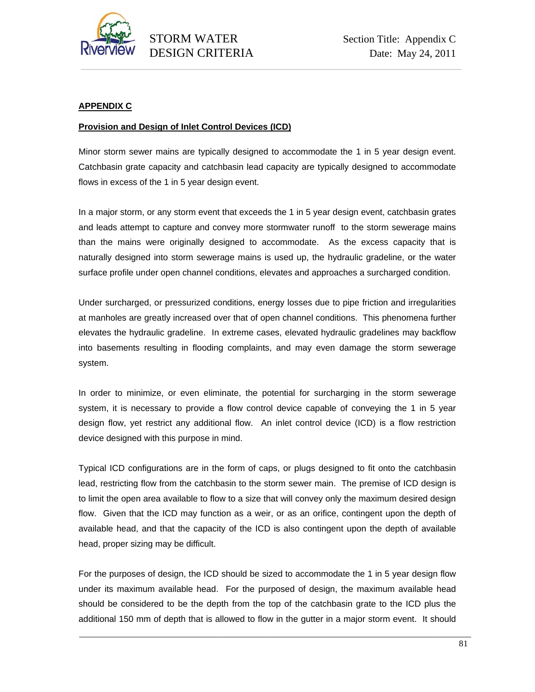

### **APPENDIX C**

#### **Provision and Design of Inlet Control Devices (ICD)**

Minor storm sewer mains are typically designed to accommodate the 1 in 5 year design event. Catchbasin grate capacity and catchbasin lead capacity are typically designed to accommodate flows in excess of the 1 in 5 year design event.

In a major storm, or any storm event that exceeds the 1 in 5 year design event, catchbasin grates and leads attempt to capture and convey more stormwater runoff to the storm sewerage mains than the mains were originally designed to accommodate. As the excess capacity that is naturally designed into storm sewerage mains is used up, the hydraulic gradeline, or the water surface profile under open channel conditions, elevates and approaches a surcharged condition.

Under surcharged, or pressurized conditions, energy losses due to pipe friction and irregularities at manholes are greatly increased over that of open channel conditions. This phenomena further elevates the hydraulic gradeline. In extreme cases, elevated hydraulic gradelines may backflow into basements resulting in flooding complaints, and may even damage the storm sewerage system.

In order to minimize, or even eliminate, the potential for surcharging in the storm sewerage system, it is necessary to provide a flow control device capable of conveying the 1 in 5 year design flow, yet restrict any additional flow. An inlet control device (ICD) is a flow restriction device designed with this purpose in mind.

Typical ICD configurations are in the form of caps, or plugs designed to fit onto the catchbasin lead, restricting flow from the catchbasin to the storm sewer main. The premise of ICD design is to limit the open area available to flow to a size that will convey only the maximum desired design flow. Given that the ICD may function as a weir, or as an orifice, contingent upon the depth of available head, and that the capacity of the ICD is also contingent upon the depth of available head, proper sizing may be difficult.

For the purposes of design, the ICD should be sized to accommodate the 1 in 5 year design flow under its maximum available head. For the purposed of design, the maximum available head should be considered to be the depth from the top of the catchbasin grate to the ICD plus the additional 150 mm of depth that is allowed to flow in the gutter in a major storm event. It should